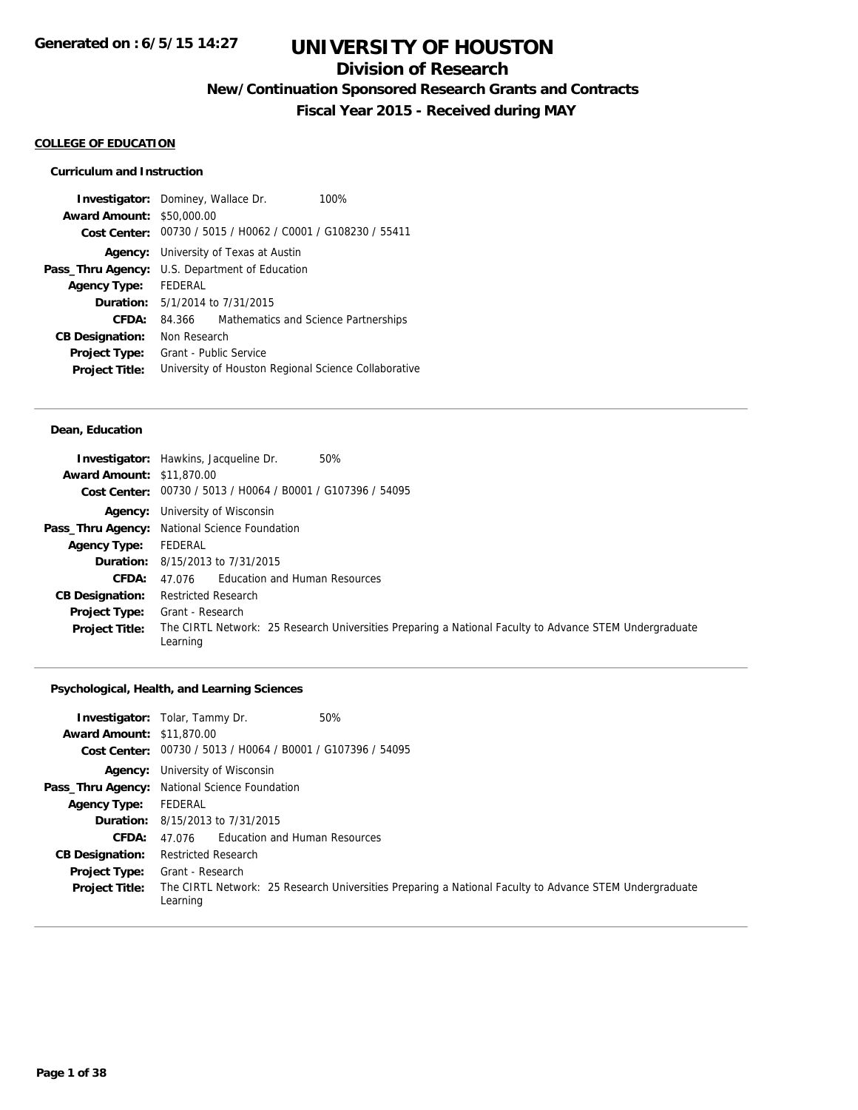## **Division of Research**

**New/Continuation Sponsored Research Grants and Contracts**

**Fiscal Year 2015 - Received during MAY**

#### **COLLEGE OF EDUCATION**

### **Curriculum and Instruction**

|                                                             |                                      | 100%                                                                                                                       |  |
|-------------------------------------------------------------|--------------------------------------|----------------------------------------------------------------------------------------------------------------------------|--|
|                                                             |                                      |                                                                                                                            |  |
| Cost Center: 00730 / 5015 / H0062 / C0001 / G108230 / 55411 |                                      |                                                                                                                            |  |
| <b>Agency:</b> University of Texas at Austin                |                                      |                                                                                                                            |  |
| U.S. Department of Education                                |                                      |                                                                                                                            |  |
| <b>FFDFRAL</b>                                              |                                      |                                                                                                                            |  |
| <b>Duration:</b> $5/1/2014$ to $7/31/2015$                  |                                      |                                                                                                                            |  |
|                                                             | Mathematics and Science Partnerships |                                                                                                                            |  |
| Non Research                                                |                                      |                                                                                                                            |  |
| Grant - Public Service                                      |                                      |                                                                                                                            |  |
|                                                             |                                      |                                                                                                                            |  |
|                                                             | <b>Award Amount:</b>                 | <b>Investigator:</b> Dominey, Wallace Dr.<br>\$50,000.00<br>84.366<br>University of Houston Regional Science Collaborative |  |

### **Dean, Education**

| <b>Award Amount: \$11,870.00</b> | 50%<br><b>Investigator:</b> Hawkins, Jacqueline Dr.<br>Cost Center: 00730 / 5013 / H0064 / B0001 / G107396 / 54095 |
|----------------------------------|--------------------------------------------------------------------------------------------------------------------|
|                                  | <b>Agency:</b> University of Wisconsin                                                                             |
|                                  | Pass_Thru Agency: National Science Foundation                                                                      |
| <b>Agency Type:</b>              | FEDERAL                                                                                                            |
|                                  | <b>Duration:</b> $8/15/2013$ to $7/31/2015$                                                                        |
| CFDA:                            | 47.076 Education and Human Resources                                                                               |
| <b>CB Designation:</b>           | Restricted Research                                                                                                |
| <b>Project Type:</b>             | Grant - Research                                                                                                   |
| <b>Project Title:</b>            | The CIRTL Network: 25 Research Universities Preparing a National Faculty to Advance STEM Undergraduate<br>Learning |

### **Psychological, Health, and Learning Sciences**

| <b>Award Amount: \$11,870.00</b>              | 50%<br><b>Investigator:</b> Tolar, Tammy Dr.<br>Cost Center: 00730 / 5013 / H0064 / B0001 / G107396 / 54095                            |  |  |
|-----------------------------------------------|----------------------------------------------------------------------------------------------------------------------------------------|--|--|
|                                               | <b>Agency:</b> University of Wisconsin                                                                                                 |  |  |
|                                               | Pass_Thru Agency: National Science Foundation                                                                                          |  |  |
| <b>Agency Type:</b>                           | FEDERAL                                                                                                                                |  |  |
|                                               | <b>Duration:</b> 8/15/2013 to 7/31/2015                                                                                                |  |  |
| <b>CFDA:</b>                                  | 47.076 Education and Human Resources                                                                                                   |  |  |
| <b>CB Designation:</b>                        | <b>Restricted Research</b>                                                                                                             |  |  |
| <b>Project Type:</b><br><b>Project Title:</b> | Grant - Research<br>The CIRTL Network: 25 Research Universities Preparing a National Faculty to Advance STEM Undergraduate<br>Learning |  |  |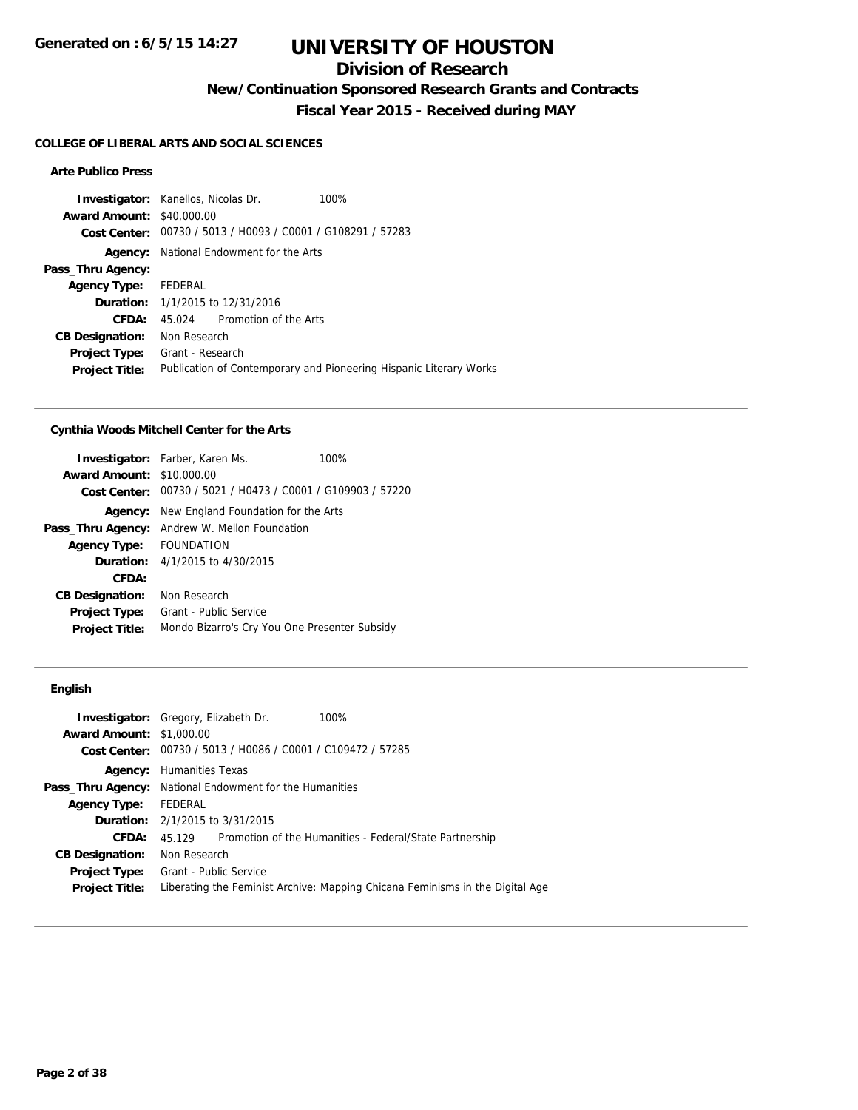## **Division of Research**

**New/Continuation Sponsored Research Grants and Contracts**

**Fiscal Year 2015 - Received during MAY**

### **COLLEGE OF LIBERAL ARTS AND SOCIAL SCIENCES**

### **Arte Publico Press**

|                                  | <b>Investigator:</b> Kanellos, Nicolas Dr.     | 100%                                                               |
|----------------------------------|------------------------------------------------|--------------------------------------------------------------------|
| <b>Award Amount: \$40,000.00</b> |                                                |                                                                    |
| Cost Center:                     | 00730 / 5013 / H0093 / C0001 / G108291 / 57283 |                                                                    |
| Agency:                          | National Endowment for the Arts                |                                                                    |
| Pass_Thru Agency:                |                                                |                                                                    |
| <b>Agency Type:</b>              | FEDERAL                                        |                                                                    |
|                                  | <b>Duration:</b> 1/1/2015 to 12/31/2016        |                                                                    |
| CFDA:                            | Promotion of the Arts<br>45.024                |                                                                    |
| <b>CB Designation:</b>           | Non Research                                   |                                                                    |
| <b>Project Type:</b>             | Grant - Research                               |                                                                    |
| <b>Project Title:</b>            |                                                | Publication of Contemporary and Pioneering Hispanic Literary Works |

#### **Cynthia Woods Mitchell Center for the Arts**

|                                  | <b>Investigator:</b> Farber, Karen Ms.                      | 100% |  |
|----------------------------------|-------------------------------------------------------------|------|--|
| <b>Award Amount: \$10,000.00</b> |                                                             |      |  |
|                                  | Cost Center: 00730 / 5021 / H0473 / C0001 / G109903 / 57220 |      |  |
| Agency:                          | New England Foundation for the Arts                         |      |  |
| Pass_Thru Agency:                | Andrew W. Mellon Foundation                                 |      |  |
| <b>Agency Type:</b>              | <b>FOUNDATION</b>                                           |      |  |
|                                  | <b>Duration:</b> 4/1/2015 to 4/30/2015                      |      |  |
| CFDA:                            |                                                             |      |  |
| <b>CB Designation:</b>           | Non Research                                                |      |  |
| <b>Project Type:</b>             | Grant - Public Service                                      |      |  |
| <b>Project Title:</b>            | Mondo Bizarro's Cry You One Presenter Subsidy               |      |  |

### **English**

| <b>Investigator:</b> Gregory, Elizabeth Dr. |                                                                |                                                | 100%                                                                          |  |  |  |
|---------------------------------------------|----------------------------------------------------------------|------------------------------------------------|-------------------------------------------------------------------------------|--|--|--|
| <b>Award Amount: \$1,000.00</b>             |                                                                |                                                |                                                                               |  |  |  |
| Cost Center:                                |                                                                | 00730 / 5013 / H0086 / C0001 / C109472 / 57285 |                                                                               |  |  |  |
| Agency:                                     | Humanities Texas                                               |                                                |                                                                               |  |  |  |
|                                             | <b>Pass_Thru Agency:</b> National Endowment for the Humanities |                                                |                                                                               |  |  |  |
| <b>Agency Type:</b>                         | FEDERAL                                                        |                                                |                                                                               |  |  |  |
|                                             |                                                                | <b>Duration:</b> $2/1/2015$ to $3/31/2015$     |                                                                               |  |  |  |
| CFDA:                                       | 45 129                                                         |                                                | Promotion of the Humanities - Federal/State Partnership                       |  |  |  |
| <b>CB Designation:</b>                      | Non Research                                                   |                                                |                                                                               |  |  |  |
| <b>Project Type:</b> Grant - Public Service |                                                                |                                                |                                                                               |  |  |  |
| <b>Project Title:</b>                       |                                                                |                                                | Liberating the Feminist Archive: Mapping Chicana Feminisms in the Digital Age |  |  |  |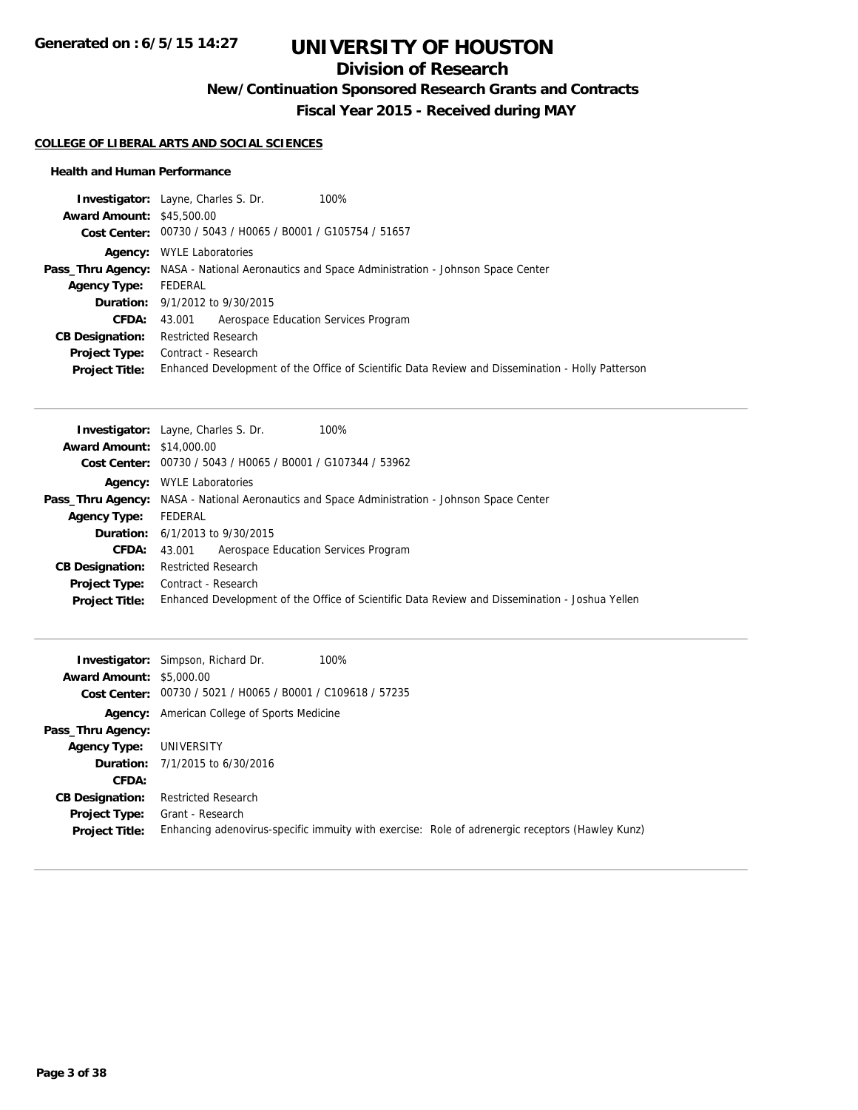## **Division of Research**

**New/Continuation Sponsored Research Grants and Contracts**

**Fiscal Year 2015 - Received during MAY**

#### **COLLEGE OF LIBERAL ARTS AND SOCIAL SCIENCES**

#### **Health and Human Performance**

|                                  | <b>Investigator:</b> Layne, Charles S. Dr.<br>100%                                                   |
|----------------------------------|------------------------------------------------------------------------------------------------------|
| <b>Award Amount: \$45,500.00</b> |                                                                                                      |
|                                  | Cost Center: 00730 / 5043 / H0065 / B0001 / G105754 / 51657                                          |
|                                  | <b>Agency:</b> WYLE Laboratories                                                                     |
|                                  | <b>Pass_Thru Agency:</b> NASA - National Aeronautics and Space Administration - Johnson Space Center |
| <b>Agency Type:</b>              | FEDERAL                                                                                              |
|                                  | <b>Duration:</b> 9/1/2012 to 9/30/2015                                                               |
| <b>CFDA:</b>                     | Aerospace Education Services Program<br>43.001                                                       |
| <b>CB Designation:</b>           | <b>Restricted Research</b>                                                                           |
| <b>Project Type:</b>             | Contract - Research                                                                                  |
| <b>Project Title:</b>            | Enhanced Development of the Office of Scientific Data Review and Dissemination - Holly Patterson     |

|                                  | <b>Investigator:</b> Layne, Charles S. Dr.<br>100%                                                   |
|----------------------------------|------------------------------------------------------------------------------------------------------|
| <b>Award Amount: \$14,000.00</b> |                                                                                                      |
|                                  | Cost Center: 00730 / 5043 / H0065 / B0001 / G107344 / 53962                                          |
| Agency:                          | <b>WYLE Laboratories</b>                                                                             |
|                                  | <b>Pass_Thru Agency:</b> NASA - National Aeronautics and Space Administration - Johnson Space Center |
| <b>Agency Type:</b>              | FEDERAL                                                                                              |
|                                  | <b>Duration:</b> 6/1/2013 to 9/30/2015                                                               |
| <b>CFDA:</b>                     | Aerospace Education Services Program<br>43.001                                                       |
| <b>CB Designation:</b>           | <b>Restricted Research</b>                                                                           |
|                                  | <b>Project Type:</b> Contract - Research                                                             |
| <b>Project Title:</b>            | Enhanced Development of the Office of Scientific Data Review and Dissemination - Joshua Yellen       |

| <b>Award Amount: \$5,000.00</b>               | 100%<br><b>Investigator:</b> Simpson, Richard Dr.<br>Cost Center: 00730 / 5021 / H0065 / B0001 / C109618 / 57235    |
|-----------------------------------------------|---------------------------------------------------------------------------------------------------------------------|
|                                               | <b>Agency:</b> American College of Sports Medicine                                                                  |
| Pass_Thru Agency:                             |                                                                                                                     |
| Agency Type:                                  | UNIVERSITY                                                                                                          |
|                                               | <b>Duration:</b> $7/1/2015$ to $6/30/2016$                                                                          |
| <b>CFDA:</b>                                  |                                                                                                                     |
| <b>CB Designation:</b>                        | <b>Restricted Research</b>                                                                                          |
| <b>Project Type:</b><br><b>Project Title:</b> | Grant - Research<br>Enhancing adenovirus-specific immulty with exercise: Role of adrenergic receptors (Hawley Kunz) |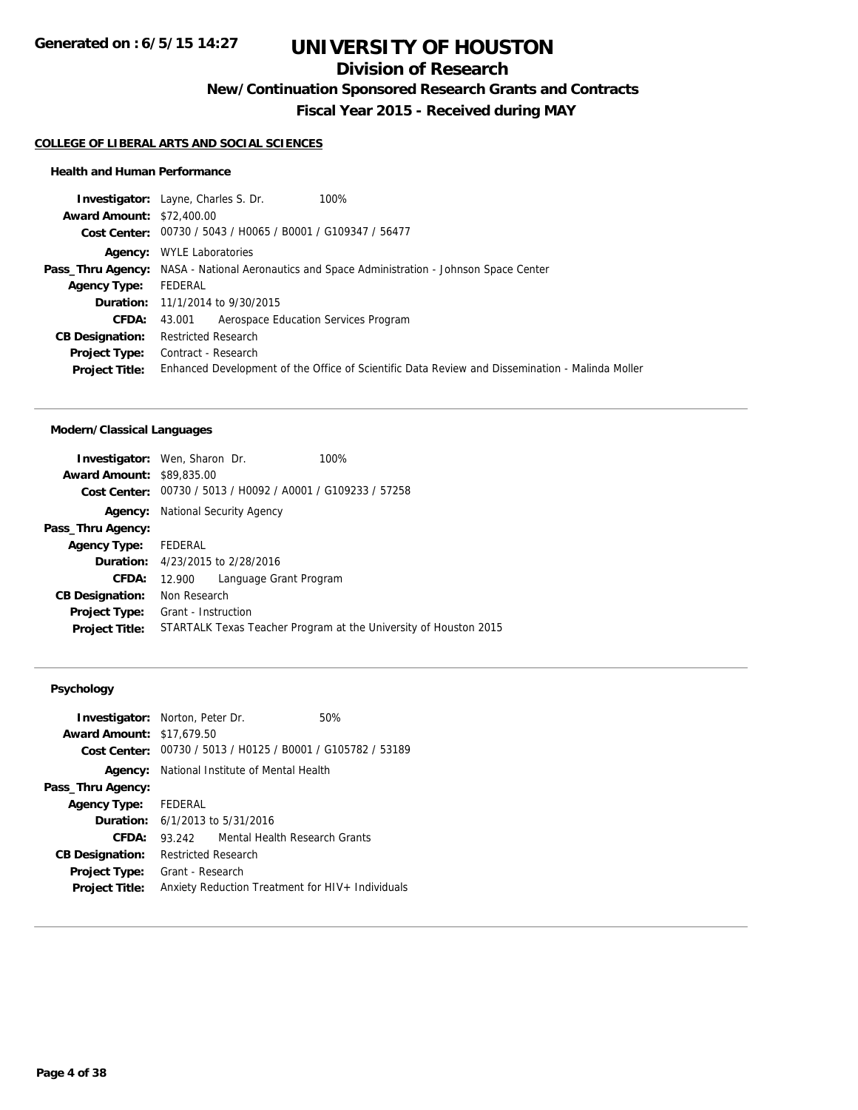## **Division of Research**

**New/Continuation Sponsored Research Grants and Contracts**

**Fiscal Year 2015 - Received during MAY**

#### **COLLEGE OF LIBERAL ARTS AND SOCIAL SCIENCES**

#### **Health and Human Performance**

|                                  | <b>Investigator:</b> Layne, Charles S. Dr.<br>100%                                                   |
|----------------------------------|------------------------------------------------------------------------------------------------------|
| <b>Award Amount: \$72,400.00</b> |                                                                                                      |
|                                  | Cost Center: 00730 / 5043 / H0065 / B0001 / G109347 / 56477                                          |
|                                  | <b>Agency:</b> WYLE Laboratories                                                                     |
|                                  | <b>Pass_Thru Agency:</b> NASA - National Aeronautics and Space Administration - Johnson Space Center |
| <b>Agency Type:</b>              | FEDERAL                                                                                              |
|                                  | <b>Duration:</b> 11/1/2014 to 9/30/2015                                                              |
| <b>CFDA:</b>                     | Aerospace Education Services Program<br>43.001                                                       |
| <b>CB Designation:</b>           | Restricted Research                                                                                  |
| <b>Project Type:</b>             | Contract - Research                                                                                  |
| <b>Project Title:</b>            | Enhanced Development of the Office of Scientific Data Review and Dissemination - Malinda Moller      |
|                                  |                                                                                                      |

### **Modern/Classical Languages**

| <b>Investigator:</b> Wen, Sharon Dr. |                     |                                                             | 100%                                                             |
|--------------------------------------|---------------------|-------------------------------------------------------------|------------------------------------------------------------------|
| <b>Award Amount: \$89,835,00</b>     |                     |                                                             |                                                                  |
|                                      |                     | Cost Center: 00730 / 5013 / H0092 / A0001 / G109233 / 57258 |                                                                  |
| Agency:                              |                     | National Security Agency                                    |                                                                  |
| Pass_Thru Agency:                    |                     |                                                             |                                                                  |
| Agency Type: FEDERAL                 |                     |                                                             |                                                                  |
|                                      |                     | <b>Duration:</b> 4/23/2015 to 2/28/2016                     |                                                                  |
| CFDA:                                | 12.900              | Language Grant Program                                      |                                                                  |
| <b>CB Designation:</b>               | Non Research        |                                                             |                                                                  |
| <b>Project Type:</b>                 | Grant - Instruction |                                                             |                                                                  |
| <b>Project Title:</b>                |                     |                                                             | STARTALK Texas Teacher Program at the University of Houston 2015 |

### **Psychology**

| <b>Investigator:</b> Norton, Peter Dr.<br><b>Award Amount: \$17,679.50</b> |                                                  |  | 50%<br>Cost Center: 00730 / 5013 / H0125 / B0001 / G105782 / 53189 |  |
|----------------------------------------------------------------------------|--------------------------------------------------|--|--------------------------------------------------------------------|--|
| Agency:                                                                    |                                                  |  | National Institute of Mental Health                                |  |
| Pass_Thru Agency:                                                          |                                                  |  |                                                                    |  |
| <b>Agency Type:</b>                                                        | FEDERAL                                          |  |                                                                    |  |
|                                                                            | <b>Duration:</b> $6/1/2013$ to $5/31/2016$       |  |                                                                    |  |
| CFDA:                                                                      | 93.242                                           |  | Mental Health Research Grants                                      |  |
| <b>CB Designation:</b>                                                     | <b>Restricted Research</b>                       |  |                                                                    |  |
| <b>Project Type:</b>                                                       | Grant - Research                                 |  |                                                                    |  |
| <b>Project Title:</b>                                                      | Anxiety Reduction Treatment for HIV+ Individuals |  |                                                                    |  |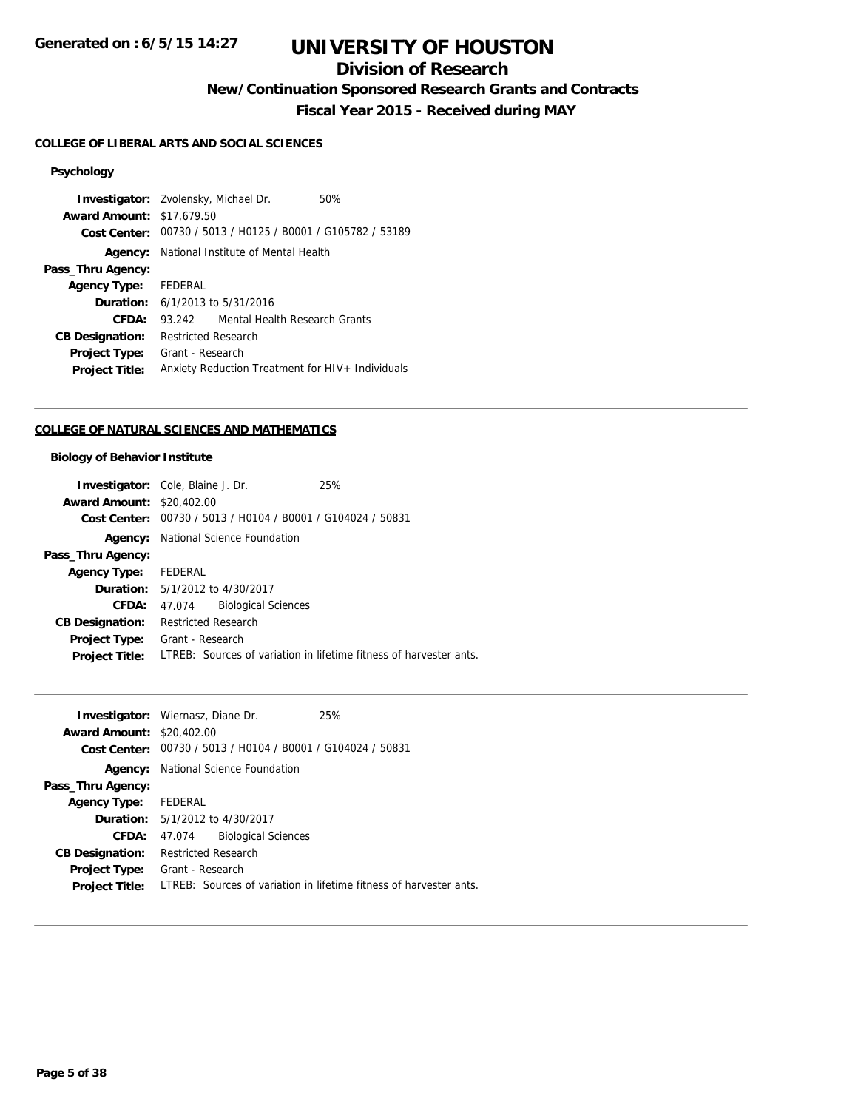## **Division of Research**

**New/Continuation Sponsored Research Grants and Contracts**

**Fiscal Year 2015 - Received during MAY**

#### **COLLEGE OF LIBERAL ARTS AND SOCIAL SCIENCES**

### **Psychology**

**Investigator:** Zvolensky, Michael Dr. 50% **Award Amount:** \$17,679.50 **Cost Center:** 00730 / 5013 / H0125 / B0001 / G105782 / 53189 **Agency:** National Institute of Mental Health **Pass\_Thru Agency: Agency Type:** FEDERAL **Duration:** 6/1/2013 to 5/31/2016 **CFDA:** 93.242 Mental Health Research Grants **CB Designation:** Restricted Research **Project Type:** Grant - Research **Project Title:** Anxiety Reduction Treatment for HIV+ Individuals

#### **COLLEGE OF NATURAL SCIENCES AND MATHEMATICS**

#### **Biology of Behavior Institute**

|                                  | <b>Investigator:</b> Cole, Blaine J. Dr.                    | 25%                                                                |
|----------------------------------|-------------------------------------------------------------|--------------------------------------------------------------------|
| <b>Award Amount: \$20,402.00</b> |                                                             |                                                                    |
|                                  | Cost Center: 00730 / 5013 / H0104 / B0001 / G104024 / 50831 |                                                                    |
| Agency:                          | National Science Foundation                                 |                                                                    |
| Pass_Thru Agency:                |                                                             |                                                                    |
| <b>Agency Type:</b>              | FEDERAL                                                     |                                                                    |
|                                  | <b>Duration:</b> 5/1/2012 to 4/30/2017                      |                                                                    |
| <b>CFDA:</b>                     | <b>Biological Sciences</b><br>47.074                        |                                                                    |
| <b>CB Designation:</b>           | <b>Restricted Research</b>                                  |                                                                    |
| <b>Project Type:</b>             | Grant - Research                                            |                                                                    |
| <b>Project Title:</b>            |                                                             | LTREB: Sources of variation in lifetime fitness of harvester ants. |

|                                  | <b>Investigator:</b> Wiernasz, Diane Dr.       | 25%                                                                |
|----------------------------------|------------------------------------------------|--------------------------------------------------------------------|
| <b>Award Amount: \$20,402.00</b> |                                                |                                                                    |
| Cost Center:                     | 00730 / 5013 / H0104 / B0001 / G104024 / 50831 |                                                                    |
| Agency:                          | National Science Foundation                    |                                                                    |
| Pass_Thru Agency:                |                                                |                                                                    |
| <b>Agency Type:</b>              | FEDERAL                                        |                                                                    |
|                                  | <b>Duration:</b> 5/1/2012 to 4/30/2017         |                                                                    |
| CFDA:                            | <b>Biological Sciences</b><br>47.074           |                                                                    |
| <b>CB Designation:</b>           | <b>Restricted Research</b>                     |                                                                    |
| Project Type:                    | Grant - Research                               |                                                                    |
| <b>Project Title:</b>            |                                                | LTREB: Sources of variation in lifetime fitness of harvester ants. |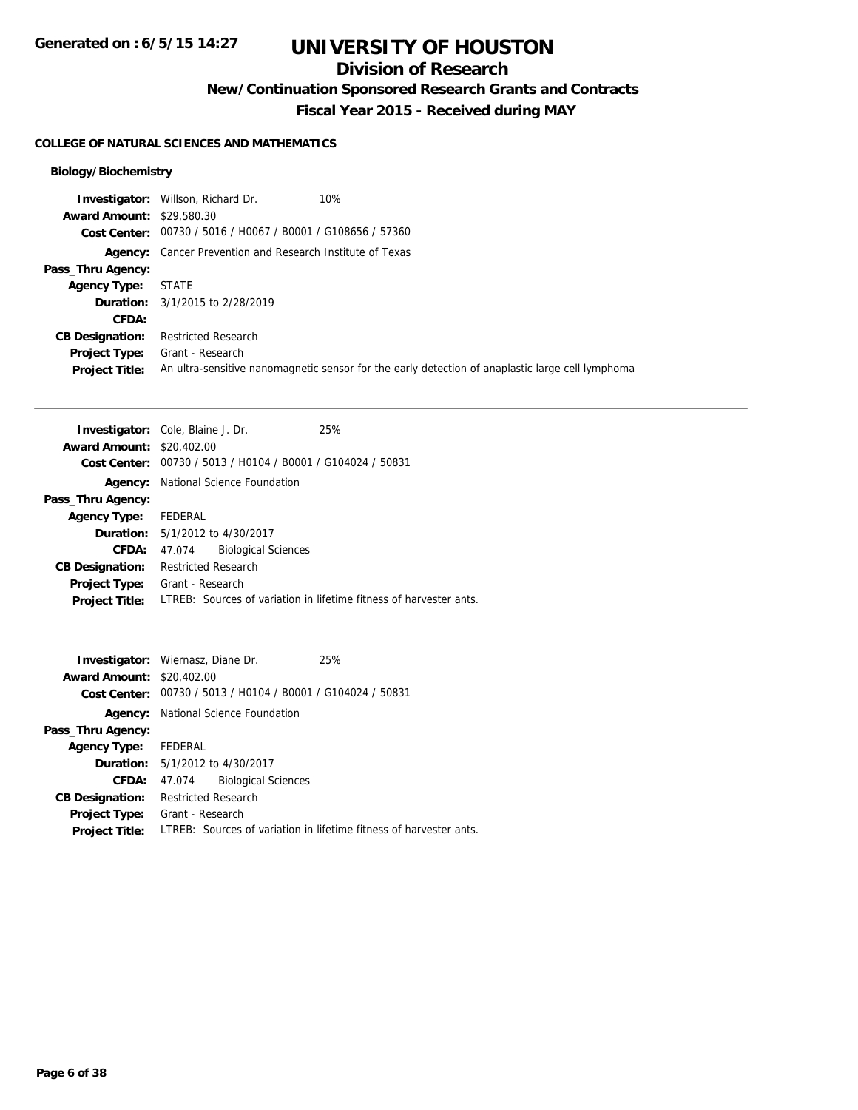## **Division of Research**

**New/Continuation Sponsored Research Grants and Contracts**

**Fiscal Year 2015 - Received during MAY**

### **COLLEGE OF NATURAL SCIENCES AND MATHEMATICS**

### **Biology/Biochemistry**

|                                  | <b>Investigator:</b> Willson, Richard Dr.                        | 10%                                                                                              |
|----------------------------------|------------------------------------------------------------------|--------------------------------------------------------------------------------------------------|
| <b>Award Amount: \$29,580.30</b> |                                                                  |                                                                                                  |
|                                  | Cost Center: 00730 / 5016 / H0067 / B0001 / G108656 / 57360      |                                                                                                  |
|                                  | <b>Agency:</b> Cancer Prevention and Research Institute of Texas |                                                                                                  |
| Pass_Thru Agency:                |                                                                  |                                                                                                  |
| <b>Agency Type:</b>              | <b>STATE</b>                                                     |                                                                                                  |
|                                  | <b>Duration:</b> 3/1/2015 to 2/28/2019                           |                                                                                                  |
| CFDA:                            |                                                                  |                                                                                                  |
| <b>CB Designation:</b>           | <b>Restricted Research</b>                                       |                                                                                                  |
| Project Type:                    | Grant - Research                                                 |                                                                                                  |
| <b>Project Title:</b>            |                                                                  | An ultra-sensitive nanomagnetic sensor for the early detection of anaplastic large cell lymphoma |

|                                  | <b>Investigator:</b> Cole, Blaine J. Dr.       | 25%                                                                |
|----------------------------------|------------------------------------------------|--------------------------------------------------------------------|
| <b>Award Amount: \$20,402.00</b> |                                                |                                                                    |
| Cost Center:                     | 00730 / 5013 / H0104 / B0001 / G104024 / 50831 |                                                                    |
| Agency:                          | National Science Foundation                    |                                                                    |
| Pass_Thru Agency:                |                                                |                                                                    |
| <b>Agency Type:</b>              | FEDERAL                                        |                                                                    |
|                                  | <b>Duration:</b> 5/1/2012 to 4/30/2017         |                                                                    |
| CFDA:                            | <b>Biological Sciences</b><br>47.074           |                                                                    |
| <b>CB Designation:</b>           | <b>Restricted Research</b>                     |                                                                    |
| <b>Project Type:</b>             | Grant - Research                               |                                                                    |
| <b>Project Title:</b>            |                                                | LTREB: Sources of variation in lifetime fitness of harvester ants. |
|                                  |                                                |                                                                    |

| <b>Award Amount: \$20,402.00</b> | <b>Investigator:</b> Wiernasz, Diane Dr.<br>Cost Center: 00730 / 5013 / H0104 / B0001 / G104024 / 50831 | 25%                                                                |
|----------------------------------|---------------------------------------------------------------------------------------------------------|--------------------------------------------------------------------|
| Agency:                          | National Science Foundation                                                                             |                                                                    |
| Pass_Thru Agency:                |                                                                                                         |                                                                    |
| <b>Agency Type:</b>              | FEDERAL                                                                                                 |                                                                    |
|                                  | <b>Duration:</b> 5/1/2012 to 4/30/2017                                                                  |                                                                    |
| <b>CFDA:</b>                     | <b>Biological Sciences</b><br>47.074                                                                    |                                                                    |
| <b>CB Designation:</b>           | <b>Restricted Research</b>                                                                              |                                                                    |
| Project Type:                    | Grant - Research                                                                                        |                                                                    |
| <b>Project Title:</b>            |                                                                                                         | LTREB: Sources of variation in lifetime fitness of harvester ants. |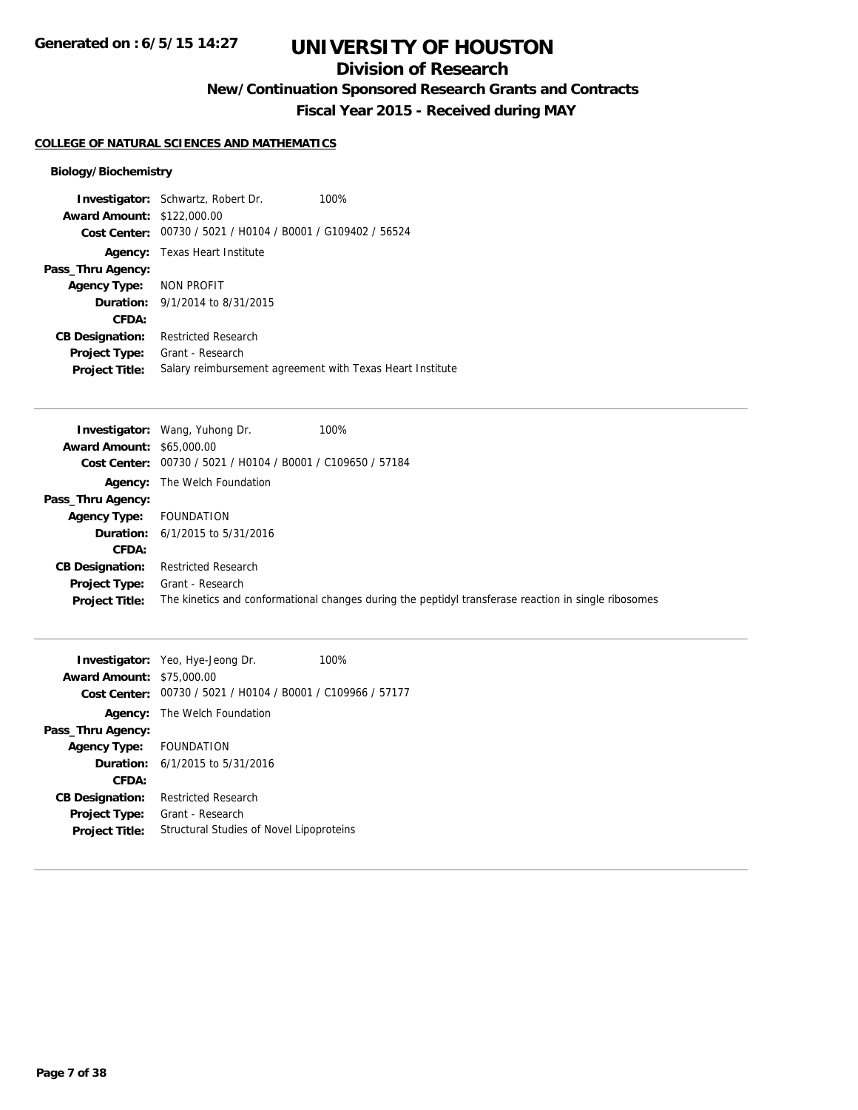## **Division of Research**

**New/Continuation Sponsored Research Grants and Contracts**

**Fiscal Year 2015 - Received during MAY**

### **COLLEGE OF NATURAL SCIENCES AND MATHEMATICS**

### **Biology/Biochemistry**

|                                   | <b>Investigator:</b> Schwartz, Robert Dr.                   | 100% |
|-----------------------------------|-------------------------------------------------------------|------|
| <b>Award Amount: \$122,000.00</b> |                                                             |      |
|                                   | Cost Center: 00730 / 5021 / H0104 / B0001 / G109402 / 56524 |      |
|                                   | <b>Agency:</b> Texas Heart Institute                        |      |
| Pass_Thru Agency:                 |                                                             |      |
| Agency Type: NON PROFIT           |                                                             |      |
|                                   | <b>Duration:</b> 9/1/2014 to 8/31/2015                      |      |
| CFDA:                             |                                                             |      |
| <b>CB Designation:</b>            | <b>Restricted Research</b>                                  |      |
| <b>Project Type:</b>              | Grant - Research                                            |      |
| <b>Project Title:</b>             | Salary reimbursement agreement with Texas Heart Institute   |      |

|                                                             | 100%                                                                                                                                                           |
|-------------------------------------------------------------|----------------------------------------------------------------------------------------------------------------------------------------------------------------|
|                                                             |                                                                                                                                                                |
| Cost Center: 00730 / 5021 / H0104 / B0001 / C109650 / 57184 |                                                                                                                                                                |
|                                                             |                                                                                                                                                                |
|                                                             |                                                                                                                                                                |
| FOUNDATION                                                  |                                                                                                                                                                |
|                                                             |                                                                                                                                                                |
|                                                             |                                                                                                                                                                |
| <b>Restricted Research</b>                                  |                                                                                                                                                                |
| Grant - Research                                            |                                                                                                                                                                |
|                                                             | The kinetics and conformational changes during the peptidyl transferase reaction in single ribosomes                                                           |
|                                                             | <b>Investigator:</b> Wang, Yuhong Dr.<br><b>Award Amount: \$65,000.00</b><br><b>Agency:</b> The Welch Foundation<br><b>Duration:</b> $6/1/2015$ to $5/31/2016$ |

| <b>Award Amount: \$75,000.00</b> | Investigator: Yeo, Hye-Jeong Dr.                            | 100% |
|----------------------------------|-------------------------------------------------------------|------|
|                                  | Cost Center: 00730 / 5021 / H0104 / B0001 / C109966 / 57177 |      |
|                                  | <b>Agency:</b> The Welch Foundation                         |      |
| Pass_Thru Agency:                |                                                             |      |
| Agency Type: FOUNDATION          |                                                             |      |
|                                  | <b>Duration:</b> $6/1/2015$ to $5/31/2016$                  |      |
| CFDA:                            |                                                             |      |
| <b>CB Designation:</b>           | <b>Restricted Research</b>                                  |      |
| <b>Project Type:</b>             | Grant - Research                                            |      |
| <b>Project Title:</b>            | Structural Studies of Novel Lipoproteins                    |      |
|                                  |                                                             |      |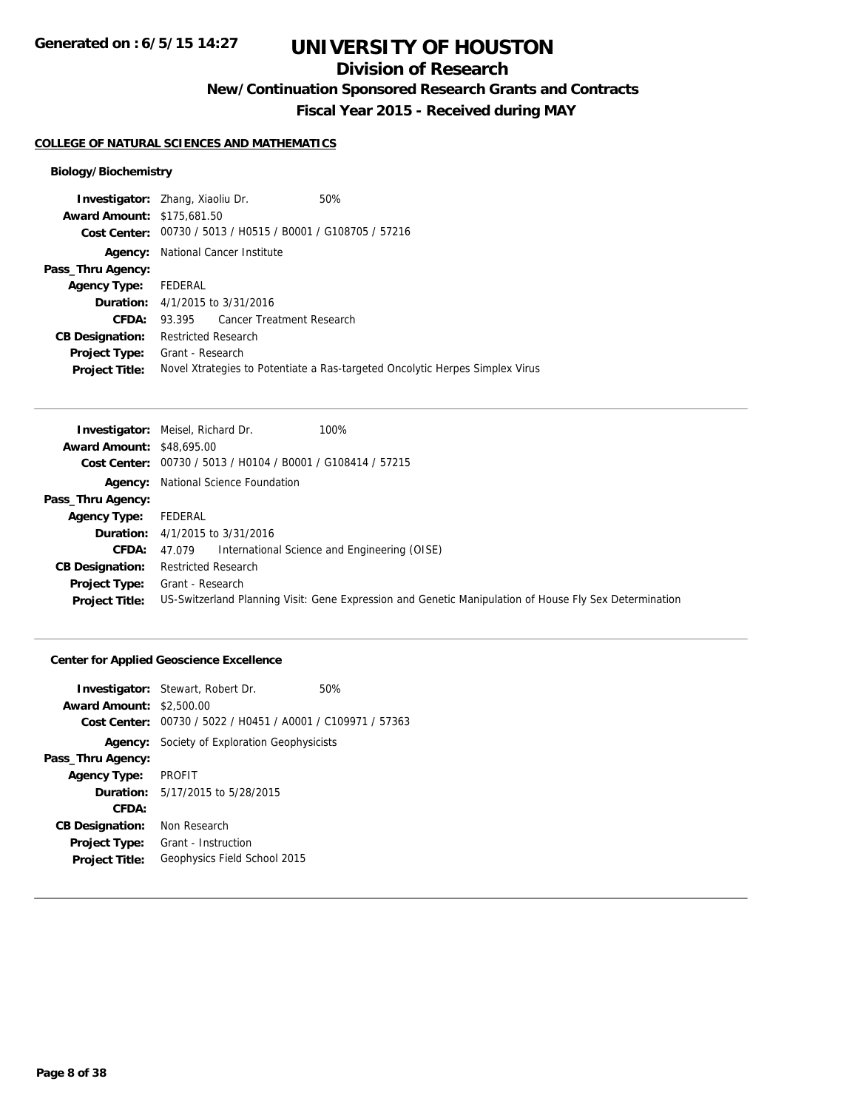## **Division of Research**

**New/Continuation Sponsored Research Grants and Contracts**

**Fiscal Year 2015 - Received during MAY**

#### **COLLEGE OF NATURAL SCIENCES AND MATHEMATICS**

### **Biology/Biochemistry**

| <b>Award Amount: \$175,681.50</b><br>00730 / 5013 / H0515 / B0001 / G108705 / 57216<br>Cost Center:<br>National Cancer Institute<br>Agency:<br>Pass_Thru Agency:<br>FEDERAL<br><b>Agency Type:</b><br><b>Duration:</b> $4/1/2015$ to $3/31/2016$<br>93.395 Cancer Treatment Research<br>CFDA:<br><b>Restricted Research</b><br><b>CB Designation:</b><br>Grant - Research<br><b>Project Type:</b><br>Novel Xtrategies to Potentiate a Ras-targeted Oncolytic Herpes Simplex Virus<br><b>Project Title:</b> | <b>Investigator:</b> Zhang, Xiaoliu Dr. |  | 50% |
|------------------------------------------------------------------------------------------------------------------------------------------------------------------------------------------------------------------------------------------------------------------------------------------------------------------------------------------------------------------------------------------------------------------------------------------------------------------------------------------------------------|-----------------------------------------|--|-----|
|                                                                                                                                                                                                                                                                                                                                                                                                                                                                                                            |                                         |  |     |
|                                                                                                                                                                                                                                                                                                                                                                                                                                                                                                            |                                         |  |     |
|                                                                                                                                                                                                                                                                                                                                                                                                                                                                                                            |                                         |  |     |
|                                                                                                                                                                                                                                                                                                                                                                                                                                                                                                            |                                         |  |     |
|                                                                                                                                                                                                                                                                                                                                                                                                                                                                                                            |                                         |  |     |
|                                                                                                                                                                                                                                                                                                                                                                                                                                                                                                            |                                         |  |     |
|                                                                                                                                                                                                                                                                                                                                                                                                                                                                                                            |                                         |  |     |
|                                                                                                                                                                                                                                                                                                                                                                                                                                                                                                            |                                         |  |     |
|                                                                                                                                                                                                                                                                                                                                                                                                                                                                                                            |                                         |  |     |
|                                                                                                                                                                                                                                                                                                                                                                                                                                                                                                            |                                         |  |     |

|                                  | 100%<br><b>Investigator:</b> Meisel, Richard Dr.                                                       |
|----------------------------------|--------------------------------------------------------------------------------------------------------|
| <b>Award Amount: \$48,695.00</b> |                                                                                                        |
|                                  | Cost Center: 00730 / 5013 / H0104 / B0001 / G108414 / 57215                                            |
|                                  | <b>Agency:</b> National Science Foundation                                                             |
| Pass_Thru Agency:                |                                                                                                        |
| <b>Agency Type:</b>              | FEDERAL                                                                                                |
|                                  | <b>Duration:</b> $4/1/2015$ to $3/31/2016$                                                             |
| <b>CFDA:</b>                     | International Science and Engineering (OISE)<br>47.079                                                 |
| <b>CB Designation:</b>           | Restricted Research                                                                                    |
| <b>Project Type:</b>             | Grant - Research                                                                                       |
| <b>Project Title:</b>            | US-Switzerland Planning Visit: Gene Expression and Genetic Manipulation of House Fly Sex Determination |

### **Center for Applied Geoscience Excellence**

| <b>Award Amount: \$2,500.00</b> | <b>Investigator:</b> Stewart, Robert Dr.                    | 50% |
|---------------------------------|-------------------------------------------------------------|-----|
|                                 | Cost Center: 00730 / 5022 / H0451 / A0001 / C109971 / 57363 |     |
|                                 | <b>Agency:</b> Society of Exploration Geophysicists         |     |
| Pass_Thru Agency:               |                                                             |     |
| Agency Type: PROFIT             |                                                             |     |
|                                 | <b>Duration:</b> 5/17/2015 to 5/28/2015                     |     |
| CFDA:                           |                                                             |     |
| <b>CB Designation:</b>          | Non Research                                                |     |
| <b>Project Type:</b>            | Grant - Instruction                                         |     |
| <b>Project Title:</b>           | Geophysics Field School 2015                                |     |
|                                 |                                                             |     |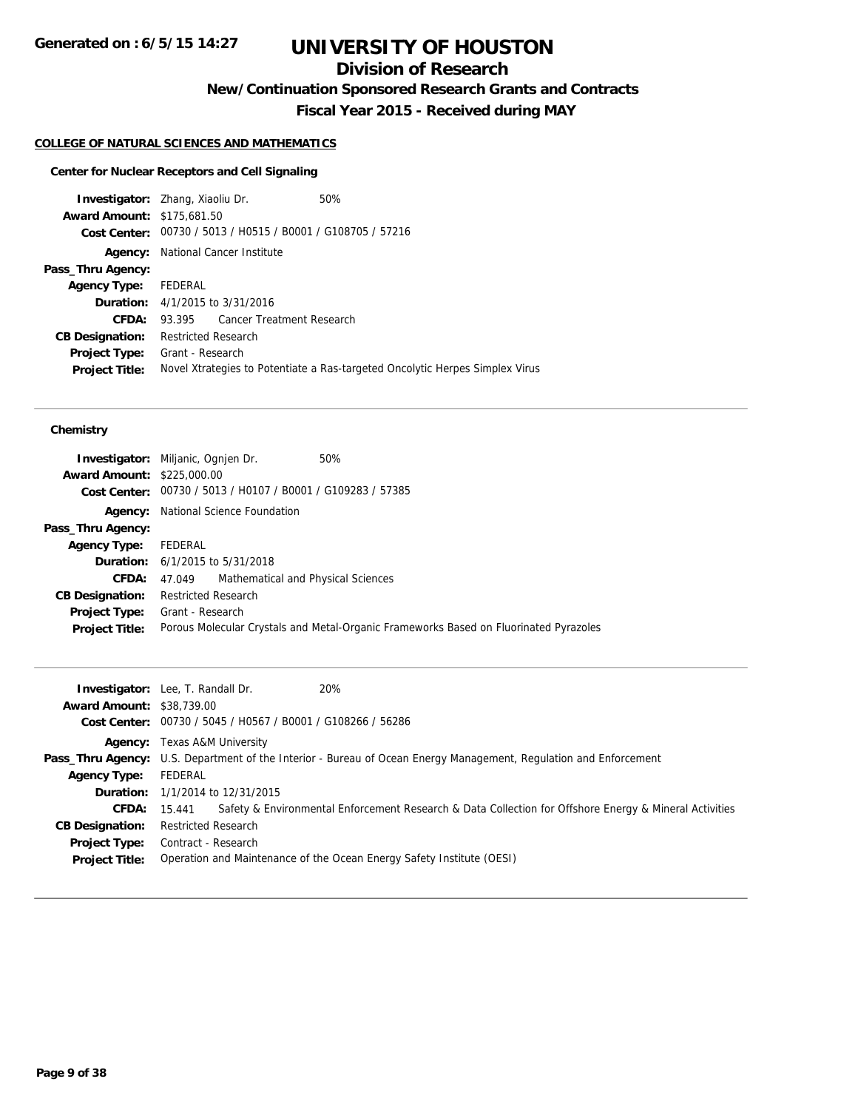## **Division of Research**

**New/Continuation Sponsored Research Grants and Contracts**

**Fiscal Year 2015 - Received during MAY**

### **COLLEGE OF NATURAL SCIENCES AND MATHEMATICS**

#### **Center for Nuclear Receptors and Cell Signaling**

**Investigator:** Zhang, Xiaoliu Dr. 50% **Award Amount:** \$175,681.50 **Cost Center:** 00730 / 5013 / H0515 / B0001 / G108705 / 57216 **Agency:** National Cancer Institute **Pass\_Thru Agency: Agency Type:** FEDERAL **Duration:** 4/1/2015 to 3/31/2016 **CFDA:** 93.395 Cancer Treatment Research **CB Designation:** Restricted Research **Project Type:** Grant - Research **Project Title:** Novel Xtrategies to Potentiate a Ras-targeted Oncolytic Herpes Simplex Virus

| <b>Award Amount: \$225,000.00</b> | <b>Investigator:</b> Miljanic, Ognien Dr.<br>50%<br>Cost Center: 00730 / 5013 / H0107 / B0001 / G109283 / 57385 |
|-----------------------------------|-----------------------------------------------------------------------------------------------------------------|
|                                   | <b>Agency:</b> National Science Foundation                                                                      |
| Pass_Thru Agency:                 |                                                                                                                 |
| <b>Agency Type:</b>               | FEDERAL                                                                                                         |
|                                   | <b>Duration:</b> 6/1/2015 to 5/31/2018                                                                          |
| <b>CFDA:</b>                      | 47.049 Mathematical and Physical Sciences                                                                       |
| <b>CB Designation:</b>            | <b>Restricted Research</b>                                                                                      |
| <b>Project Type:</b>              | Grant - Research                                                                                                |
| <b>Project Title:</b>             | Porous Molecular Crystals and Metal-Organic Frameworks Based on Fluorinated Pyrazoles                           |

| <b>Award Amount: \$38,739.00</b> | <b>Investigator:</b> Lee, T. Randall Dr.<br>20%<br>Cost Center: 00730 / 5045 / H0567 / B0001 / G108266 / 56286           |
|----------------------------------|--------------------------------------------------------------------------------------------------------------------------|
|                                  | <b>Agency:</b> Texas A&M University                                                                                      |
|                                  | <b>Pass_Thru Agency:</b> U.S. Department of the Interior - Bureau of Ocean Energy Management, Regulation and Enforcement |
| <b>Agency Type:</b>              | FEDERAL                                                                                                                  |
|                                  | <b>Duration:</b> 1/1/2014 to 12/31/2015                                                                                  |
|                                  | Safety & Environmental Enforcement Research & Data Collection for Offshore Energy & Mineral Activities<br>CFDA: 15.441   |
| <b>CB Designation:</b>           | <b>Restricted Research</b>                                                                                               |
|                                  | <b>Project Type:</b> Contract - Research                                                                                 |
| <b>Project Title:</b>            | Operation and Maintenance of the Ocean Energy Safety Institute (OESI)                                                    |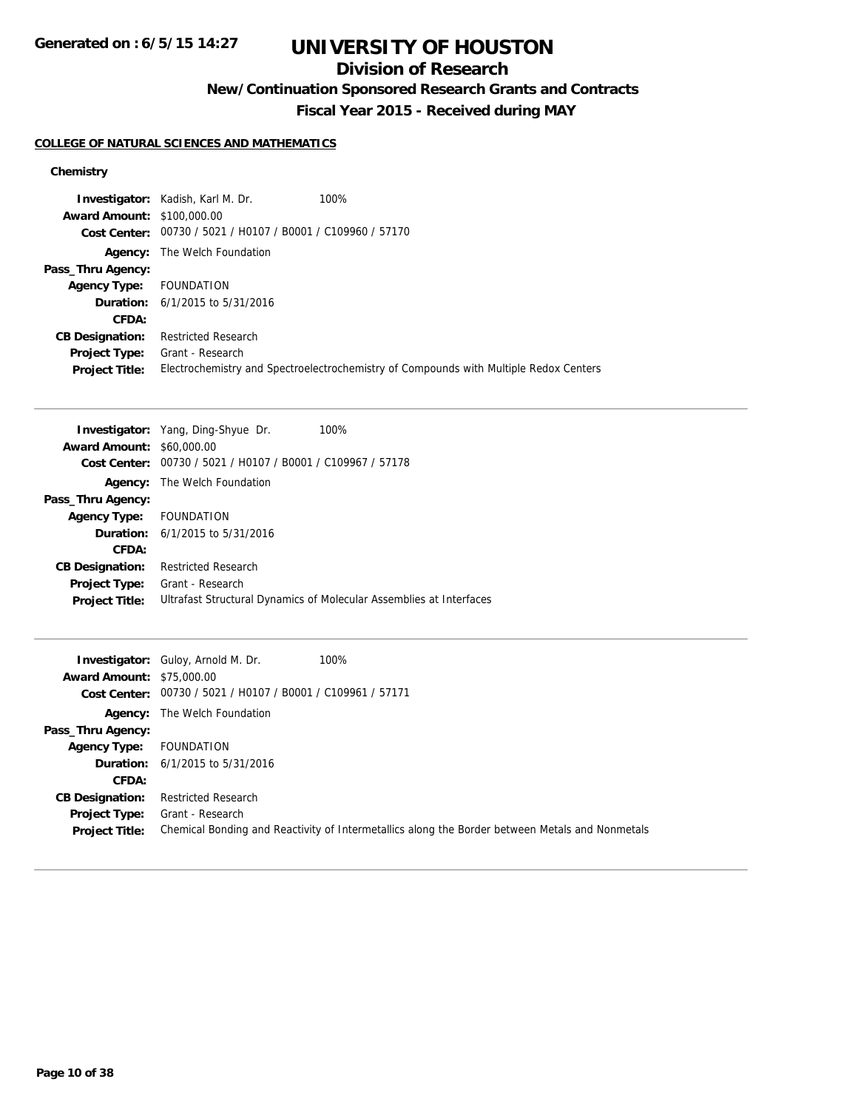**Generated on : 6/5/15 14:27**

# **UNIVERSITY OF HOUSTON**

## **Division of Research**

**New/Continuation Sponsored Research Grants and Contracts**

**Fiscal Year 2015 - Received during MAY**

### **COLLEGE OF NATURAL SCIENCES AND MATHEMATICS**

| <b>Award Amount: \$100,000.00</b> | <b>Investigator:</b> Kadish, Karl M. Dr.                    | 100%                                                                                  |
|-----------------------------------|-------------------------------------------------------------|---------------------------------------------------------------------------------------|
|                                   | Cost Center: 00730 / 5021 / H0107 / B0001 / C109960 / 57170 |                                                                                       |
|                                   | <b>Agency:</b> The Welch Foundation                         |                                                                                       |
| Pass_Thru Agency:                 |                                                             |                                                                                       |
| <b>Agency Type:</b>               | FOUNDATION                                                  |                                                                                       |
|                                   | <b>Duration:</b> $6/1/2015$ to $5/31/2016$                  |                                                                                       |
| CFDA:                             |                                                             |                                                                                       |
| <b>CB Designation:</b>            | <b>Restricted Research</b>                                  |                                                                                       |
| <b>Project Type:</b>              | Grant - Research                                            |                                                                                       |
| <b>Project Title:</b>             |                                                             | Electrochemistry and Spectroelectrochemistry of Compounds with Multiple Redox Centers |

| <b>Investigator:</b> Yang, Ding-Shyue Dr.<br>100%                   |
|---------------------------------------------------------------------|
| <b>Award Amount: \$60,000.00</b>                                    |
| 00730 / 5021 / H0107 / B0001 / C109967 / 57178                      |
| The Welch Foundation                                                |
|                                                                     |
| FOUNDATION                                                          |
| <b>Duration:</b> $6/1/2015$ to $5/31/2016$                          |
|                                                                     |
| <b>Restricted Research</b>                                          |
| Grant - Research                                                    |
| Ultrafast Structural Dynamics of Molecular Assemblies at Interfaces |
|                                                                     |

|                                  | 100%<br><b>Investigator:</b> Guloy, Arnold M. Dr.                                               |
|----------------------------------|-------------------------------------------------------------------------------------------------|
| <b>Award Amount: \$75,000.00</b> |                                                                                                 |
|                                  | Cost Center: 00730 / 5021 / H0107 / B0001 / C109961 / 57171                                     |
|                                  | <b>Agency:</b> The Welch Foundation                                                             |
| Pass_Thru Agency:                |                                                                                                 |
| <b>Agency Type:</b>              | FOUNDATION                                                                                      |
|                                  | <b>Duration:</b> $6/1/2015$ to $5/31/2016$                                                      |
| <b>CFDA:</b>                     |                                                                                                 |
| <b>CB Designation:</b>           | <b>Restricted Research</b>                                                                      |
| <b>Project Type:</b>             | Grant - Research                                                                                |
| <b>Project Title:</b>            | Chemical Bonding and Reactivity of Intermetallics along the Border between Metals and Nonmetals |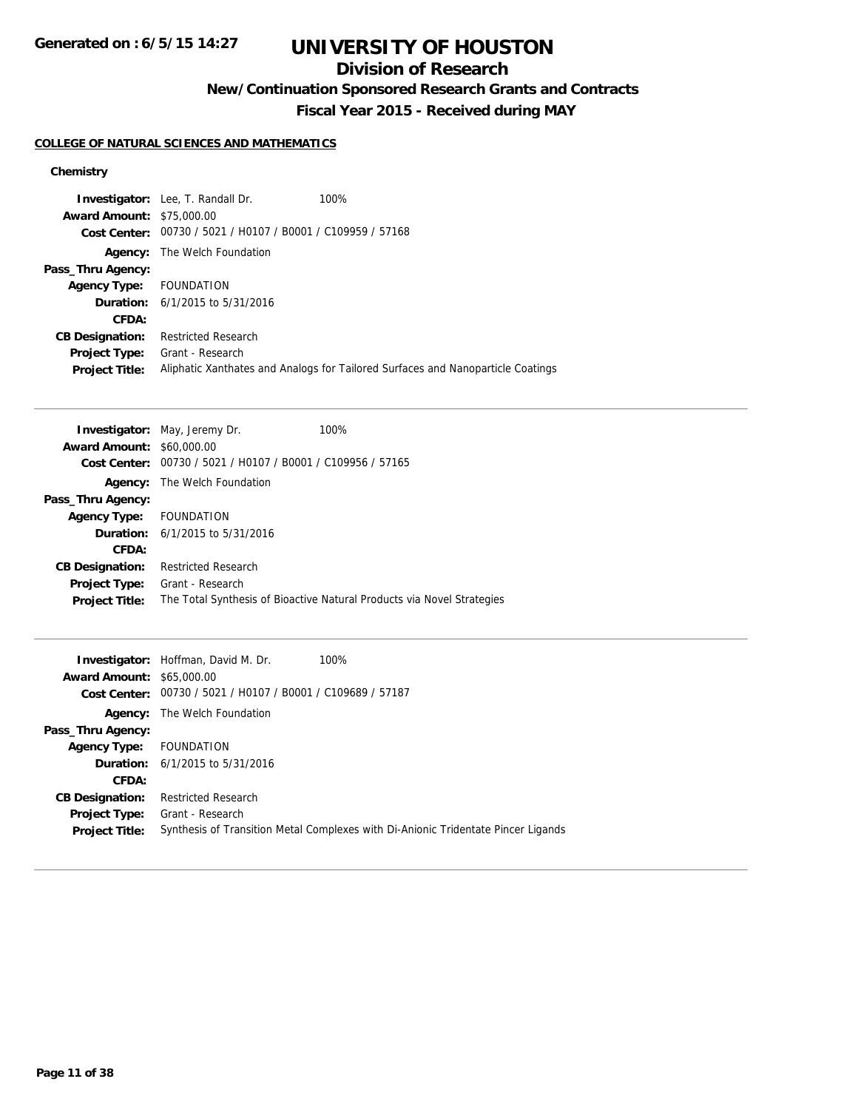## **Division of Research**

**New/Continuation Sponsored Research Grants and Contracts**

**Fiscal Year 2015 - Received during MAY**

### **COLLEGE OF NATURAL SCIENCES AND MATHEMATICS**

|                                  | <b>Investigator:</b> Lee, T. Randall Dr.       | 100%                                                                            |
|----------------------------------|------------------------------------------------|---------------------------------------------------------------------------------|
| <b>Award Amount: \$75,000.00</b> |                                                |                                                                                 |
| Cost Center:                     | 00730 / 5021 / H0107 / B0001 / C109959 / 57168 |                                                                                 |
| Agency:                          | The Welch Foundation                           |                                                                                 |
| Pass_Thru Agency:                |                                                |                                                                                 |
| <b>Agency Type:</b>              | FOUNDATION                                     |                                                                                 |
|                                  | <b>Duration:</b> $6/1/2015$ to $5/31/2016$     |                                                                                 |
| CFDA:                            |                                                |                                                                                 |
| <b>CB Designation:</b>           | <b>Restricted Research</b>                     |                                                                                 |
| <b>Project Type:</b>             | Grant - Research                               |                                                                                 |
| <b>Project Title:</b>            |                                                | Aliphatic Xanthates and Analogs for Tailored Surfaces and Nanoparticle Coatings |

| <b>Investigator:</b> May, Jeremy Dr.           | 100%                                                                   |
|------------------------------------------------|------------------------------------------------------------------------|
| <b>Award Amount: \$60,000.00</b>               |                                                                        |
| 00730 / 5021 / H0107 / B0001 / C109956 / 57165 |                                                                        |
| The Welch Foundation                           |                                                                        |
|                                                |                                                                        |
| FOUNDATION                                     |                                                                        |
| <b>Duration:</b> $6/1/2015$ to $5/31/2016$     |                                                                        |
|                                                |                                                                        |
| <b>Restricted Research</b>                     |                                                                        |
| Grant - Research                               |                                                                        |
|                                                | The Total Synthesis of Bioactive Natural Products via Novel Strategies |
|                                                |                                                                        |

|                                  | <b>Investigator:</b> Hoffman, David M. Dr.                  | 100%                                                                              |
|----------------------------------|-------------------------------------------------------------|-----------------------------------------------------------------------------------|
| <b>Award Amount: \$65,000.00</b> |                                                             |                                                                                   |
|                                  | Cost Center: 00730 / 5021 / H0107 / B0001 / C109689 / 57187 |                                                                                   |
|                                  | <b>Agency:</b> The Welch Foundation                         |                                                                                   |
| Pass_Thru Agency:                |                                                             |                                                                                   |
| Agency Type: FOUNDATION          |                                                             |                                                                                   |
|                                  | <b>Duration:</b> $6/1/2015$ to $5/31/2016$                  |                                                                                   |
| CFDA:                            |                                                             |                                                                                   |
| <b>CB Designation:</b>           | <b>Restricted Research</b>                                  |                                                                                   |
| <b>Project Type:</b>             | Grant - Research                                            |                                                                                   |
| <b>Project Title:</b>            |                                                             | Synthesis of Transition Metal Complexes with Di-Anionic Tridentate Pincer Ligands |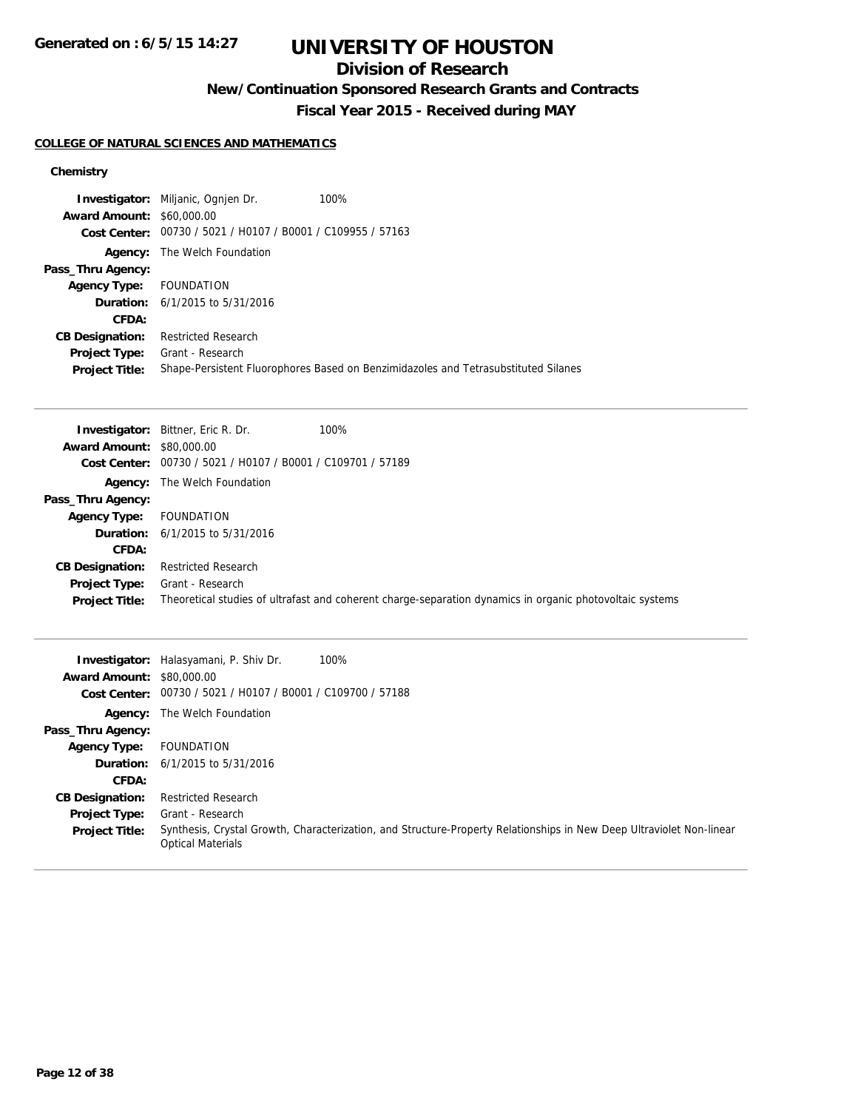## **Division of Research**

**New/Continuation Sponsored Research Grants and Contracts**

**Fiscal Year 2015 - Received during MAY**

### **COLLEGE OF NATURAL SCIENCES AND MATHEMATICS**

|                                  | <b>Investigator:</b> Miljanic, Ognien Dr.                   | 100%                                                                               |
|----------------------------------|-------------------------------------------------------------|------------------------------------------------------------------------------------|
| <b>Award Amount: \$60,000.00</b> |                                                             |                                                                                    |
|                                  | Cost Center: 00730 / 5021 / H0107 / B0001 / C109955 / 57163 |                                                                                    |
| Agency:                          | The Welch Foundation                                        |                                                                                    |
| Pass_Thru Agency:                |                                                             |                                                                                    |
| <b>Agency Type:</b>              | FOUNDATION                                                  |                                                                                    |
|                                  | <b>Duration:</b> $6/1/2015$ to $5/31/2016$                  |                                                                                    |
| CFDA:                            |                                                             |                                                                                    |
| <b>CB Designation:</b>           | <b>Restricted Research</b>                                  |                                                                                    |
| <b>Project Type:</b>             | Grant - Research                                            |                                                                                    |
| <b>Project Title:</b>            |                                                             | Shape-Persistent Fluorophores Based on Benzimidazoles and Tetrasubstituted Silanes |

|                                  | 100%<br><b>Investigator:</b> Bittner, Eric R. Dr.                                                        |  |
|----------------------------------|----------------------------------------------------------------------------------------------------------|--|
| <b>Award Amount: \$80,000.00</b> |                                                                                                          |  |
| Cost Center:                     | 00730 / 5021 / H0107 / B0001 / C109701 / 57189                                                           |  |
| Agency:                          | The Welch Foundation                                                                                     |  |
| Pass_Thru Agency:                |                                                                                                          |  |
| <b>Agency Type:</b>              | FOUNDATION                                                                                               |  |
|                                  | <b>Duration:</b> $6/1/2015$ to $5/31/2016$                                                               |  |
| CFDA:                            |                                                                                                          |  |
| <b>CB Designation:</b>           | <b>Restricted Research</b>                                                                               |  |
| <b>Project Type:</b>             | Grant - Research                                                                                         |  |
| <b>Project Title:</b>            | Theoretical studies of ultrafast and coherent charge-separation dynamics in organic photovoltaic systems |  |

| <b>Award Amount:</b>   | <b>Investigator:</b> Halasyamani, P. Shiv Dr.<br>100%<br>\$80,000.00<br>Cost Center: 00730 / 5021 / H0107 / B0001 / C109700 / 57188              |
|------------------------|--------------------------------------------------------------------------------------------------------------------------------------------------|
|                        | <b>Agency:</b> The Welch Foundation                                                                                                              |
| Pass_Thru Agency:      |                                                                                                                                                  |
| <b>Agency Type:</b>    | FOUNDATION                                                                                                                                       |
|                        | <b>Duration:</b> $6/1/2015$ to $5/31/2016$                                                                                                       |
| CFDA:                  |                                                                                                                                                  |
| <b>CB Designation:</b> | Restricted Research                                                                                                                              |
| <b>Project Type:</b>   | Grant - Research                                                                                                                                 |
| <b>Project Title:</b>  | Synthesis, Crystal Growth, Characterization, and Structure-Property Relationships in New Deep Ultraviolet Non-linear<br><b>Optical Materials</b> |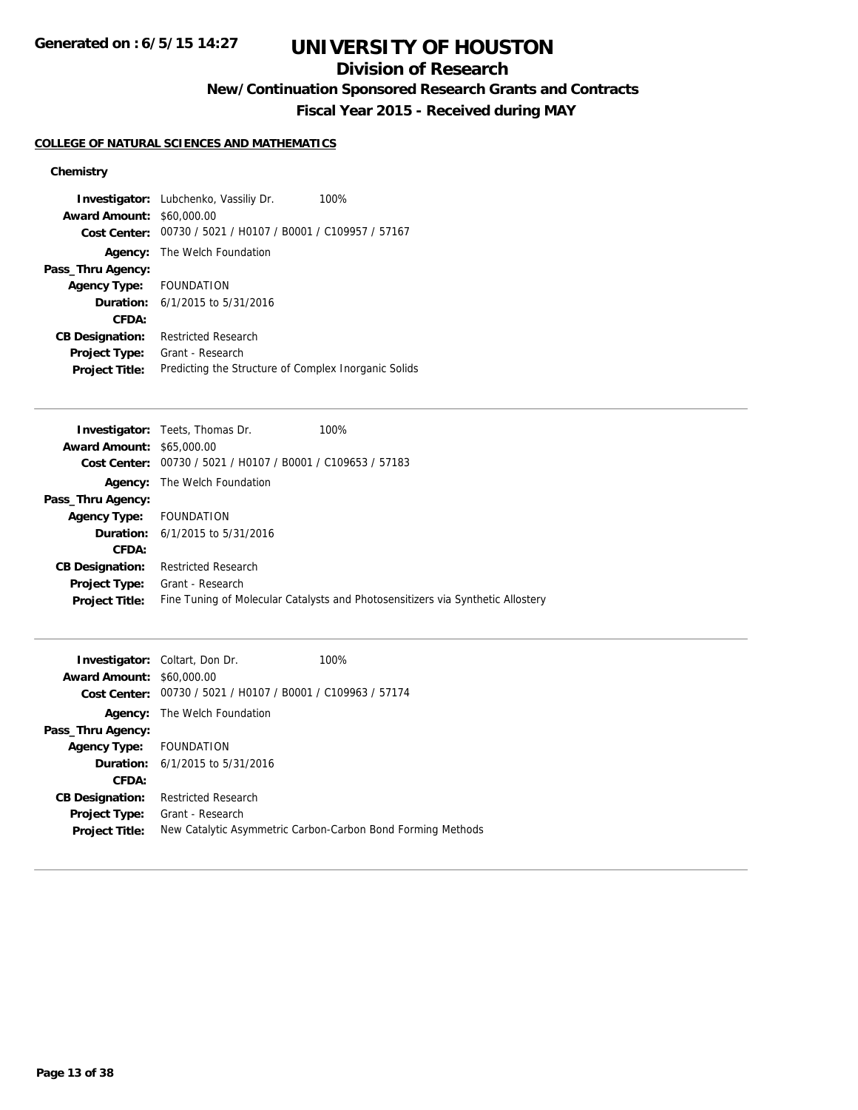## **Division of Research**

**New/Continuation Sponsored Research Grants and Contracts**

**Fiscal Year 2015 - Received during MAY**

### **COLLEGE OF NATURAL SCIENCES AND MATHEMATICS**

|                                  | <b>Investigator:</b> Lubchenko, Vassiliy Dr.<br>100%        |
|----------------------------------|-------------------------------------------------------------|
| <b>Award Amount: \$60,000.00</b> |                                                             |
|                                  | Cost Center: 00730 / 5021 / H0107 / B0001 / C109957 / 57167 |
|                                  | <b>Agency:</b> The Welch Foundation                         |
| Pass_Thru Agency:                |                                                             |
| Agency Type: FOUNDATION          |                                                             |
|                                  | <b>Duration:</b> $6/1/2015$ to $5/31/2016$                  |
| CFDA:                            |                                                             |
| <b>CB Designation:</b>           | <b>Restricted Research</b>                                  |
| <b>Project Type:</b>             | Grant - Research                                            |
| <b>Project Title:</b>            | Predicting the Structure of Complex Inorganic Solids        |

|                                  | <b>Investigator:</b> Teets, Thomas Dr.         | 100%                                                                            |
|----------------------------------|------------------------------------------------|---------------------------------------------------------------------------------|
| <b>Award Amount: \$65,000.00</b> |                                                |                                                                                 |
| Cost Center:                     | 00730 / 5021 / H0107 / B0001 / C109653 / 57183 |                                                                                 |
|                                  | <b>Agency:</b> The Welch Foundation            |                                                                                 |
| Pass_Thru Agency:                |                                                |                                                                                 |
| Agency Type: FOUNDATION          |                                                |                                                                                 |
|                                  | <b>Duration:</b> $6/1/2015$ to $5/31/2016$     |                                                                                 |
| CFDA:                            |                                                |                                                                                 |
| <b>CB Designation:</b>           | <b>Restricted Research</b>                     |                                                                                 |
| <b>Project Type:</b>             | Grant - Research                               |                                                                                 |
| <b>Project Title:</b>            |                                                | Fine Tuning of Molecular Catalysts and Photosensitizers via Synthetic Allostery |
|                                  |                                                |                                                                                 |

| <b>Award Amount: \$60,000.00</b> | <b>Investigator:</b> Coltart, Don Dr.          | 100%                                                        |
|----------------------------------|------------------------------------------------|-------------------------------------------------------------|
| Cost Center:                     | 00730 / 5021 / H0107 / B0001 / C109963 / 57174 |                                                             |
|                                  | <b>Agency:</b> The Welch Foundation            |                                                             |
| Pass_Thru Agency:                |                                                |                                                             |
| Agency Type: FOUNDATION          |                                                |                                                             |
|                                  | <b>Duration:</b> $6/1/2015$ to $5/31/2016$     |                                                             |
| CFDA:                            |                                                |                                                             |
| <b>CB Designation:</b>           | <b>Restricted Research</b>                     |                                                             |
| <b>Project Type:</b>             | Grant - Research                               |                                                             |
| <b>Project Title:</b>            |                                                | New Catalytic Asymmetric Carbon-Carbon Bond Forming Methods |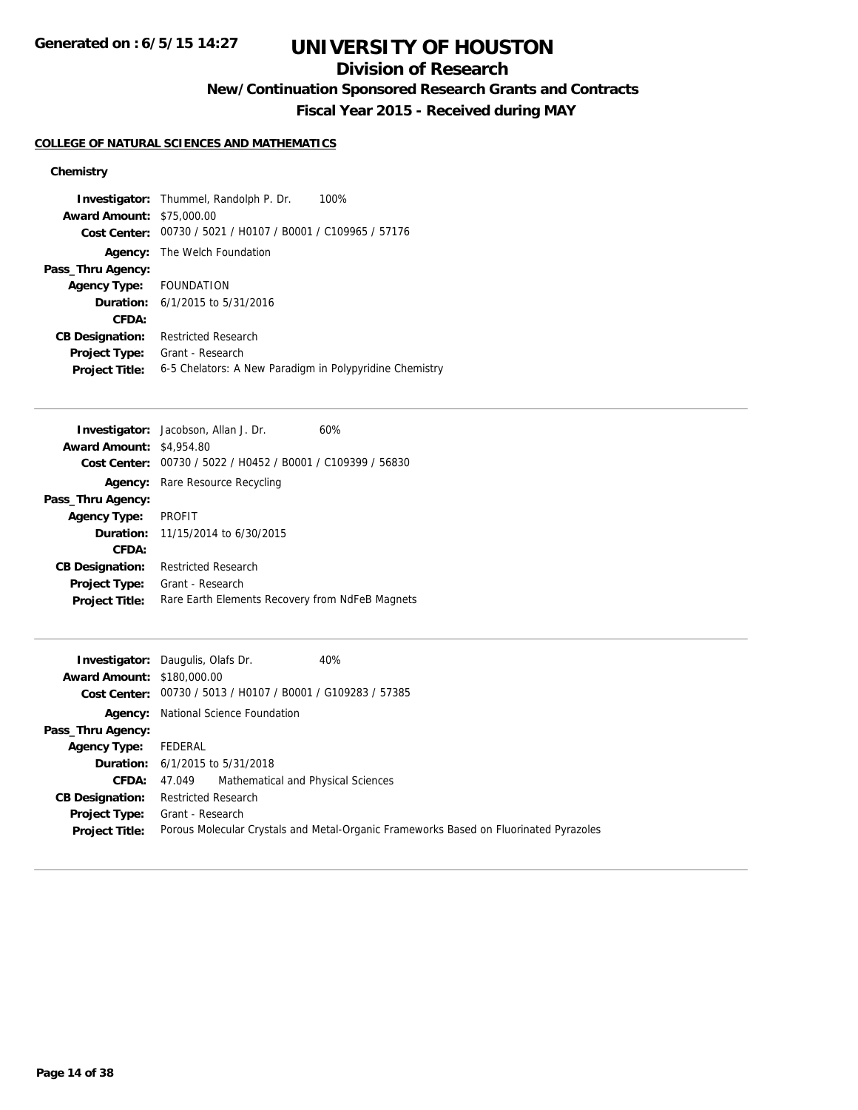## **Division of Research**

**New/Continuation Sponsored Research Grants and Contracts**

**Fiscal Year 2015 - Received during MAY**

### **COLLEGE OF NATURAL SCIENCES AND MATHEMATICS**

| <b>Award Amount: \$75,000.00</b> | <b>Investigator:</b> Thummel, Randolph P. Dr.<br>100%       |
|----------------------------------|-------------------------------------------------------------|
|                                  | Cost Center: 00730 / 5021 / H0107 / B0001 / C109965 / 57176 |
|                                  | <b>Agency:</b> The Welch Foundation                         |
| Pass_Thru Agency:                |                                                             |
| Agency Type: FOUNDATION          |                                                             |
|                                  | <b>Duration:</b> $6/1/2015$ to $5/31/2016$                  |
| CFDA:                            |                                                             |
| <b>CB Designation:</b>           | Restricted Research                                         |
| <b>Project Type:</b>             | Grant - Research                                            |
| <b>Project Title:</b>            | 6-5 Chelators: A New Paradigm in Polypyridine Chemistry     |

| <b>Investigator:</b> Jacobson, Allan J. Dr.<br>60%                       |  |
|--------------------------------------------------------------------------|--|
| <b>Award Amount:</b><br>\$4,954.80                                       |  |
| 00730 / 5022 / H0452 / B0001 / C109399 / 56830<br>Cost Center:           |  |
| Rare Resource Recycling<br>Agency:                                       |  |
| Pass_Thru Agency:                                                        |  |
| <b>PROFIT</b><br><b>Agency Type:</b>                                     |  |
| <b>Duration:</b> $11/15/2014$ to $6/30/2015$                             |  |
| CFDA:                                                                    |  |
| Restricted Research<br><b>CB Designation:</b>                            |  |
| Grant - Research<br><b>Project Type:</b>                                 |  |
| Rare Earth Elements Recovery from NdFeB Magnets<br><b>Project Title:</b> |  |

|                                   | 40%<br><b>Investigator:</b> Daugulis, Olafs Dr.                                       |
|-----------------------------------|---------------------------------------------------------------------------------------|
| <b>Award Amount: \$180,000.00</b> |                                                                                       |
|                                   | Cost Center: 00730 / 5013 / H0107 / B0001 / G109283 / 57385                           |
|                                   | <b>Agency:</b> National Science Foundation                                            |
| Pass_Thru Agency:                 |                                                                                       |
| <b>Agency Type:</b>               | FEDERAL                                                                               |
|                                   | <b>Duration:</b> 6/1/2015 to 5/31/2018                                                |
|                                   | <b>CFDA:</b> 47.049 Mathematical and Physical Sciences                                |
| <b>CB Designation:</b>            | <b>Restricted Research</b>                                                            |
| <b>Project Type:</b>              | Grant - Research                                                                      |
| <b>Project Title:</b>             | Porous Molecular Crystals and Metal-Organic Frameworks Based on Fluorinated Pyrazoles |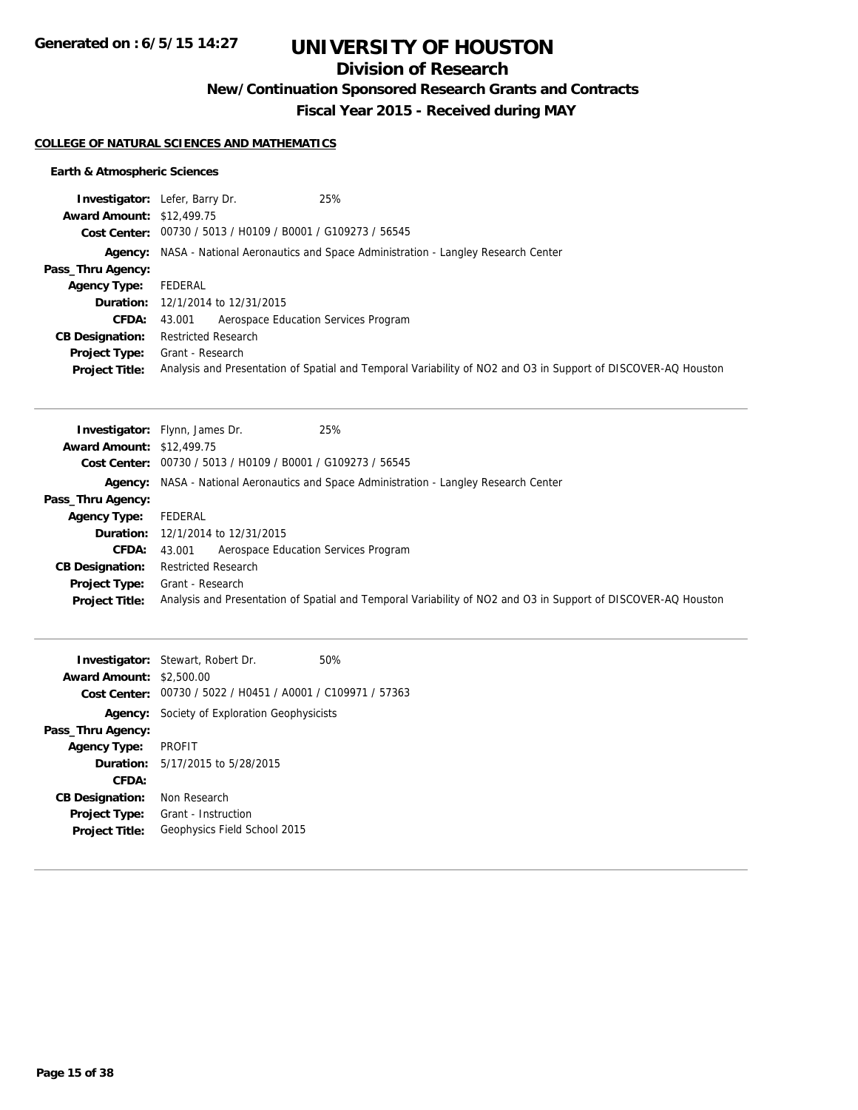**Generated on : 6/5/15 14:27**

# **UNIVERSITY OF HOUSTON**

## **Division of Research**

**New/Continuation Sponsored Research Grants and Contracts**

**Fiscal Year 2015 - Received during MAY**

### **COLLEGE OF NATURAL SCIENCES AND MATHEMATICS**

### **Earth & Atmospheric Sciences**

|                                  | 25%<br><b>Investigator:</b> Lefer, Barry Dr.                                           |                                                                                                               |
|----------------------------------|----------------------------------------------------------------------------------------|---------------------------------------------------------------------------------------------------------------|
| <b>Award Amount: \$12,499.75</b> |                                                                                        |                                                                                                               |
|                                  | Cost Center: 00730 / 5013 / H0109 / B0001 / G109273 / 56545                            |                                                                                                               |
|                                  | Agency: NASA - National Aeronautics and Space Administration - Langley Research Center |                                                                                                               |
| Pass_Thru Agency:                |                                                                                        |                                                                                                               |
| <b>Agency Type:</b>              | FEDERAL                                                                                |                                                                                                               |
|                                  | <b>Duration:</b> 12/1/2014 to 12/31/2015                                               |                                                                                                               |
| <b>CFDA:</b>                     | Aerospace Education Services Program<br>43.001                                         |                                                                                                               |
| <b>CB Designation:</b>           | <b>Restricted Research</b>                                                             |                                                                                                               |
| <b>Project Type:</b>             | Grant - Research                                                                       |                                                                                                               |
| <b>Project Title:</b>            |                                                                                        | Analysis and Presentation of Spatial and Temporal Variability of NO2 and O3 in Support of DISCOVER-AQ Houston |

|                                  | 25%<br><b>Investigator:</b> Flynn, James Dr.                                                                  |  |
|----------------------------------|---------------------------------------------------------------------------------------------------------------|--|
| <b>Award Amount: \$12,499.75</b> |                                                                                                               |  |
|                                  | Cost Center: 00730 / 5013 / H0109 / B0001 / G109273 / 56545                                                   |  |
|                                  | Agency: NASA - National Aeronautics and Space Administration - Langley Research Center                        |  |
| Pass_Thru Agency:                |                                                                                                               |  |
| Agency Type:                     | FEDERAL                                                                                                       |  |
|                                  | <b>Duration:</b> 12/1/2014 to 12/31/2015                                                                      |  |
| <b>CFDA:</b>                     | Aerospace Education Services Program<br>43.001                                                                |  |
| <b>CB Designation:</b>           | <b>Restricted Research</b>                                                                                    |  |
| <b>Project Type:</b>             | Grant - Research                                                                                              |  |
| <b>Project Title:</b>            | Analysis and Presentation of Spatial and Temporal Variability of NO2 and O3 in Support of DISCOVER-AQ Houston |  |

|                                 | <b>Investigator:</b> Stewart, Robert Dr.                    | 50% |
|---------------------------------|-------------------------------------------------------------|-----|
| <b>Award Amount: \$2,500.00</b> |                                                             |     |
|                                 | Cost Center: 00730 / 5022 / H0451 / A0001 / C109971 / 57363 |     |
|                                 | <b>Agency:</b> Society of Exploration Geophysicists         |     |
| Pass_Thru Agency:               |                                                             |     |
| <b>Agency Type:</b>             | <b>PROFIT</b>                                               |     |
|                                 | <b>Duration:</b> $5/17/2015$ to $5/28/2015$                 |     |
| CFDA:                           |                                                             |     |
| <b>CB Designation:</b>          | Non Research                                                |     |
| <b>Project Type:</b>            | Grant - Instruction                                         |     |
| <b>Project Title:</b>           | Geophysics Field School 2015                                |     |
|                                 |                                                             |     |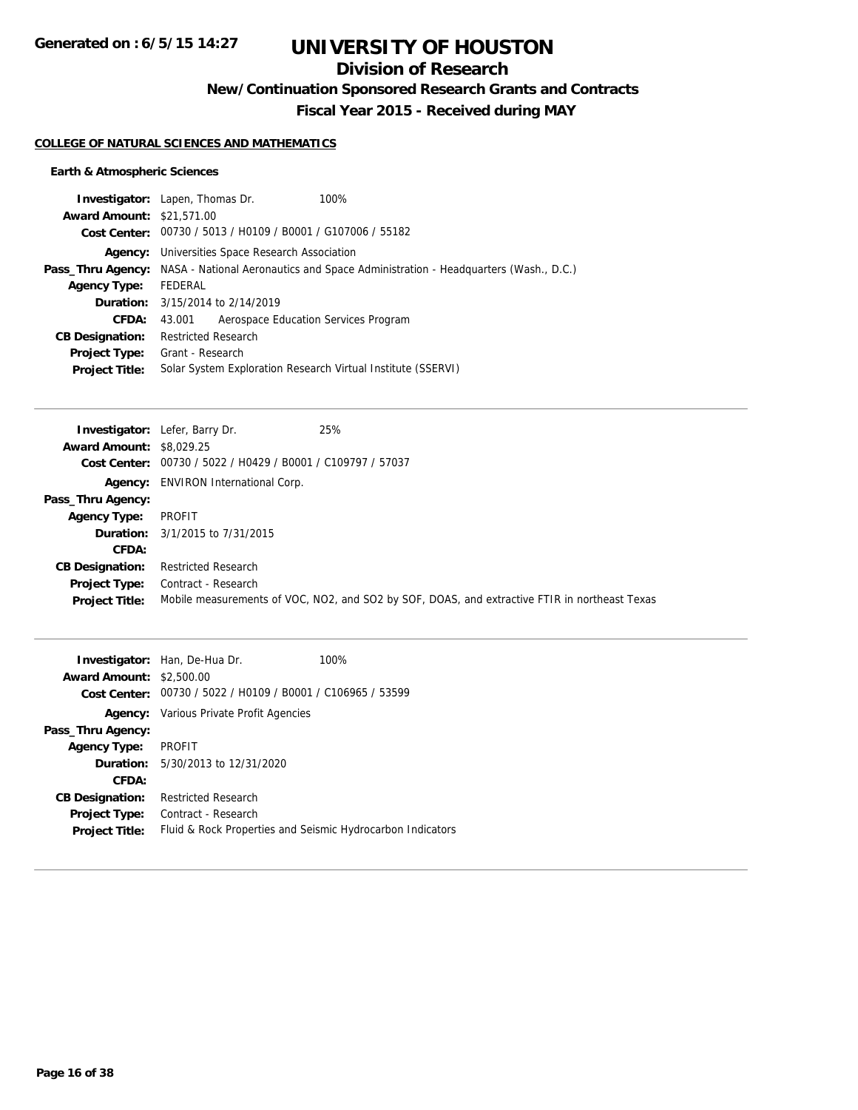## **Division of Research**

**New/Continuation Sponsored Research Grants and Contracts**

**Fiscal Year 2015 - Received during MAY**

### **COLLEGE OF NATURAL SCIENCES AND MATHEMATICS**

### **Earth & Atmospheric Sciences**

|                                  | <b>Investigator:</b> Lapen, Thomas Dr.                       | 100%                                                                                                       |  |  |
|----------------------------------|--------------------------------------------------------------|------------------------------------------------------------------------------------------------------------|--|--|
| <b>Award Amount: \$21,571.00</b> |                                                              |                                                                                                            |  |  |
|                                  |                                                              | Cost Center: 00730 / 5013 / H0109 / B0001 / G107006 / 55182                                                |  |  |
|                                  | <b>Agency:</b> Universities Space Research Association       |                                                                                                            |  |  |
|                                  |                                                              | <b>Pass_Thru Agency:</b> NASA - National Aeronautics and Space Administration - Headquarters (Wash., D.C.) |  |  |
| <b>Agency Type:</b>              | FEDERAL                                                      |                                                                                                            |  |  |
|                                  | <b>Duration:</b> 3/15/2014 to 2/14/2019                      |                                                                                                            |  |  |
| CFDA:                            | 43.001                                                       | Aerospace Education Services Program                                                                       |  |  |
| <b>CB Designation:</b>           | <b>Restricted Research</b>                                   |                                                                                                            |  |  |
| <b>Project Type:</b>             | Grant - Research                                             |                                                                                                            |  |  |
| <b>Project Title:</b>            | Solar System Exploration Research Virtual Institute (SSERVI) |                                                                                                            |  |  |
|                                  |                                                              |                                                                                                            |  |  |

|                                 | 25%<br><b>Investigator:</b> Lefer, Barry Dr.   |                                                                                               |
|---------------------------------|------------------------------------------------|-----------------------------------------------------------------------------------------------|
| <b>Award Amount: \$8,029.25</b> |                                                |                                                                                               |
| Cost Center:                    | 00730 / 5022 / H0429 / B0001 / C109797 / 57037 |                                                                                               |
|                                 | <b>Agency:</b> ENVIRON International Corp.     |                                                                                               |
| Pass_Thru Agency:               |                                                |                                                                                               |
| <b>Agency Type:</b>             | PROFIT                                         |                                                                                               |
|                                 | <b>Duration:</b> 3/1/2015 to 7/31/2015         |                                                                                               |
| CFDA:                           |                                                |                                                                                               |
| <b>CB Designation:</b>          | <b>Restricted Research</b>                     |                                                                                               |
| <b>Project Type:</b>            | Contract - Research                            |                                                                                               |
| <b>Project Title:</b>           |                                                | Mobile measurements of VOC, NO2, and SO2 by SOF, DOAS, and extractive FTIR in northeast Texas |

| <b>Award Amount:</b><br>Cost Center: | <b>Investigator:</b> Han, De-Hua Dr.<br>\$2,500.00<br>00730 / 5022 / H0109 / B0001 / C106965 / 53599 | 100% |
|--------------------------------------|------------------------------------------------------------------------------------------------------|------|
|                                      | <b>Agency:</b> Various Private Profit Agencies                                                       |      |
| Pass_Thru Agency:                    |                                                                                                      |      |
| <b>Agency Type:</b>                  | <b>PROFIT</b>                                                                                        |      |
|                                      | <b>Duration:</b> 5/30/2013 to 12/31/2020                                                             |      |
| CFDA:                                |                                                                                                      |      |
| <b>CB Designation:</b>               | <b>Restricted Research</b>                                                                           |      |
| <b>Project Type:</b>                 | Contract - Research                                                                                  |      |
| <b>Project Title:</b>                | Fluid & Rock Properties and Seismic Hydrocarbon Indicators                                           |      |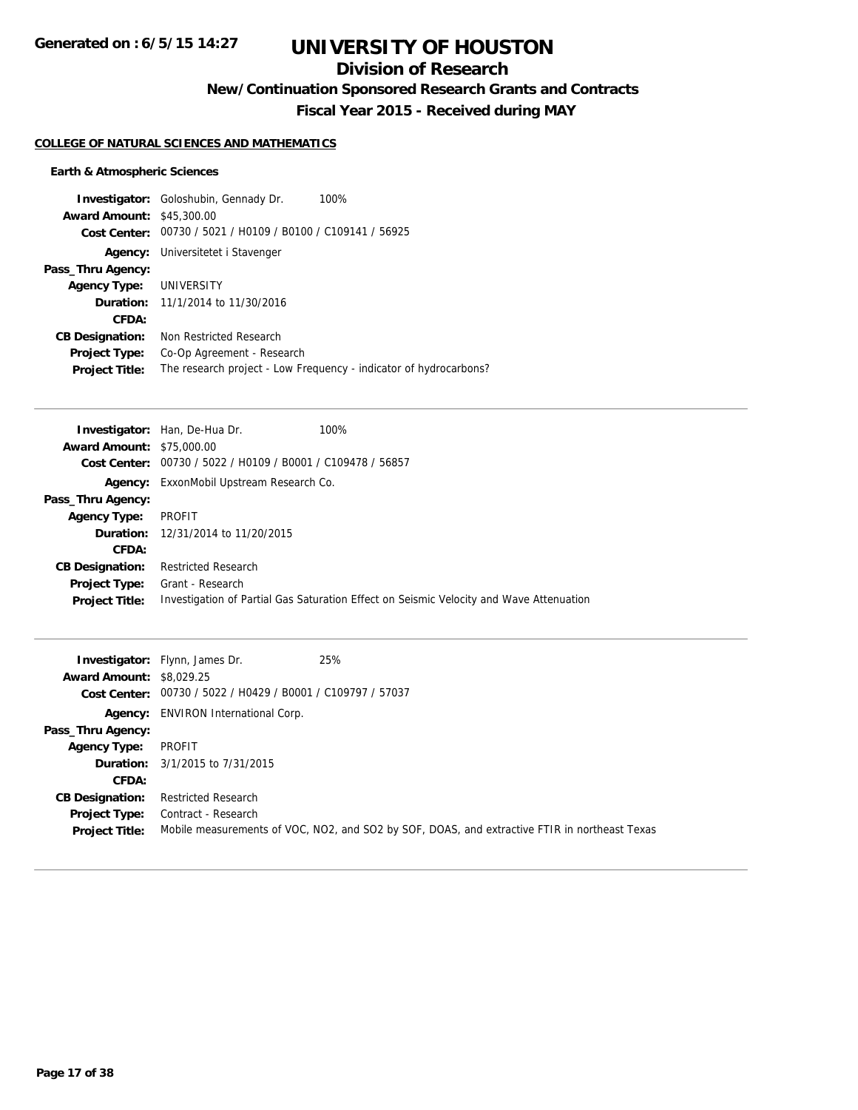## **Division of Research**

**New/Continuation Sponsored Research Grants and Contracts**

**Fiscal Year 2015 - Received during MAY**

### **COLLEGE OF NATURAL SCIENCES AND MATHEMATICS**

### **Earth & Atmospheric Sciences**

|                                  | <b>Investigator:</b> Goloshubin, Gennady Dr.   | 100%                                                              |
|----------------------------------|------------------------------------------------|-------------------------------------------------------------------|
| <b>Award Amount: \$45,300.00</b> |                                                |                                                                   |
| Cost Center:                     | 00730 / 5021 / H0109 / B0100 / C109141 / 56925 |                                                                   |
| Agency:                          | Universitetet i Stavenger                      |                                                                   |
| Pass_Thru Agency:                |                                                |                                                                   |
| <b>Agency Type: UNIVERSITY</b>   |                                                |                                                                   |
|                                  | <b>Duration:</b> $11/1/2014$ to $11/30/2016$   |                                                                   |
| CFDA:                            |                                                |                                                                   |
| <b>CB Designation:</b>           | Non Restricted Research                        |                                                                   |
| <b>Project Type:</b>             | Co-Op Agreement - Research                     |                                                                   |
| <b>Project Title:</b>            |                                                | The research project - Low Frequency - indicator of hydrocarbons? |

|                                  | <b>Investigator:</b> Han, De-Hua Dr.                        | 100%                                                                                    |
|----------------------------------|-------------------------------------------------------------|-----------------------------------------------------------------------------------------|
| <b>Award Amount: \$75,000.00</b> |                                                             |                                                                                         |
|                                  | Cost Center: 00730 / 5022 / H0109 / B0001 / C109478 / 56857 |                                                                                         |
|                                  | <b>Agency:</b> ExxonMobil Upstream Research Co.             |                                                                                         |
| Pass_Thru Agency:                |                                                             |                                                                                         |
| <b>Agency Type:</b>              | PROFIT                                                      |                                                                                         |
|                                  | <b>Duration:</b> 12/31/2014 to 11/20/2015                   |                                                                                         |
| CFDA:                            |                                                             |                                                                                         |
| <b>CB Designation:</b>           | <b>Restricted Research</b>                                  |                                                                                         |
| <b>Project Type:</b>             | Grant - Research                                            |                                                                                         |
| <b>Project Title:</b>            |                                                             | Investigation of Partial Gas Saturation Effect on Seismic Velocity and Wave Attenuation |

|                                 | <b>Investigator:</b> Flynn, James Dr.                       | 25%                                                                                           |
|---------------------------------|-------------------------------------------------------------|-----------------------------------------------------------------------------------------------|
| <b>Award Amount: \$8,029.25</b> |                                                             |                                                                                               |
|                                 | Cost Center: 00730 / 5022 / H0429 / B0001 / C109797 / 57037 |                                                                                               |
|                                 | <b>Agency:</b> ENVIRON International Corp.                  |                                                                                               |
| Pass_Thru Agency:               |                                                             |                                                                                               |
| <b>Agency Type:</b>             | PROFIT                                                      |                                                                                               |
|                                 | <b>Duration:</b> 3/1/2015 to 7/31/2015                      |                                                                                               |
| <b>CFDA:</b>                    |                                                             |                                                                                               |
| <b>CB Designation:</b>          | <b>Restricted Research</b>                                  |                                                                                               |
| <b>Project Type:</b>            | Contract - Research                                         |                                                                                               |
| <b>Project Title:</b>           |                                                             | Mobile measurements of VOC, NO2, and SO2 by SOF, DOAS, and extractive FTIR in northeast Texas |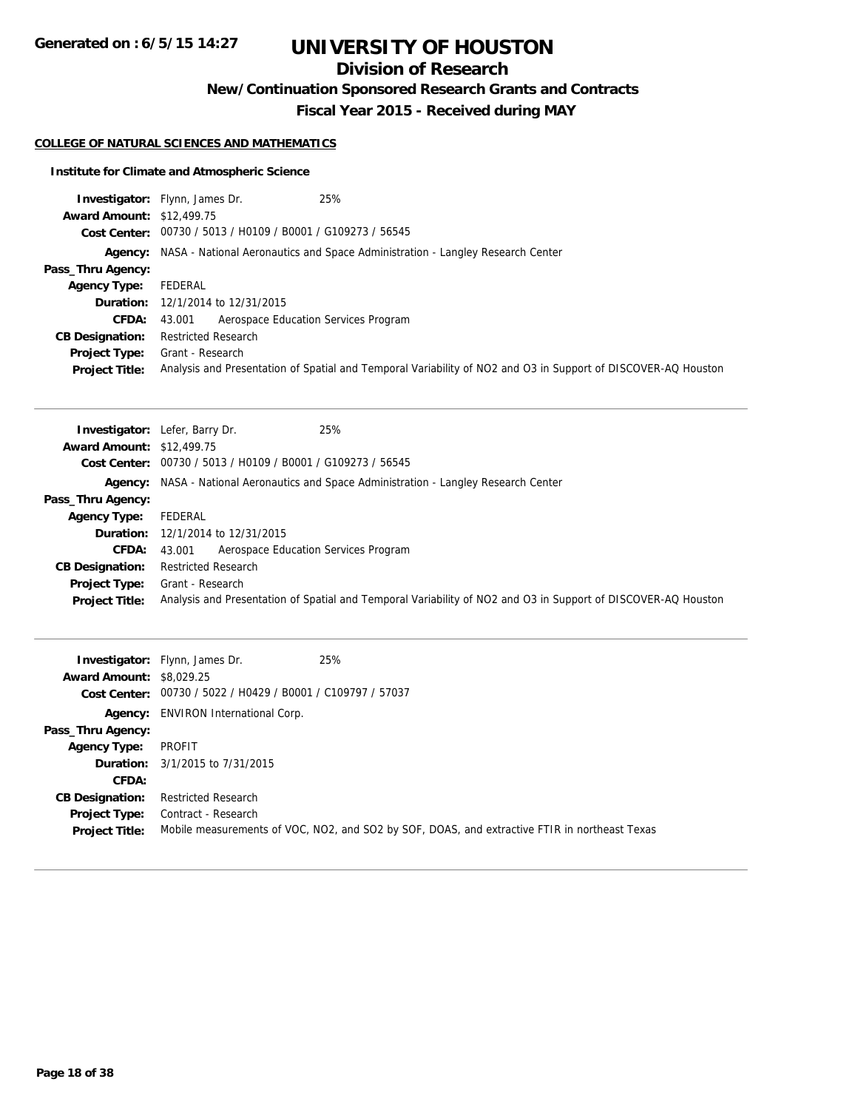## **Division of Research**

**New/Continuation Sponsored Research Grants and Contracts**

**Fiscal Year 2015 - Received during MAY**

### **COLLEGE OF NATURAL SCIENCES AND MATHEMATICS**

### **Institute for Climate and Atmospheric Science**

|                                  | 25%<br><b>Investigator:</b> Flynn, James Dr.                |                                                                                                               |
|----------------------------------|-------------------------------------------------------------|---------------------------------------------------------------------------------------------------------------|
| <b>Award Amount: \$12,499.75</b> |                                                             |                                                                                                               |
|                                  | Cost Center: 00730 / 5013 / H0109 / B0001 / G109273 / 56545 |                                                                                                               |
|                                  |                                                             | Agency: NASA - National Aeronautics and Space Administration - Langley Research Center                        |
| Pass_Thru Agency:                |                                                             |                                                                                                               |
| <b>Agency Type:</b>              | FEDERAL                                                     |                                                                                                               |
|                                  | <b>Duration:</b> 12/1/2014 to 12/31/2015                    |                                                                                                               |
| <b>CFDA:</b>                     | Aerospace Education Services Program<br>43.001              |                                                                                                               |
| <b>CB Designation:</b>           | <b>Restricted Research</b>                                  |                                                                                                               |
| <b>Project Type:</b>             | Grant - Research                                            |                                                                                                               |
| <b>Project Title:</b>            |                                                             | Analysis and Presentation of Spatial and Temporal Variability of NO2 and O3 in Support of DISCOVER-AQ Houston |

|                                  | 25%<br><b>Investigator:</b> Lefer, Barry Dr.                |                                                                                                               |
|----------------------------------|-------------------------------------------------------------|---------------------------------------------------------------------------------------------------------------|
| <b>Award Amount: \$12,499.75</b> |                                                             |                                                                                                               |
|                                  | Cost Center: 00730 / 5013 / H0109 / B0001 / G109273 / 56545 |                                                                                                               |
|                                  |                                                             | Agency: NASA - National Aeronautics and Space Administration - Langley Research Center                        |
| Pass_Thru Agency:                |                                                             |                                                                                                               |
| <b>Agency Type:</b>              | FEDERAL                                                     |                                                                                                               |
|                                  | <b>Duration:</b> 12/1/2014 to 12/31/2015                    |                                                                                                               |
| <b>CFDA:</b>                     | Aerospace Education Services Program<br>43.001              |                                                                                                               |
| <b>CB Designation:</b>           | <b>Restricted Research</b>                                  |                                                                                                               |
| <b>Project Type:</b>             | Grant - Research                                            |                                                                                                               |
| <b>Project Title:</b>            |                                                             | Analysis and Presentation of Spatial and Temporal Variability of NO2 and O3 in Support of DISCOVER-AQ Houston |

|                                 | <b>Investigator:</b> Flynn, James Dr.                       | 25%                                                                                           |
|---------------------------------|-------------------------------------------------------------|-----------------------------------------------------------------------------------------------|
| <b>Award Amount: \$8,029.25</b> |                                                             |                                                                                               |
|                                 | Cost Center: 00730 / 5022 / H0429 / B0001 / C109797 / 57037 |                                                                                               |
|                                 | <b>Agency:</b> ENVIRON International Corp.                  |                                                                                               |
| Pass_Thru Agency:               |                                                             |                                                                                               |
| <b>Agency Type:</b>             | PROFIT                                                      |                                                                                               |
|                                 | <b>Duration:</b> 3/1/2015 to 7/31/2015                      |                                                                                               |
| <b>CFDA:</b>                    |                                                             |                                                                                               |
| <b>CB Designation:</b>          | <b>Restricted Research</b>                                  |                                                                                               |
| <b>Project Type:</b>            | Contract - Research                                         |                                                                                               |
| <b>Project Title:</b>           |                                                             | Mobile measurements of VOC, NO2, and SO2 by SOF, DOAS, and extractive FTIR in northeast Texas |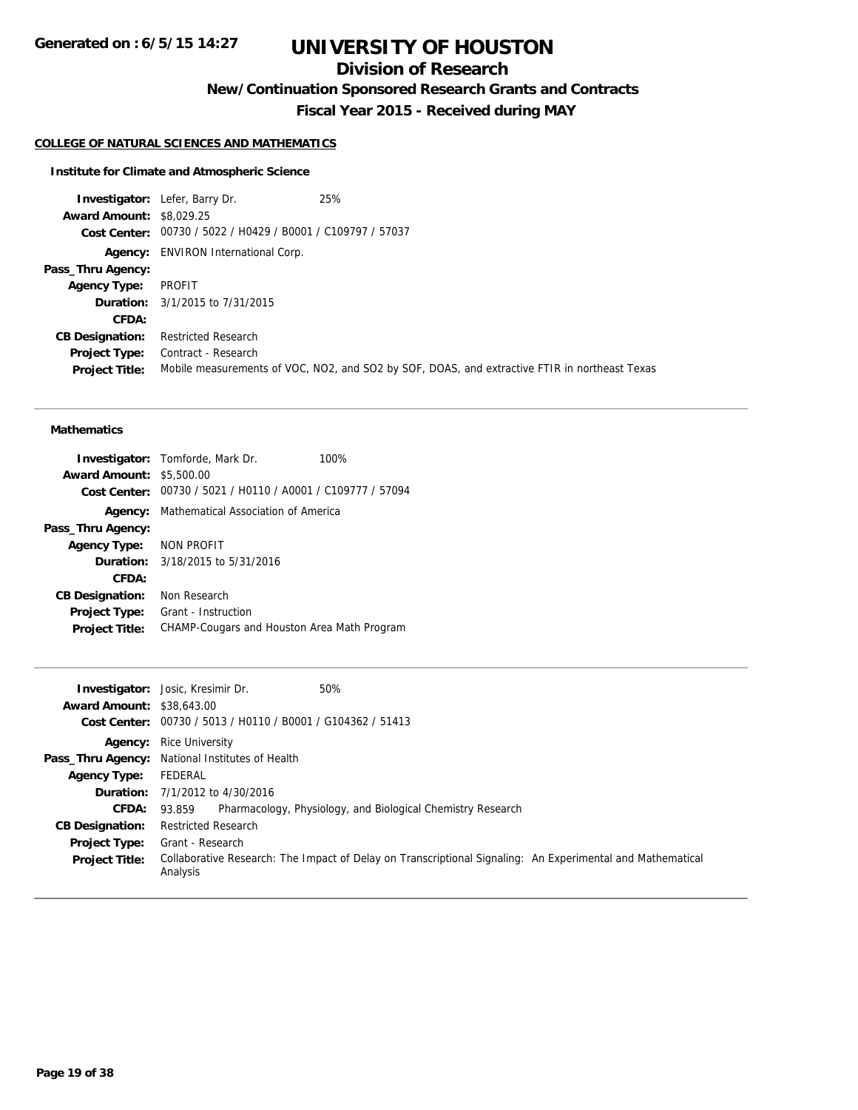## **Division of Research**

**New/Continuation Sponsored Research Grants and Contracts**

**Fiscal Year 2015 - Received during MAY**

### **COLLEGE OF NATURAL SCIENCES AND MATHEMATICS**

#### **Institute for Climate and Atmospheric Science**

**Investigator:** Lefer, Barry Dr. 25% **Award Amount:** \$8,029.25 **Cost Center:** 00730 / 5022 / H0429 / B0001 / C109797 / 57037 **Agency:** ENVIRON International Corp. **Pass\_Thru Agency: Agency Type:** PROFIT **Duration:** 3/1/2015 to 7/31/2015 **CFDA: CB Designation:** Restricted Research **Project Type:** Contract - Research **Project Title:** Mobile measurements of VOC, NO2, and SO2 by SOF, DOAS, and extractive FTIR in northeast Texas

### **Mathematics**

|                                 | <b>Investigator:</b> Tomforde, Mark Dr.                     | 100% |
|---------------------------------|-------------------------------------------------------------|------|
| <b>Award Amount: \$5,500.00</b> |                                                             |      |
|                                 | Cost Center: 00730 / 5021 / H0110 / A0001 / C109777 / 57094 |      |
| Agency:                         | Mathematical Association of America                         |      |
| Pass_Thru Agency:               |                                                             |      |
| Agency Type: NON PROFIT         |                                                             |      |
|                                 | <b>Duration:</b> 3/18/2015 to 5/31/2016                     |      |
| CFDA:                           |                                                             |      |
| <b>CB Designation:</b>          | Non Research                                                |      |
| <b>Project Type:</b>            | Grant - Instruction                                         |      |
| <b>Project Title:</b>           | CHAMP-Cougars and Houston Area Math Program                 |      |

|                                  | 50%<br><b>Investigator:</b> Josic, Kresimir Dr.                                                                        |  |  |
|----------------------------------|------------------------------------------------------------------------------------------------------------------------|--|--|
| <b>Award Amount: \$38,643.00</b> |                                                                                                                        |  |  |
| Cost Center:                     | 00730 / 5013 / H0110 / B0001 / G104362 / 51413                                                                         |  |  |
|                                  | <b>Agency:</b> Rice University                                                                                         |  |  |
|                                  | Pass_Thru Agency: National Institutes of Health                                                                        |  |  |
| <b>Agency Type:</b>              | FEDERAL                                                                                                                |  |  |
|                                  | <b>Duration:</b> $7/1/2012$ to $4/30/2016$                                                                             |  |  |
| CFDA:                            | Pharmacology, Physiology, and Biological Chemistry Research<br>93.859                                                  |  |  |
| <b>CB Designation:</b>           | <b>Restricted Research</b>                                                                                             |  |  |
| <b>Project Type:</b>             | Grant - Research                                                                                                       |  |  |
| <b>Project Title:</b>            | Collaborative Research: The Impact of Delay on Transcriptional Signaling: An Experimental and Mathematical<br>Analysis |  |  |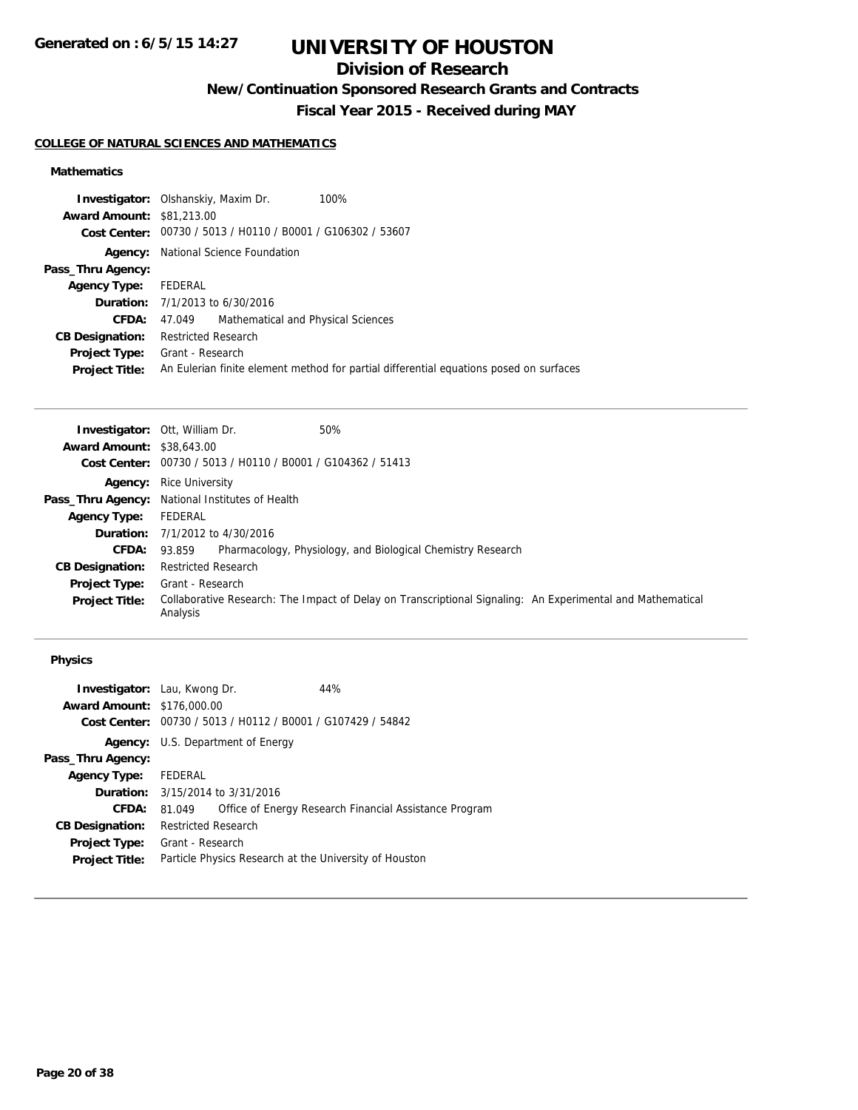## **Division of Research**

**New/Continuation Sponsored Research Grants and Contracts**

**Fiscal Year 2015 - Received during MAY**

### **COLLEGE OF NATURAL SCIENCES AND MATHEMATICS**

### **Mathematics**

|                                  | 100%<br><b>Investigator:</b> Olshanskiy, Maxim Dr.                                     |
|----------------------------------|----------------------------------------------------------------------------------------|
| <b>Award Amount: \$81,213,00</b> |                                                                                        |
|                                  | Cost Center: 00730 / 5013 / H0110 / B0001 / G106302 / 53607                            |
|                                  | <b>Agency:</b> National Science Foundation                                             |
| Pass_Thru Agency:                |                                                                                        |
| Agency Type: FEDERAL             |                                                                                        |
|                                  | <b>Duration:</b> 7/1/2013 to 6/30/2016                                                 |
| <b>CFDA:</b>                     | Mathematical and Physical Sciences<br>47.049                                           |
| <b>CB Designation:</b>           | <b>Restricted Research</b>                                                             |
| <b>Project Type:</b>             | Grant - Research                                                                       |
| <b>Project Title:</b>            | An Eulerian finite element method for partial differential equations posed on surfaces |

|                                  | 50%<br><b>Investigator: Ott, William Dr.</b>                                                                           |
|----------------------------------|------------------------------------------------------------------------------------------------------------------------|
| <b>Award Amount: \$38,643.00</b> |                                                                                                                        |
|                                  | Cost Center: 00730 / 5013 / H0110 / B0001 / G104362 / 51413                                                            |
|                                  | <b>Agency:</b> Rice University                                                                                         |
|                                  | Pass_Thru Agency: National Institutes of Health                                                                        |
| <b>Agency Type:</b>              | FEDERAL                                                                                                                |
|                                  | <b>Duration:</b> 7/1/2012 to 4/30/2016                                                                                 |
| <b>CFDA: 93.859</b>              | Pharmacology, Physiology, and Biological Chemistry Research                                                            |
| <b>CB Designation:</b>           | <b>Restricted Research</b>                                                                                             |
| <b>Project Type:</b>             | Grant - Research                                                                                                       |
| <b>Project Title:</b>            | Collaborative Research: The Impact of Delay on Transcriptional Signaling: An Experimental and Mathematical<br>Analysis |

| <b>Investigator:</b> Lau, Kwong Dr.   |                            |                                                | 44%                                                    |
|---------------------------------------|----------------------------|------------------------------------------------|--------------------------------------------------------|
| <b>Award Amount: \$176,000.00</b>     |                            |                                                |                                                        |
| Cost Center:                          |                            | 00730 / 5013 / H0112 / B0001 / G107429 / 54842 |                                                        |
|                                       |                            | <b>Agency:</b> U.S. Department of Energy       |                                                        |
| Pass_Thru Agency:                     |                            |                                                |                                                        |
| Agency Type: FEDERAL                  |                            |                                                |                                                        |
|                                       |                            | <b>Duration:</b> 3/15/2014 to 3/31/2016        |                                                        |
| <b>CFDA:</b>                          | 81.049                     |                                                | Office of Energy Research Financial Assistance Program |
| <b>CB Designation:</b>                | <b>Restricted Research</b> |                                                |                                                        |
| <b>Project Type:</b> Grant - Research |                            |                                                |                                                        |
| <b>Project Title:</b>                 |                            |                                                | Particle Physics Research at the University of Houston |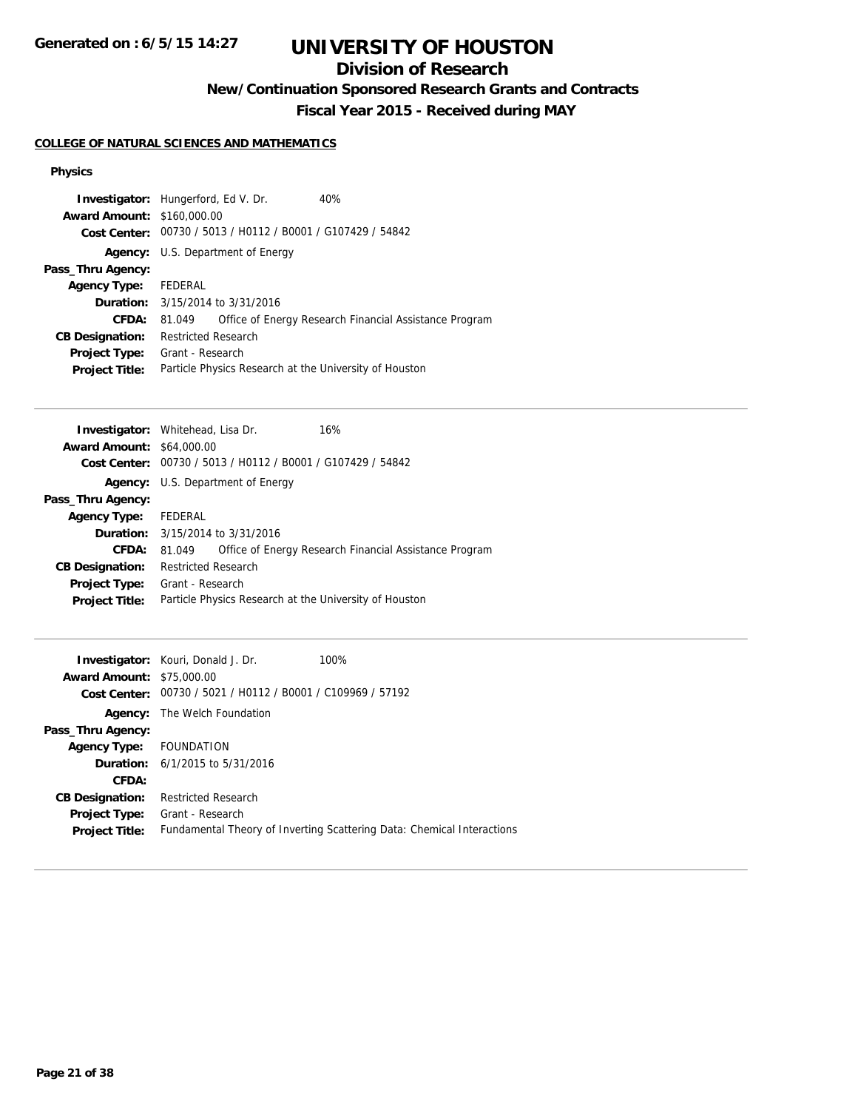**Generated on : 6/5/15 14:27**

# **UNIVERSITY OF HOUSTON**

## **Division of Research**

**New/Continuation Sponsored Research Grants and Contracts**

**Fiscal Year 2015 - Received during MAY**

### **COLLEGE OF NATURAL SCIENCES AND MATHEMATICS**

| <b>Investigator:</b> Hungerford, Ed V. Dr.<br><b>Award Amount: \$160,000.00</b> |                                                        | Cost Center: 00730 / 5013 / H0112 / B0001 / G107429 / 54842 | 40%                                                    |
|---------------------------------------------------------------------------------|--------------------------------------------------------|-------------------------------------------------------------|--------------------------------------------------------|
|                                                                                 |                                                        | <b>Agency:</b> U.S. Department of Energy                    |                                                        |
| Pass_Thru Agency:                                                               |                                                        |                                                             |                                                        |
| <b>Agency Type:</b>                                                             | FEDERAL                                                |                                                             |                                                        |
|                                                                                 |                                                        | <b>Duration:</b> 3/15/2014 to 3/31/2016                     |                                                        |
| <b>CFDA:</b>                                                                    | 81.049                                                 |                                                             | Office of Energy Research Financial Assistance Program |
| <b>CB Designation:</b>                                                          | <b>Restricted Research</b>                             |                                                             |                                                        |
| <b>Project Type:</b>                                                            | Grant - Research                                       |                                                             |                                                        |
| <b>Project Title:</b>                                                           | Particle Physics Research at the University of Houston |                                                             |                                                        |

| <b>Investigator:</b> Whitehead, Lisa Dr. |                            |                                                             | 16%                                                    |
|------------------------------------------|----------------------------|-------------------------------------------------------------|--------------------------------------------------------|
| <b>Award Amount: \$64,000.00</b>         |                            |                                                             |                                                        |
|                                          |                            | Cost Center: 00730 / 5013 / H0112 / B0001 / G107429 / 54842 |                                                        |
|                                          |                            | <b>Agency:</b> U.S. Department of Energy                    |                                                        |
| Pass_Thru Agency:                        |                            |                                                             |                                                        |
| Agency Type: FEDERAL                     |                            |                                                             |                                                        |
|                                          |                            | <b>Duration:</b> 3/15/2014 to 3/31/2016                     |                                                        |
| <b>CFDA:</b>                             | 81.049                     |                                                             | Office of Energy Research Financial Assistance Program |
| <b>CB Designation:</b>                   | <b>Restricted Research</b> |                                                             |                                                        |
| Project Type:                            | Grant - Research           |                                                             |                                                        |
| <b>Project Title:</b>                    |                            |                                                             | Particle Physics Research at the University of Houston |
|                                          |                            |                                                             |                                                        |

| <b>Award Amount: \$75,000.00</b> | <b>Investigator:</b> Kouri, Donald J. Dr.<br>Cost Center: 00730 / 5021 / H0112 / B0001 / C109969 / 57192 | 100%                                                                   |
|----------------------------------|----------------------------------------------------------------------------------------------------------|------------------------------------------------------------------------|
|                                  | <b>Agency:</b> The Welch Foundation                                                                      |                                                                        |
| Pass_Thru Agency:                |                                                                                                          |                                                                        |
| Agency Type: FOUNDATION          |                                                                                                          |                                                                        |
|                                  | <b>Duration:</b> 6/1/2015 to 5/31/2016                                                                   |                                                                        |
| CFDA:                            |                                                                                                          |                                                                        |
| <b>CB Designation:</b>           | <b>Restricted Research</b>                                                                               |                                                                        |
| <b>Project Type:</b>             | Grant - Research                                                                                         |                                                                        |
| <b>Project Title:</b>            |                                                                                                          | Fundamental Theory of Inverting Scattering Data: Chemical Interactions |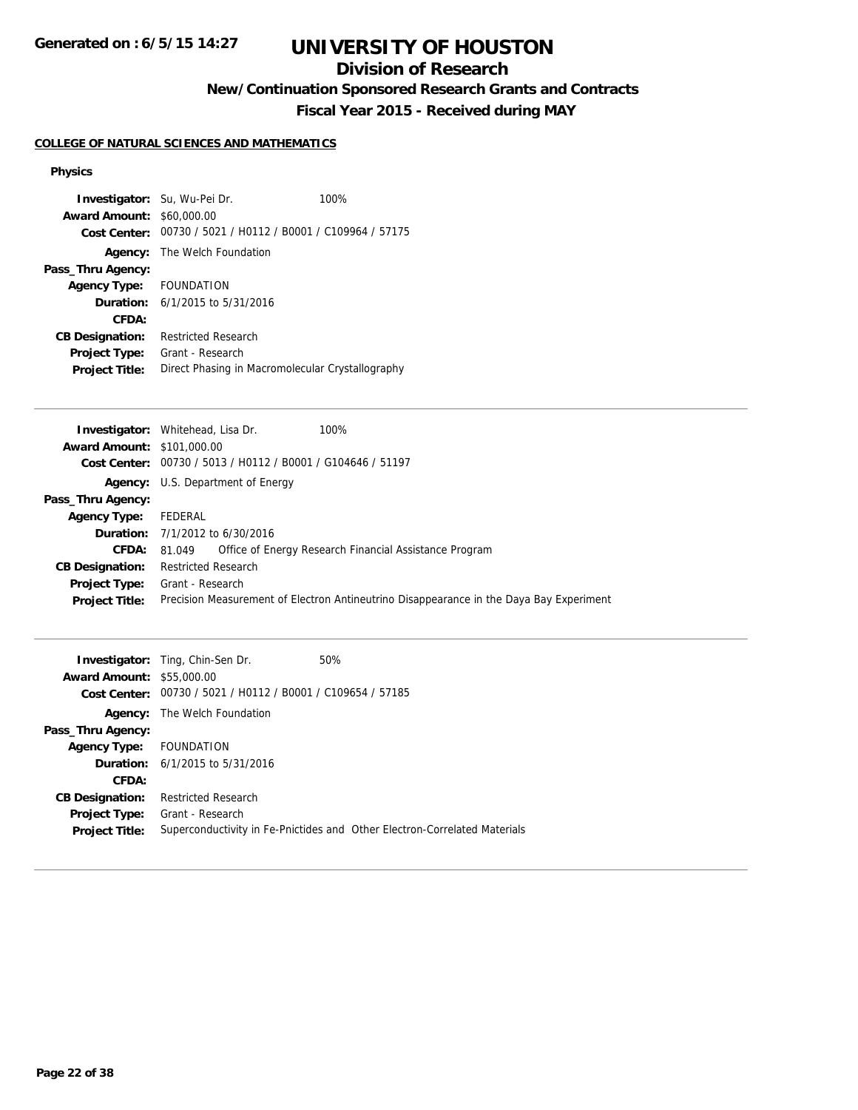## **Division of Research**

**New/Continuation Sponsored Research Grants and Contracts**

**Fiscal Year 2015 - Received during MAY**

### **COLLEGE OF NATURAL SCIENCES AND MATHEMATICS**

| <b>Investigator:</b> Su, Wu-Pei Dr. |                                                             | 100% |
|-------------------------------------|-------------------------------------------------------------|------|
| <b>Award Amount: \$60,000.00</b>    |                                                             |      |
|                                     | Cost Center: 00730 / 5021 / H0112 / B0001 / C109964 / 57175 |      |
|                                     | <b>Agency:</b> The Welch Foundation                         |      |
| Pass_Thru Agency:                   |                                                             |      |
| Agency Type: FOUNDATION             |                                                             |      |
|                                     | <b>Duration:</b> $6/1/2015$ to $5/31/2016$                  |      |
| CFDA:                               |                                                             |      |
| <b>CB Designation:</b>              | <b>Restricted Research</b>                                  |      |
| <b>Project Type:</b>                | Grant - Research                                            |      |
| <b>Project Title:</b>               | Direct Phasing in Macromolecular Crystallography            |      |

|                                   | <b>Investigator:</b> Whitehead, Lisa Dr.<br>100%                                        |
|-----------------------------------|-----------------------------------------------------------------------------------------|
| <b>Award Amount: \$101,000.00</b> |                                                                                         |
|                                   | Cost Center: 00730 / 5013 / H0112 / B0001 / G104646 / 51197                             |
|                                   | <b>Agency:</b> U.S. Department of Energy                                                |
| Pass_Thru Agency:                 |                                                                                         |
| <b>Agency Type:</b>               | FEDERAL                                                                                 |
|                                   | <b>Duration:</b> 7/1/2012 to 6/30/2016                                                  |
| <b>CFDA:</b>                      | Office of Energy Research Financial Assistance Program<br>81.049                        |
| <b>CB Designation:</b>            | <b>Restricted Research</b>                                                              |
| <b>Project Type:</b>              | Grant - Research                                                                        |
| <b>Project Title:</b>             | Precision Measurement of Electron Antineutrino Disappearance in the Daya Bay Experiment |

|                                  | <b>Investigator:</b> Ting, Chin-Sen Dr.                     | 50%                                                                       |
|----------------------------------|-------------------------------------------------------------|---------------------------------------------------------------------------|
| <b>Award Amount: \$55,000.00</b> |                                                             |                                                                           |
|                                  | Cost Center: 00730 / 5021 / H0112 / B0001 / C109654 / 57185 |                                                                           |
|                                  | <b>Agency:</b> The Welch Foundation                         |                                                                           |
| Pass_Thru Agency:                |                                                             |                                                                           |
| Agency Type: FOUNDATION          |                                                             |                                                                           |
|                                  | <b>Duration:</b> $6/1/2015$ to $5/31/2016$                  |                                                                           |
| CFDA:                            |                                                             |                                                                           |
| <b>CB Designation:</b>           | <b>Restricted Research</b>                                  |                                                                           |
| <b>Project Type:</b>             | Grant - Research                                            |                                                                           |
| <b>Project Title:</b>            |                                                             | Superconductivity in Fe-Pnictides and Other Electron-Correlated Materials |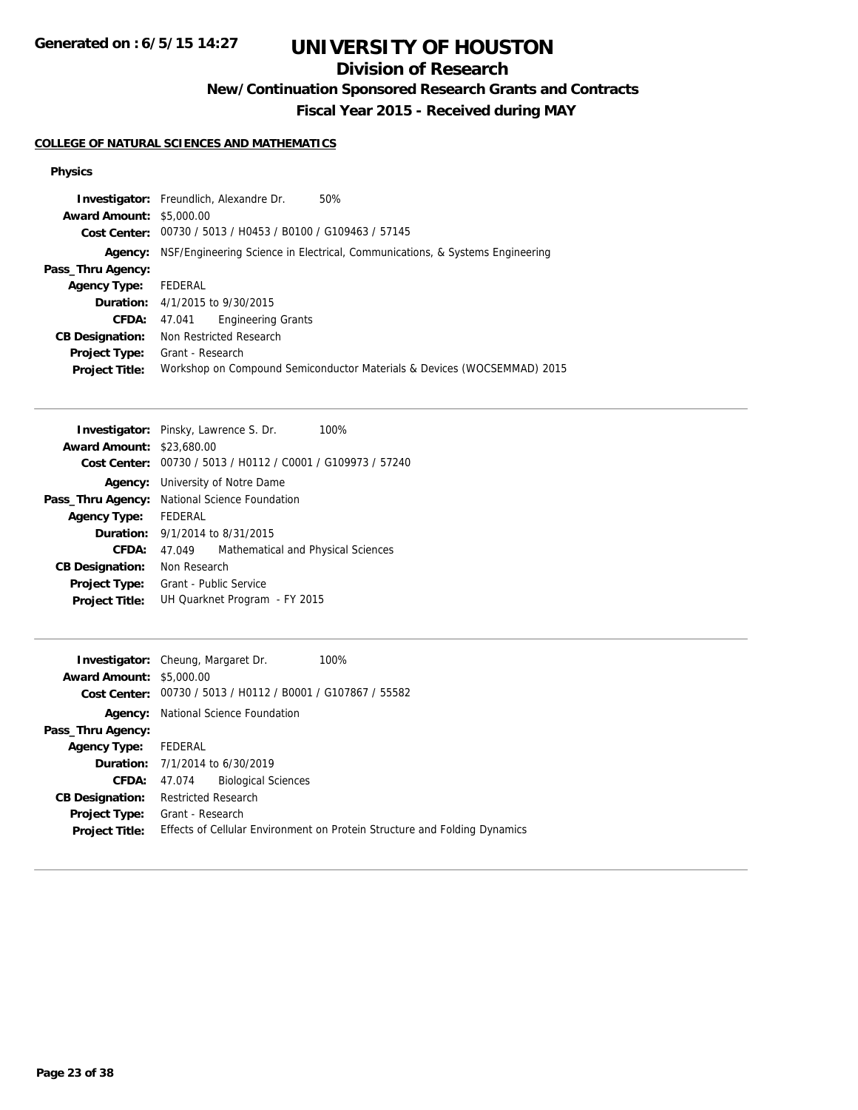**Generated on : 6/5/15 14:27**

# **UNIVERSITY OF HOUSTON**

## **Division of Research**

**New/Continuation Sponsored Research Grants and Contracts**

**Fiscal Year 2015 - Received during MAY**

### **COLLEGE OF NATURAL SCIENCES AND MATHEMATICS**

|                                 | <b>Investigator:</b> Freundlich, Alexandre Dr.              |                           | 50%                                                                          |
|---------------------------------|-------------------------------------------------------------|---------------------------|------------------------------------------------------------------------------|
| <b>Award Amount: \$5,000.00</b> |                                                             |                           |                                                                              |
|                                 | Cost Center: 00730 / 5013 / H0453 / B0100 / G109463 / 57145 |                           |                                                                              |
| Agency:                         |                                                             |                           | NSF/Engineering Science in Electrical, Communications, & Systems Engineering |
| Pass_Thru Agency:               |                                                             |                           |                                                                              |
| <b>Agency Type:</b>             | FEDERAL                                                     |                           |                                                                              |
|                                 | <b>Duration:</b> $4/1/2015$ to $9/30/2015$                  |                           |                                                                              |
| CFDA:                           | 47.041                                                      | <b>Engineering Grants</b> |                                                                              |
| <b>CB Designation:</b>          | Non Restricted Research                                     |                           |                                                                              |
| <b>Project Type:</b>            | Grant - Research                                            |                           |                                                                              |
| <b>Project Title:</b>           |                                                             |                           | Workshop on Compound Semiconductor Materials & Devices (WOCSEMMAD) 2015      |

|                                  | Investigator: Pinsky, Lawrence S. Dr.<br>100%               |  |  |
|----------------------------------|-------------------------------------------------------------|--|--|
| <b>Award Amount: \$23,680.00</b> |                                                             |  |  |
|                                  | Cost Center: 00730 / 5013 / H0112 / C0001 / G109973 / 57240 |  |  |
|                                  | <b>Agency:</b> University of Notre Dame                     |  |  |
|                                  | <b>Pass_Thru Agency:</b> National Science Foundation        |  |  |
| <b>Agency Type:</b>              | FEDERAL                                                     |  |  |
|                                  | <b>Duration:</b> 9/1/2014 to 8/31/2015                      |  |  |
| CFDA:                            | Mathematical and Physical Sciences<br>47.049                |  |  |
| <b>CB Designation:</b>           | Non Research                                                |  |  |
| <b>Project Type:</b>             | Grant - Public Service                                      |  |  |
| <b>Project Title:</b>            | UH Quarknet Program - FY 2015                               |  |  |

|                                 | <b>Investigator:</b> Cheung, Margaret Dr.                   | 100%                                                                      |
|---------------------------------|-------------------------------------------------------------|---------------------------------------------------------------------------|
| <b>Award Amount: \$5,000.00</b> |                                                             |                                                                           |
|                                 | Cost Center: 00730 / 5013 / H0112 / B0001 / G107867 / 55582 |                                                                           |
|                                 | <b>Agency:</b> National Science Foundation                  |                                                                           |
| Pass_Thru Agency:               |                                                             |                                                                           |
| Agency Type: FEDERAL            |                                                             |                                                                           |
|                                 | <b>Duration:</b> 7/1/2014 to 6/30/2019                      |                                                                           |
|                                 | <b>Biological Sciences</b><br><b>CFDA:</b> 47.074           |                                                                           |
| <b>CB Designation:</b>          | <b>Restricted Research</b>                                  |                                                                           |
| <b>Project Type:</b>            | Grant - Research                                            |                                                                           |
| <b>Project Title:</b>           |                                                             | Effects of Cellular Environment on Protein Structure and Folding Dynamics |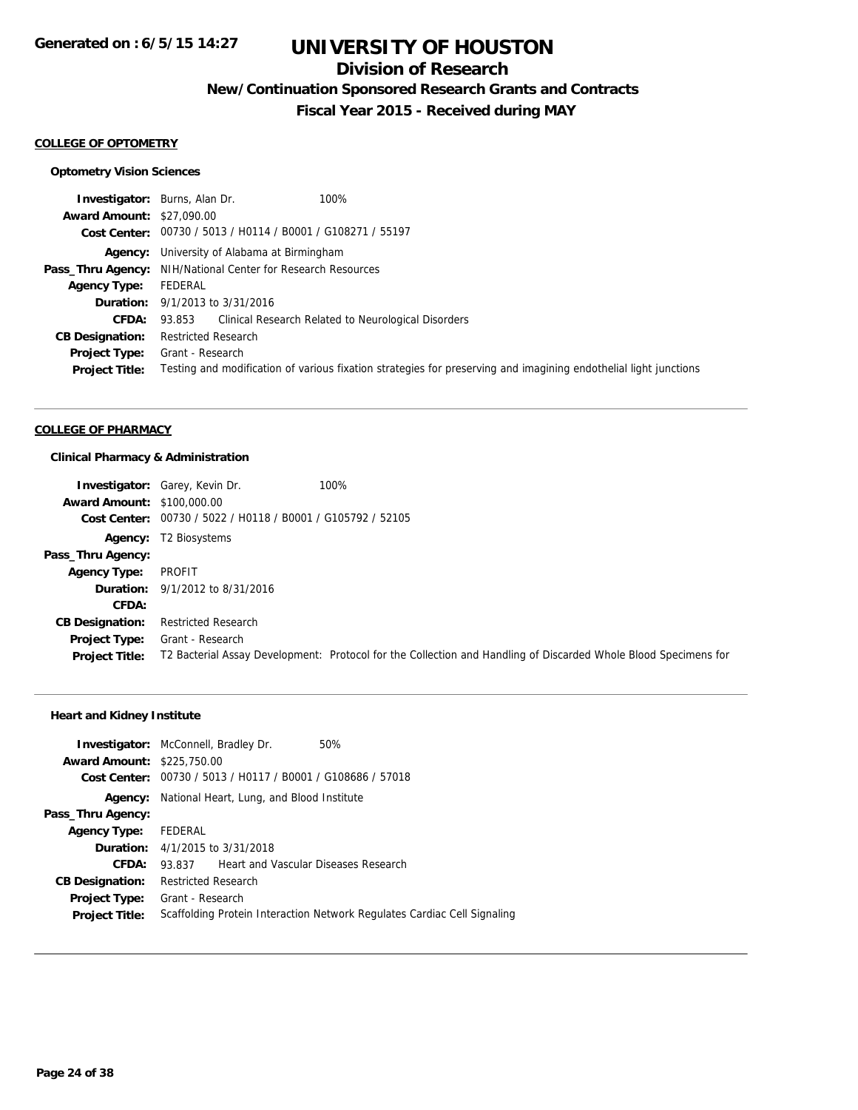## **Division of Research**

**New/Continuation Sponsored Research Grants and Contracts**

**Fiscal Year 2015 - Received during MAY**

#### **COLLEGE OF OPTOMETRY**

### **Optometry Vision Sciences**

|                                  | 100%<br><b>Investigator:</b> Burns, Alan Dr.                                                                     |
|----------------------------------|------------------------------------------------------------------------------------------------------------------|
| <b>Award Amount: \$27,090.00</b> |                                                                                                                  |
|                                  | Cost Center: 00730 / 5013 / H0114 / B0001 / G108271 / 55197                                                      |
|                                  | <b>Agency:</b> University of Alabama at Birmingham                                                               |
|                                  | <b>Pass_Thru Agency:</b> NIH/National Center for Research Resources                                              |
| <b>Agency Type:</b>              | FEDERAL                                                                                                          |
|                                  | <b>Duration:</b> 9/1/2013 to 3/31/2016                                                                           |
| <b>CFDA:</b>                     | 93.853 Clinical Research Related to Neurological Disorders                                                       |
| <b>CB Designation:</b>           | <b>Restricted Research</b>                                                                                       |
| <b>Project Type:</b>             | Grant - Research                                                                                                 |
| <b>Project Title:</b>            | Testing and modification of various fixation strategies for preserving and imagining endothelial light junctions |

#### **COLLEGE OF PHARMACY**

### **Clinical Pharmacy & Administration**

|                                   | <b>Investigator:</b> Garey, Kevin Dr.                       | 100%                                                                                                            |
|-----------------------------------|-------------------------------------------------------------|-----------------------------------------------------------------------------------------------------------------|
| <b>Award Amount: \$100,000.00</b> |                                                             |                                                                                                                 |
|                                   | Cost Center: 00730 / 5022 / H0118 / B0001 / G105792 / 52105 |                                                                                                                 |
|                                   | <b>Agency:</b> T2 Biosystems                                |                                                                                                                 |
| Pass_Thru Agency:                 |                                                             |                                                                                                                 |
| <b>Agency Type:</b>               | PROFIT                                                      |                                                                                                                 |
|                                   | <b>Duration:</b> $9/1/2012$ to $8/31/2016$                  |                                                                                                                 |
| CFDA:                             |                                                             |                                                                                                                 |
| <b>CB Designation:</b>            | <b>Restricted Research</b>                                  |                                                                                                                 |
| Project Type:                     | Grant - Research                                            |                                                                                                                 |
| <b>Project Title:</b>             |                                                             | T2 Bacterial Assay Development: Protocol for the Collection and Handling of Discarded Whole Blood Specimens for |

### **Heart and Kidney Institute**

|                                   | <b>Investigator:</b> McConnell, Bradley Dr.                 | 50%                                                                      |
|-----------------------------------|-------------------------------------------------------------|--------------------------------------------------------------------------|
| <b>Award Amount: \$225,750.00</b> |                                                             |                                                                          |
|                                   | Cost Center: 00730 / 5013 / H0117 / B0001 / G108686 / 57018 |                                                                          |
| Agency:                           | National Heart, Lung, and Blood Institute                   |                                                                          |
| Pass_Thru Agency:                 |                                                             |                                                                          |
| Agency Type: FEDERAL              |                                                             |                                                                          |
|                                   | <b>Duration:</b> 4/1/2015 to 3/31/2018                      |                                                                          |
| CFDA:                             | Heart and Vascular Diseases Research<br>93.837              |                                                                          |
| <b>CB Designation:</b>            | <b>Restricted Research</b>                                  |                                                                          |
| <b>Project Type:</b>              | Grant - Research                                            |                                                                          |
| <b>Project Title:</b>             |                                                             | Scaffolding Protein Interaction Network Regulates Cardiac Cell Signaling |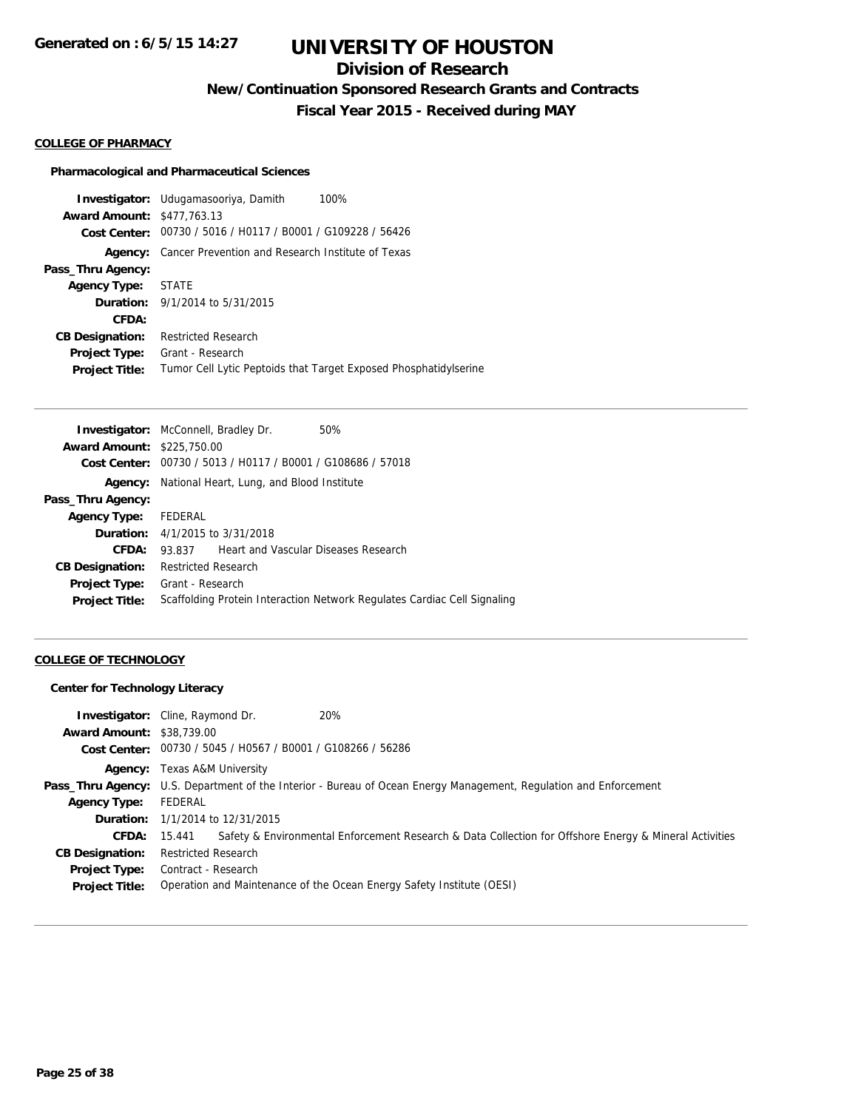## **Division of Research**

**New/Continuation Sponsored Research Grants and Contracts**

**Fiscal Year 2015 - Received during MAY**

#### **COLLEGE OF PHARMACY**

### **Pharmacological and Pharmaceutical Sciences**

**Investigator:** Udugamasooriya, Damith 100% **Award Amount:** \$477,763.13 **Cost Center:** 00730 / 5016 / H0117 / B0001 / G109228 / 56426 **Agency:** Cancer Prevention and Research Institute of Texas **Pass\_Thru Agency: Agency Type:** STATE **Duration:** 9/1/2014 to 5/31/2015 **CFDA: CB Designation:** Restricted Research **Project Type:** Grant - Research **Project Title:** Tumor Cell Lytic Peptoids that Target Exposed Phosphatidylserine

|                                   | <b>Investigator:</b> McConnell, Bradley Dr.                 | 50%                                                                      |
|-----------------------------------|-------------------------------------------------------------|--------------------------------------------------------------------------|
| <b>Award Amount: \$225,750.00</b> |                                                             |                                                                          |
|                                   | Cost Center: 00730 / 5013 / H0117 / B0001 / G108686 / 57018 |                                                                          |
| Agency:                           | National Heart, Lung, and Blood Institute                   |                                                                          |
| Pass_Thru Agency:                 |                                                             |                                                                          |
| <b>Agency Type:</b>               | FEDERAL                                                     |                                                                          |
|                                   | <b>Duration:</b> $4/1/2015$ to $3/31/2018$                  |                                                                          |
| CFDA:                             | Heart and Vascular Diseases Research<br>93.837              |                                                                          |
| <b>CB Designation:</b>            | <b>Restricted Research</b>                                  |                                                                          |
| <b>Project Type:</b>              | Grant - Research                                            |                                                                          |
| <b>Project Title:</b>             |                                                             | Scaffolding Protein Interaction Network Regulates Cardiac Cell Signaling |

### **COLLEGE OF TECHNOLOGY**

#### **Center for Technology Literacy**

| <b>Award Amount: \$38,739.00</b><br>Cost Center: 00730 / 5045 / H0567 / B0001 / G108266 / 56286                               |  |
|-------------------------------------------------------------------------------------------------------------------------------|--|
| <b>Agency:</b> Texas A&M University                                                                                           |  |
| <b>Pass_Thru Agency:</b> U.S. Department of the Interior - Bureau of Ocean Energy Management, Regulation and Enforcement      |  |
| FEDERAL<br><b>Agency Type:</b>                                                                                                |  |
| <b>Duration:</b> 1/1/2014 to 12/31/2015                                                                                       |  |
| Safety & Environmental Enforcement Research & Data Collection for Offshore Energy & Mineral Activities<br><b>CFDA:</b> 15.441 |  |
| Restricted Research<br><b>CB Designation:</b>                                                                                 |  |
| <b>Project Type:</b> Contract - Research                                                                                      |  |
| Operation and Maintenance of the Ocean Energy Safety Institute (OESI)<br><b>Project Title:</b>                                |  |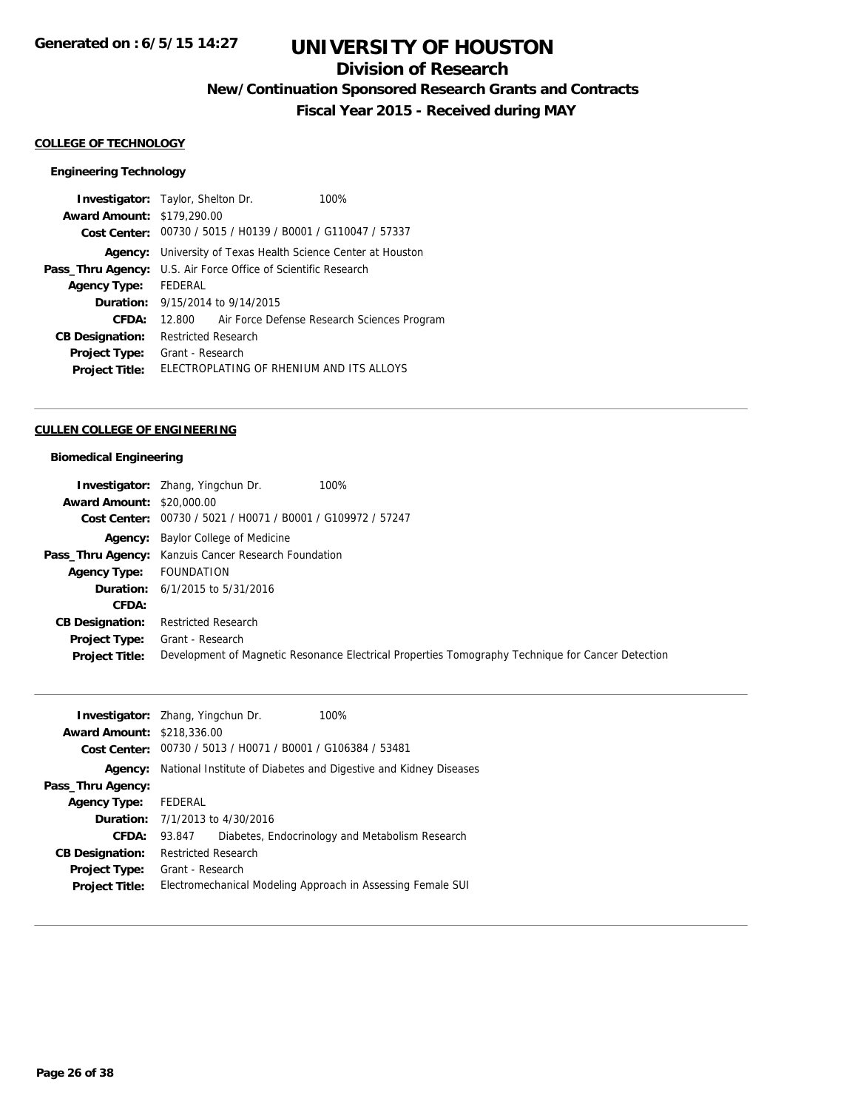## **Division of Research**

**New/Continuation Sponsored Research Grants and Contracts**

**Fiscal Year 2015 - Received during MAY**

### **COLLEGE OF TECHNOLOGY**

### **Engineering Technology**

| <b>Investigator:</b> Taylor, Shelton Dr.<br><b>Award Amount: \$179,290.00</b> |                                                                       |                                         | 100%                                                        |  |
|-------------------------------------------------------------------------------|-----------------------------------------------------------------------|-----------------------------------------|-------------------------------------------------------------|--|
|                                                                               |                                                                       |                                         | Cost Center: 00730 / 5015 / H0139 / B0001 / G110047 / 57337 |  |
| Agency:                                                                       | University of Texas Health Science Center at Houston                  |                                         |                                                             |  |
|                                                                               | <b>Pass_Thru Agency:</b> U.S. Air Force Office of Scientific Research |                                         |                                                             |  |
| <b>Agency Type:</b>                                                           | FEDERAL                                                               |                                         |                                                             |  |
|                                                                               |                                                                       | <b>Duration:</b> 9/15/2014 to 9/14/2015 |                                                             |  |
| CFDA:                                                                         |                                                                       |                                         | 12.800 Air Force Defense Research Sciences Program          |  |
| <b>CB Designation:</b>                                                        | <b>Restricted Research</b>                                            |                                         |                                                             |  |
| <b>Project Type:</b>                                                          | Grant - Research                                                      |                                         |                                                             |  |
| <b>Project Title:</b>                                                         |                                                                       |                                         | ELECTROPLATING OF RHENIUM AND ITS ALLOYS                    |  |

#### **CULLEN COLLEGE OF ENGINEERING**

### **Biomedical Engineering**

|                                  | 100%<br><b>Investigator:</b> Zhang, Yingchun Dr.                                                  |
|----------------------------------|---------------------------------------------------------------------------------------------------|
| <b>Award Amount: \$20,000.00</b> |                                                                                                   |
| Cost Center:                     | 00730 / 5021 / H0071 / B0001 / G109972 / 57247                                                    |
|                                  | <b>Agency:</b> Baylor College of Medicine                                                         |
|                                  | <b>Pass_Thru Agency:</b> Kanzuis Cancer Research Foundation                                       |
| <b>Agency Type:</b>              | FOUNDATION                                                                                        |
|                                  | <b>Duration:</b> $6/1/2015$ to $5/31/2016$                                                        |
| CFDA:                            |                                                                                                   |
| <b>CB Designation:</b>           | <b>Restricted Research</b>                                                                        |
| <b>Project Type:</b>             | Grant - Research                                                                                  |
| <b>Project Title:</b>            | Development of Magnetic Resonance Electrical Properties Tomography Technique for Cancer Detection |

|                                   | 100%<br><b>Investigator:</b> Zhang, Yingchun Dr.                                |
|-----------------------------------|---------------------------------------------------------------------------------|
| <b>Award Amount: \$218,336.00</b> |                                                                                 |
|                                   | Cost Center: 00730 / 5013 / H0071 / B0001 / G106384 / 53481                     |
|                                   | <b>Agency:</b> National Institute of Diabetes and Digestive and Kidney Diseases |
| Pass_Thru Agency:                 |                                                                                 |
| <b>Agency Type:</b>               | FEDERAL                                                                         |
|                                   | <b>Duration:</b> $7/1/2013$ to $4/30/2016$                                      |
| CFDA:                             | Diabetes, Endocrinology and Metabolism Research<br>93.847                       |
| <b>CB Designation:</b>            | <b>Restricted Research</b>                                                      |
| <b>Project Type:</b>              | Grant - Research                                                                |
| <b>Project Title:</b>             | Electromechanical Modeling Approach in Assessing Female SUI                     |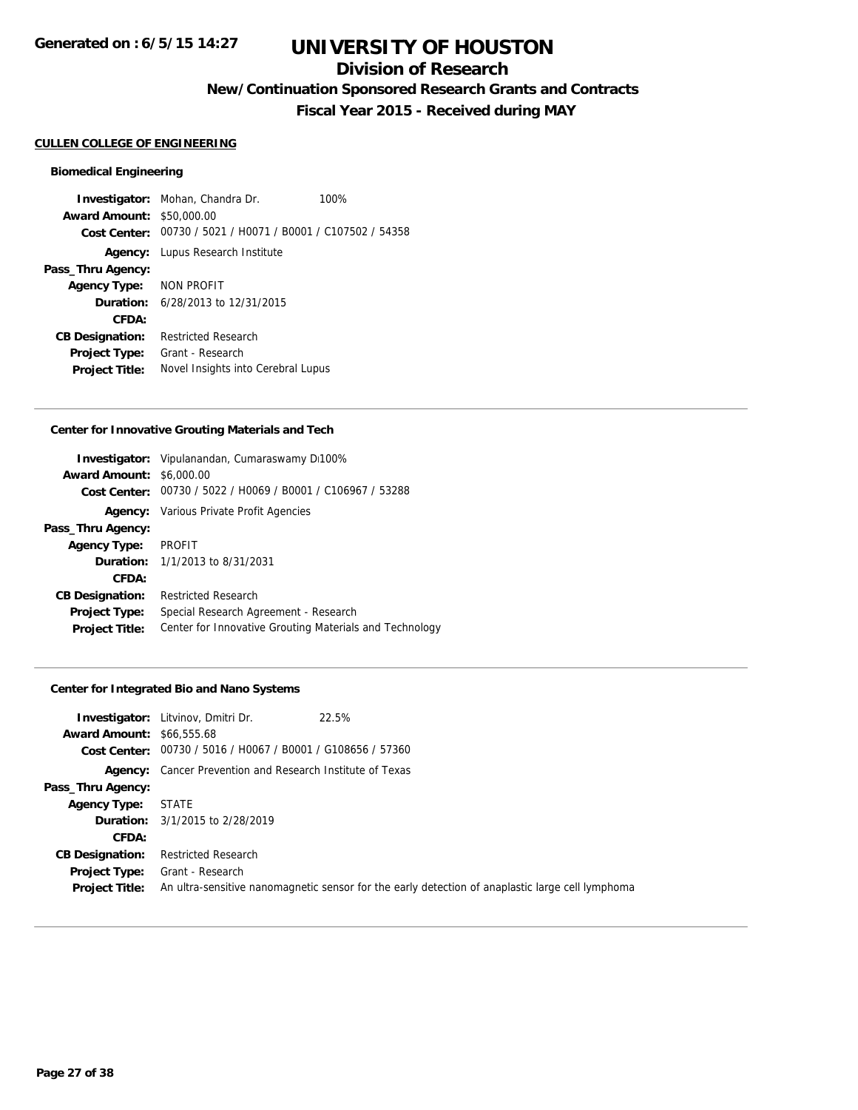## **Division of Research**

**New/Continuation Sponsored Research Grants and Contracts**

**Fiscal Year 2015 - Received during MAY**

#### **CULLEN COLLEGE OF ENGINEERING**

#### **Biomedical Engineering**

**Investigator:** Mohan, Chandra Dr. 100% **Award Amount:** \$50,000.00 **Cost Center:** 00730 / 5021 / H0071 / B0001 / C107502 / 54358 **Agency:** Lupus Research Institute **Pass\_Thru Agency: Agency Type:** NON PROFIT **Duration:** 6/28/2013 to 12/31/2015 **CFDA: CB Designation:** Restricted Research **Project Type:** Grant - Research **Project Title:** Novel Insights into Cerebral Lupus

#### **Center for Innovative Grouting Materials and Tech**

| <b>Award Amount: \$6,000.00</b> | <b>Investigator:</b> Vipulanandan, Cumaraswamy Di100%       |
|---------------------------------|-------------------------------------------------------------|
|                                 | Cost Center: 00730 / 5022 / H0069 / B0001 / C106967 / 53288 |
|                                 | <b>Agency:</b> Various Private Profit Agencies              |
| Pass_Thru Agency:               |                                                             |
| <b>Agency Type:</b>             | <b>PROFIT</b>                                               |
|                                 | <b>Duration:</b> 1/1/2013 to 8/31/2031                      |
| CFDA:                           |                                                             |
| <b>CB Designation:</b>          | <b>Restricted Research</b>                                  |
| <b>Project Type:</b>            | Special Research Agreement - Research                       |
| <b>Project Title:</b>           | Center for Innovative Grouting Materials and Technology     |

#### **Center for Integrated Bio and Nano Systems**

|                                  | <b>Investigator:</b> Litvinov, Dmitri Dr.                        | 22.5%                                                                                            |
|----------------------------------|------------------------------------------------------------------|--------------------------------------------------------------------------------------------------|
| <b>Award Amount: \$66,555.68</b> |                                                                  |                                                                                                  |
|                                  | Cost Center: 00730 / 5016 / H0067 / B0001 / G108656 / 57360      |                                                                                                  |
|                                  | <b>Agency:</b> Cancer Prevention and Research Institute of Texas |                                                                                                  |
| Pass_Thru Agency:                |                                                                  |                                                                                                  |
| <b>Agency Type:</b>              | <b>STATE</b>                                                     |                                                                                                  |
|                                  | <b>Duration:</b> 3/1/2015 to 2/28/2019                           |                                                                                                  |
| CFDA:                            |                                                                  |                                                                                                  |
| <b>CB Designation:</b>           | <b>Restricted Research</b>                                       |                                                                                                  |
|                                  | <b>Project Type:</b> Grant - Research                            |                                                                                                  |
| <b>Project Title:</b>            |                                                                  | An ultra-sensitive nanomagnetic sensor for the early detection of anaplastic large cell lymphoma |
|                                  |                                                                  |                                                                                                  |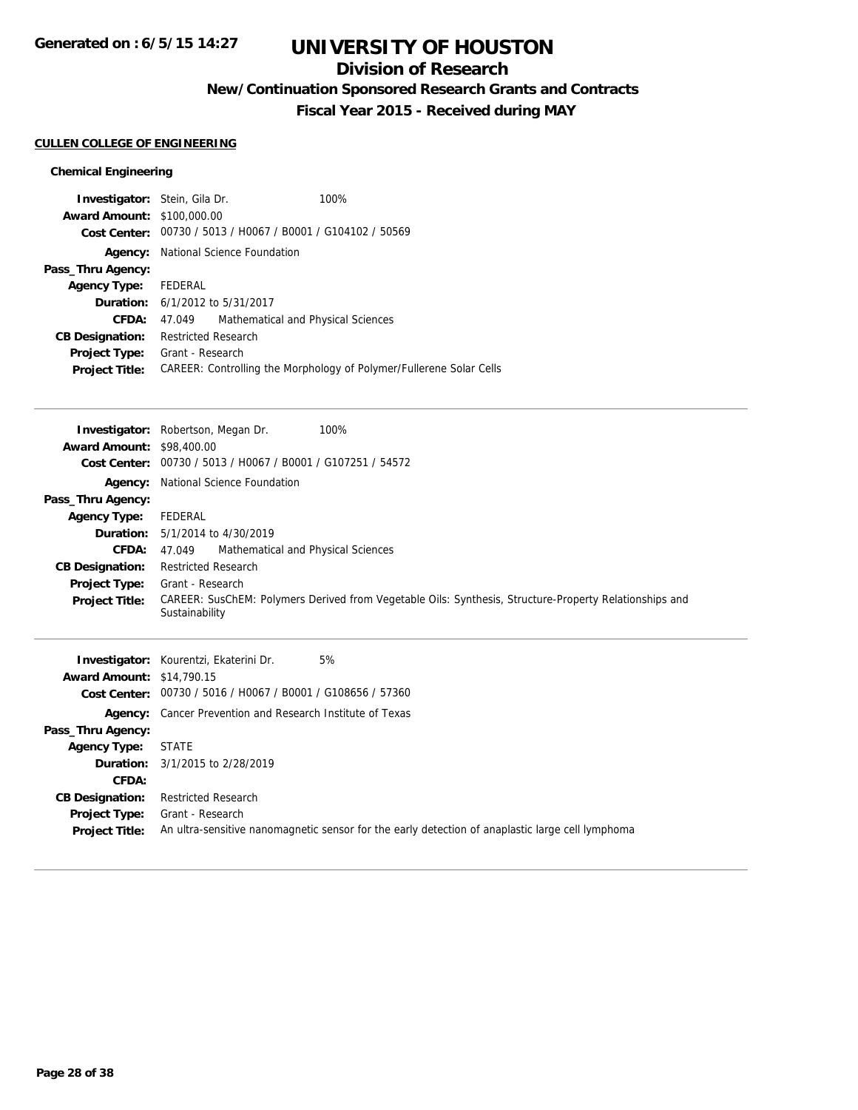## **Division of Research**

**New/Continuation Sponsored Research Grants and Contracts**

**Fiscal Year 2015 - Received during MAY**

### **CULLEN COLLEGE OF ENGINEERING**

### **Chemical Engineering**

|                      |                                    | 100%                                                                                                                                                                                                                                                                |
|----------------------|------------------------------------|---------------------------------------------------------------------------------------------------------------------------------------------------------------------------------------------------------------------------------------------------------------------|
|                      |                                    |                                                                                                                                                                                                                                                                     |
|                      |                                    |                                                                                                                                                                                                                                                                     |
| Agency:              |                                    |                                                                                                                                                                                                                                                                     |
|                      |                                    |                                                                                                                                                                                                                                                                     |
| Agency Type: FEDERAL |                                    |                                                                                                                                                                                                                                                                     |
|                      |                                    |                                                                                                                                                                                                                                                                     |
| 47.049               | Mathematical and Physical Sciences |                                                                                                                                                                                                                                                                     |
|                      |                                    |                                                                                                                                                                                                                                                                     |
|                      |                                    |                                                                                                                                                                                                                                                                     |
|                      |                                    | CAREER: Controlling the Morphology of Polymer/Fullerene Solar Cells                                                                                                                                                                                                 |
|                      |                                    | <b>Investigator:</b> Stein, Gila Dr.<br><b>Award Amount: \$100,000.00</b><br>Cost Center: 00730 / 5013 / H0067 / B0001 / G104102 / 50569<br>National Science Foundation<br><b>Duration:</b> 6/1/2012 to 5/31/2017<br><b>Restricted Research</b><br>Grant - Research |

| <b>Award Amount: \$98,400.00</b><br><b>Cost Center:</b>                                                                                                                       | <b>Investigator:</b> Robertson, Megan Dr.<br>00730 / 5013 / H0067 / B0001 / G107251 / 54572                                                                                                                                                                                 | 100%                                                                                                   |
|-------------------------------------------------------------------------------------------------------------------------------------------------------------------------------|-----------------------------------------------------------------------------------------------------------------------------------------------------------------------------------------------------------------------------------------------------------------------------|--------------------------------------------------------------------------------------------------------|
| Agency:<br>Pass_Thru Agency:<br><b>Agency Type:</b><br>Duration:<br><b>CFDA:</b><br><b>CB Designation:</b><br><b>Project Type:</b><br><b>Project Title:</b>                   | National Science Foundation<br>FEDERAL<br>5/1/2014 to 4/30/2019<br>Mathematical and Physical Sciences<br>47.049<br><b>Restricted Research</b><br>Grant - Research<br>Sustainability                                                                                         | CAREER: SusChEM: Polymers Derived from Vegetable Oils: Synthesis, Structure-Property Relationships and |
| <b>Award Amount: \$14,790.15</b><br>Pass_Thru Agency:<br><b>Agency Type:</b><br>Duration:<br>CFDA:<br><b>CB Designation:</b><br><b>Project Type:</b><br><b>Project Title:</b> | <b>Investigator:</b> Kourentzi, Ekaterini Dr.<br>Cost Center: 00730 / 5016 / H0067 / B0001 / G108656 / 57360<br><b>Agency:</b> Cancer Prevention and Research Institute of Texas<br><b>STATE</b><br>3/1/2015 to 2/28/2019<br><b>Restricted Research</b><br>Grant - Research | 5%<br>An ultra-sensitive nanomagnetic sensor for the early detection of anaplastic large cell lymphoma |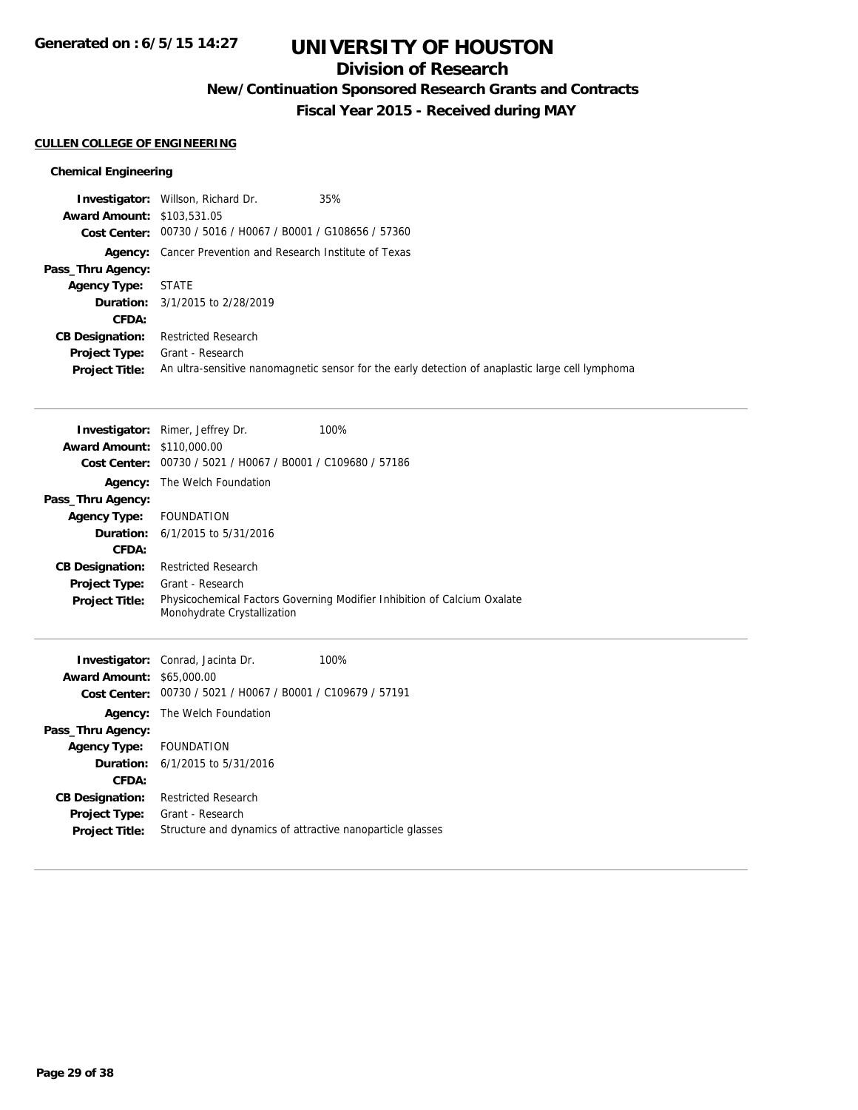## **Division of Research**

**New/Continuation Sponsored Research Grants and Contracts**

**Fiscal Year 2015 - Received during MAY**

### **CULLEN COLLEGE OF ENGINEERING**

### **Chemical Engineering**

|                                   | <b>Investigator:</b> Willson, Richard Dr.                        | 35%                                                                                              |
|-----------------------------------|------------------------------------------------------------------|--------------------------------------------------------------------------------------------------|
| <b>Award Amount: \$103,531.05</b> |                                                                  |                                                                                                  |
|                                   | Cost Center: 00730 / 5016 / H0067 / B0001 / G108656 / 57360      |                                                                                                  |
|                                   | <b>Agency:</b> Cancer Prevention and Research Institute of Texas |                                                                                                  |
| Pass_Thru Agency:                 |                                                                  |                                                                                                  |
| <b>Agency Type:</b>               | STATE                                                            |                                                                                                  |
|                                   | <b>Duration:</b> 3/1/2015 to 2/28/2019                           |                                                                                                  |
| CFDA:                             |                                                                  |                                                                                                  |
| <b>CB Designation:</b>            | <b>Restricted Research</b>                                       |                                                                                                  |
| <b>Project Type:</b>              | Grant - Research                                                 |                                                                                                  |
| <b>Project Title:</b>             |                                                                  | An ultra-sensitive nanomagnetic sensor for the early detection of anaplastic large cell lymphoma |

|                                   | <b>Investigator:</b> Rimer, Jeffrey Dr.        | 100%                                                                     |
|-----------------------------------|------------------------------------------------|--------------------------------------------------------------------------|
| <b>Award Amount: \$110,000.00</b> |                                                |                                                                          |
| Cost Center:                      | 00730 / 5021 / H0067 / B0001 / C109680 / 57186 |                                                                          |
|                                   | <b>Agency:</b> The Welch Foundation            |                                                                          |
| Pass_Thru Agency:                 |                                                |                                                                          |
| <b>Agency Type:</b>               | <b>FOUNDATION</b>                              |                                                                          |
|                                   | <b>Duration:</b> $6/1/2015$ to $5/31/2016$     |                                                                          |
| CFDA:                             |                                                |                                                                          |
| <b>CB Designation:</b>            | <b>Restricted Research</b>                     |                                                                          |
| <b>Project Type:</b>              | Grant - Research                               |                                                                          |
| <b>Project Title:</b>             | Monohydrate Crystallization                    | Physicochemical Factors Governing Modifier Inhibition of Calcium Oxalate |
|                                   |                                                |                                                                          |

|                         | <b>Investigator:</b> Conrad, Jacinta Dr.                    | 100% |
|-------------------------|-------------------------------------------------------------|------|
| <b>Award Amount:</b>    | \$65,000.00                                                 |      |
|                         | Cost Center: 00730 / 5021 / H0067 / B0001 / C109679 / 57191 |      |
| Agency:                 | The Welch Foundation                                        |      |
| Pass_Thru Agency:       |                                                             |      |
| Agency Type: FOUNDATION |                                                             |      |
|                         | <b>Duration:</b> $6/1/2015$ to $5/31/2016$                  |      |
| <b>CFDA:</b>            |                                                             |      |
| <b>CB Designation:</b>  | <b>Restricted Research</b>                                  |      |
| <b>Project Type:</b>    | Grant - Research                                            |      |
| <b>Project Title:</b>   | Structure and dynamics of attractive nanoparticle glasses   |      |
|                         |                                                             |      |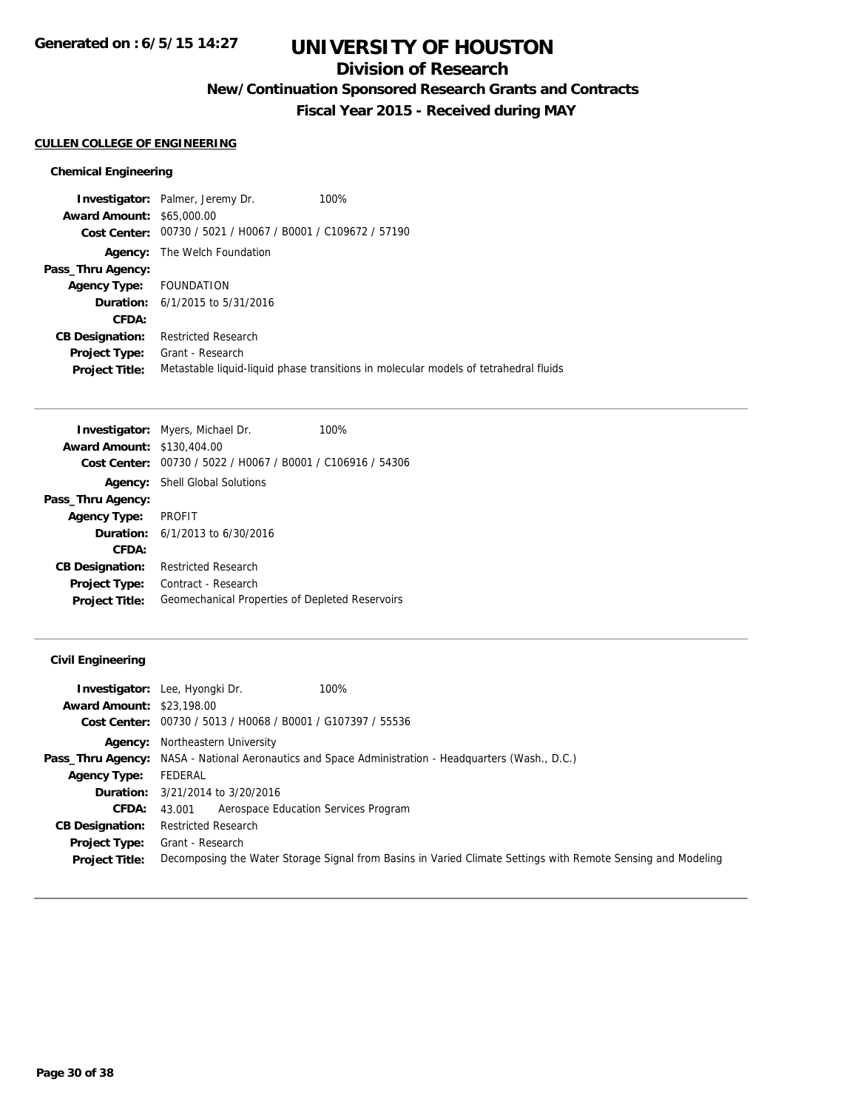## **Division of Research**

**New/Continuation Sponsored Research Grants and Contracts**

**Fiscal Year 2015 - Received during MAY**

### **CULLEN COLLEGE OF ENGINEERING**

### **Chemical Engineering**

|                                  | <b>Investigator:</b> Palmer, Jeremy Dr.                     | 100%                                                                                 |
|----------------------------------|-------------------------------------------------------------|--------------------------------------------------------------------------------------|
| <b>Award Amount: \$65,000.00</b> |                                                             |                                                                                      |
|                                  | Cost Center: 00730 / 5021 / H0067 / B0001 / C109672 / 57190 |                                                                                      |
| Agency:                          | The Welch Foundation                                        |                                                                                      |
| Pass_Thru Agency:                |                                                             |                                                                                      |
| <b>Agency Type:</b>              | FOUNDATION                                                  |                                                                                      |
|                                  | <b>Duration:</b> $6/1/2015$ to $5/31/2016$                  |                                                                                      |
| CFDA:                            |                                                             |                                                                                      |
| <b>CB Designation:</b>           | <b>Restricted Research</b>                                  |                                                                                      |
| <b>Project Type:</b>             | Grant - Research                                            |                                                                                      |
| <b>Project Title:</b>            |                                                             | Metastable liquid-liquid phase transitions in molecular models of tetrahedral fluids |

|                                   | <b>Investigator:</b> Myers, Michael Dr.         | 100% |
|-----------------------------------|-------------------------------------------------|------|
| <b>Award Amount: \$130,404.00</b> |                                                 |      |
| Cost Center:                      | 00730 / 5022 / H0067 / B0001 / C106916 / 54306  |      |
| Agency:                           | <b>Shell Global Solutions</b>                   |      |
| Pass_Thru Agency:                 |                                                 |      |
| <b>Agency Type:</b>               | PROFIT                                          |      |
|                                   | <b>Duration:</b> $6/1/2013$ to $6/30/2016$      |      |
| CFDA:                             |                                                 |      |
| <b>CB Designation:</b>            | <b>Restricted Research</b>                      |      |
| <b>Project Type:</b>              | Contract - Research                             |      |
| <b>Project Title:</b>             | Geomechanical Properties of Depleted Reservoirs |      |

### **Civil Engineering**

|                                  | <b>Investigator:</b> Lee, Hyongki Dr.<br>100%                                                                |
|----------------------------------|--------------------------------------------------------------------------------------------------------------|
| <b>Award Amount: \$23,198.00</b> |                                                                                                              |
| Cost Center:                     | 00730 / 5013 / H0068 / B0001 / G107397 / 55536                                                               |
|                                  | <b>Agency:</b> Northeastern University                                                                       |
|                                  | <b>Pass_Thru Agency:</b> NASA - National Aeronautics and Space Administration - Headquarters (Wash., D.C.)   |
| <b>Agency Type:</b>              | FEDERAL                                                                                                      |
|                                  | <b>Duration:</b> $3/21/2014$ to $3/20/2016$                                                                  |
| <b>CFDA:</b>                     | Aerospace Education Services Program<br>43.001                                                               |
| <b>CB Designation:</b>           | <b>Restricted Research</b>                                                                                   |
| <b>Project Type:</b>             | Grant - Research                                                                                             |
| <b>Project Title:</b>            | Decomposing the Water Storage Signal from Basins in Varied Climate Settings with Remote Sensing and Modeling |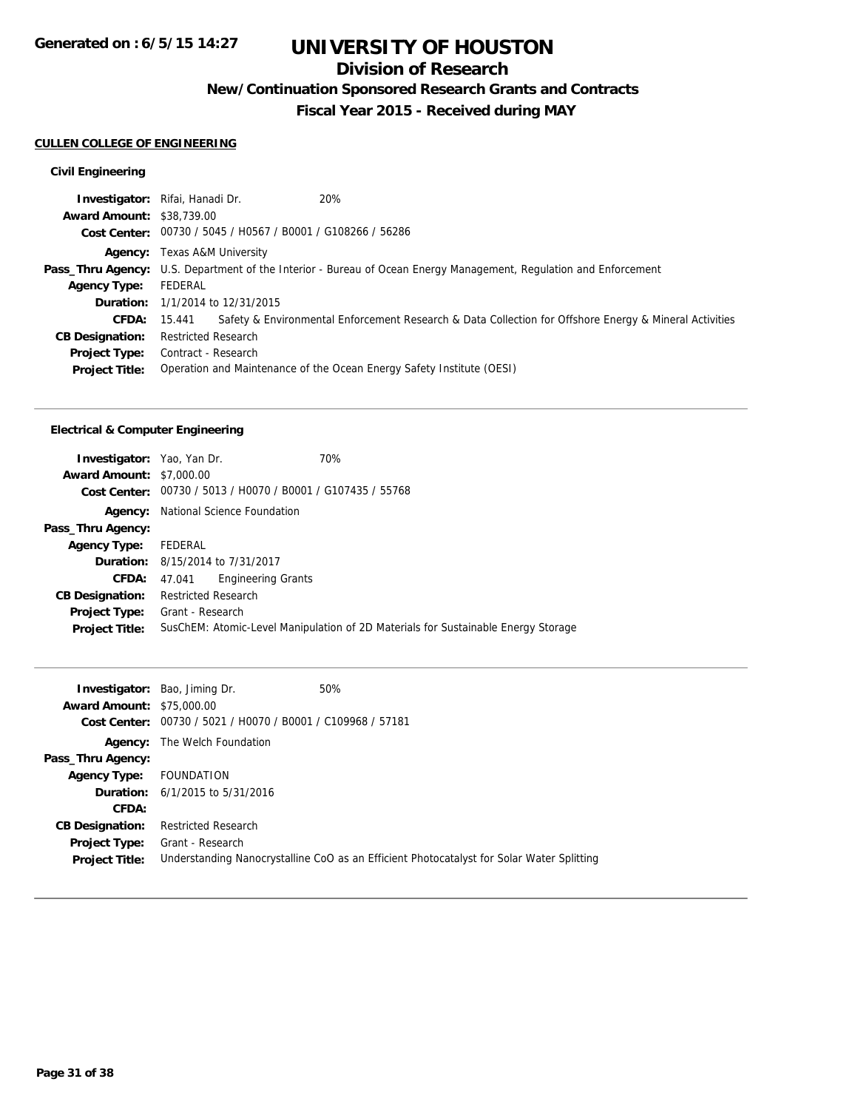## **Division of Research**

**New/Continuation Sponsored Research Grants and Contracts**

**Fiscal Year 2015 - Received during MAY**

### **CULLEN COLLEGE OF ENGINEERING**

### **Civil Engineering**

|                                  | 20%<br><b>Investigator:</b> Rifai, Hanadi Dr.                         |                                                                                                                          |
|----------------------------------|-----------------------------------------------------------------------|--------------------------------------------------------------------------------------------------------------------------|
| <b>Award Amount: \$38,739.00</b> |                                                                       |                                                                                                                          |
|                                  | Cost Center: 00730 / 5045 / H0567 / B0001 / G108266 / 56286           |                                                                                                                          |
|                                  | <b>Agency:</b> Texas A&M University                                   |                                                                                                                          |
|                                  |                                                                       | <b>Pass_Thru Agency:</b> U.S. Department of the Interior - Bureau of Ocean Energy Management, Regulation and Enforcement |
| <b>Agency Type:</b>              | FEDERAL                                                               |                                                                                                                          |
|                                  | <b>Duration:</b> 1/1/2014 to 12/31/2015                               |                                                                                                                          |
| <b>CFDA:</b>                     | 15.441                                                                | Safety & Environmental Enforcement Research & Data Collection for Offshore Energy & Mineral Activities                   |
| <b>CB Designation:</b>           | <b>Restricted Research</b>                                            |                                                                                                                          |
| <b>Project Type:</b>             | Contract - Research                                                   |                                                                                                                          |
| <b>Project Title:</b>            | Operation and Maintenance of the Ocean Energy Safety Institute (OESI) |                                                                                                                          |

### **Electrical & Computer Engineering**

| <b>Investigator:</b> Yao, Yan Dr.<br><b>Award Amount: \$7,000.00</b> | Cost Center: 00730 / 5013 / H0070 / B0001 / G107435 / 55768 | 70%                                                                               |
|----------------------------------------------------------------------|-------------------------------------------------------------|-----------------------------------------------------------------------------------|
|                                                                      |                                                             |                                                                                   |
|                                                                      | <b>Agency:</b> National Science Foundation                  |                                                                                   |
| Pass_Thru Agency:                                                    |                                                             |                                                                                   |
| Agency Type: FEDERAL                                                 |                                                             |                                                                                   |
|                                                                      | <b>Duration:</b> 8/15/2014 to 7/31/2017                     |                                                                                   |
| CFDA:                                                                | <b>Engineering Grants</b><br>47.041                         |                                                                                   |
| <b>CB Designation:</b>                                               | <b>Restricted Research</b>                                  |                                                                                   |
| Project Type:<br><b>Project Title:</b>                               | Grant - Research                                            | SusChEM: Atomic-Level Manipulation of 2D Materials for Sustainable Energy Storage |
|                                                                      |                                                             |                                                                                   |

| <b>Award Amount: \$75,000.00</b> | <b>Investigator:</b> Bao, Jiming Dr.           | 50%                                                                                       |
|----------------------------------|------------------------------------------------|-------------------------------------------------------------------------------------------|
| Cost Center:                     | 00730 / 5021 / H0070 / B0001 / C109968 / 57181 |                                                                                           |
| Agency:                          | The Welch Foundation                           |                                                                                           |
| Pass_Thru Agency:                |                                                |                                                                                           |
| Agency Type:                     | FOUNDATION                                     |                                                                                           |
|                                  | <b>Duration:</b> $6/1/2015$ to $5/31/2016$     |                                                                                           |
| CFDA:                            |                                                |                                                                                           |
| <b>CB Designation:</b>           | <b>Restricted Research</b>                     |                                                                                           |
| <b>Project Type:</b>             | Grant - Research                               |                                                                                           |
| <b>Project Title:</b>            |                                                | Understanding Nanocrystalline CoO as an Efficient Photocatalyst for Solar Water Splitting |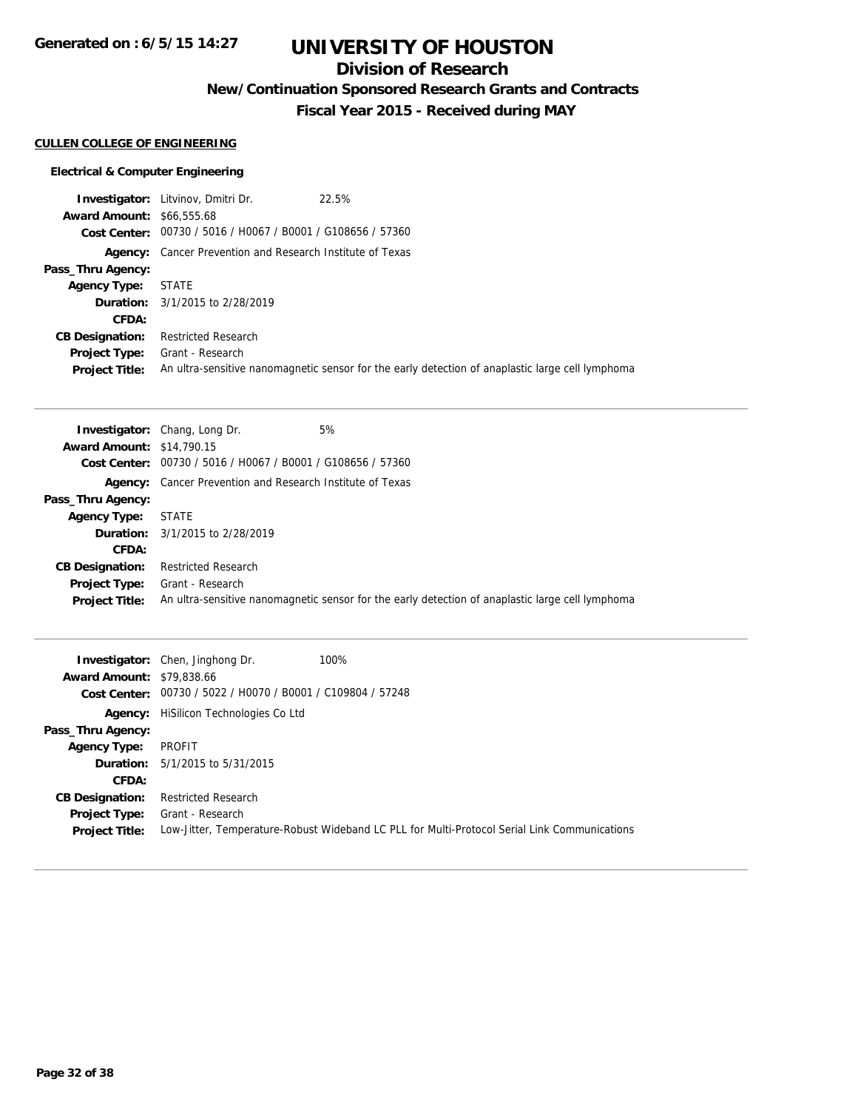**Generated on : 6/5/15 14:27**

# **UNIVERSITY OF HOUSTON**

## **Division of Research**

**New/Continuation Sponsored Research Grants and Contracts**

**Fiscal Year 2015 - Received during MAY**

### **CULLEN COLLEGE OF ENGINEERING**

### **Electrical & Computer Engineering**

|                                  | <b>Investigator:</b> Litvinov, Dmitri Dr.                        | 22.5%                                                                                            |
|----------------------------------|------------------------------------------------------------------|--------------------------------------------------------------------------------------------------|
| <b>Award Amount: \$66,555.68</b> |                                                                  |                                                                                                  |
|                                  | Cost Center: 00730 / 5016 / H0067 / B0001 / G108656 / 57360      |                                                                                                  |
|                                  | <b>Agency:</b> Cancer Prevention and Research Institute of Texas |                                                                                                  |
| Pass_Thru Agency:                |                                                                  |                                                                                                  |
| <b>Agency Type:</b>              | <b>STATE</b>                                                     |                                                                                                  |
|                                  | <b>Duration:</b> 3/1/2015 to 2/28/2019                           |                                                                                                  |
| CFDA:                            |                                                                  |                                                                                                  |
| <b>CB Designation:</b>           | <b>Restricted Research</b>                                       |                                                                                                  |
| <b>Project Type:</b>             | Grant - Research                                                 |                                                                                                  |
| <b>Project Title:</b>            |                                                                  | An ultra-sensitive nanomagnetic sensor for the early detection of anaplastic large cell lymphoma |

|                                  | <b>Investigator:</b> Chang, Long Dr.                             | 5%                                                                                               |
|----------------------------------|------------------------------------------------------------------|--------------------------------------------------------------------------------------------------|
| <b>Award Amount: \$14,790.15</b> |                                                                  |                                                                                                  |
|                                  | Cost Center: 00730 / 5016 / H0067 / B0001 / G108656 / 57360      |                                                                                                  |
|                                  | <b>Agency:</b> Cancer Prevention and Research Institute of Texas |                                                                                                  |
| Pass_Thru Agency:                |                                                                  |                                                                                                  |
| <b>Agency Type:</b>              | <b>STATE</b>                                                     |                                                                                                  |
|                                  | <b>Duration:</b> 3/1/2015 to 2/28/2019                           |                                                                                                  |
| CFDA:                            |                                                                  |                                                                                                  |
| <b>CB Designation:</b>           | <b>Restricted Research</b>                                       |                                                                                                  |
| <b>Project Type:</b>             | Grant - Research                                                 |                                                                                                  |
| <b>Project Title:</b>            |                                                                  | An ultra-sensitive nanomagnetic sensor for the early detection of anaplastic large cell lymphoma |

| <b>Award Amount: \$79,838.66</b> | <b>Investigator:</b> Chen, Jinghong Dr.                     | 100%                                                                                         |
|----------------------------------|-------------------------------------------------------------|----------------------------------------------------------------------------------------------|
|                                  | Cost Center: 00730 / 5022 / H0070 / B0001 / C109804 / 57248 |                                                                                              |
|                                  | <b>Agency:</b> HiSilicon Technologies Co Ltd                |                                                                                              |
| Pass_Thru Agency:                |                                                             |                                                                                              |
| <b>Agency Type:</b>              | PROFIT                                                      |                                                                                              |
|                                  | <b>Duration:</b> 5/1/2015 to 5/31/2015                      |                                                                                              |
| CFDA:                            |                                                             |                                                                                              |
| <b>CB Designation:</b>           | <b>Restricted Research</b>                                  |                                                                                              |
| <b>Project Type:</b>             | Grant - Research                                            |                                                                                              |
| <b>Project Title:</b>            |                                                             | Low-Jitter, Temperature-Robust Wideband LC PLL for Multi-Protocol Serial Link Communications |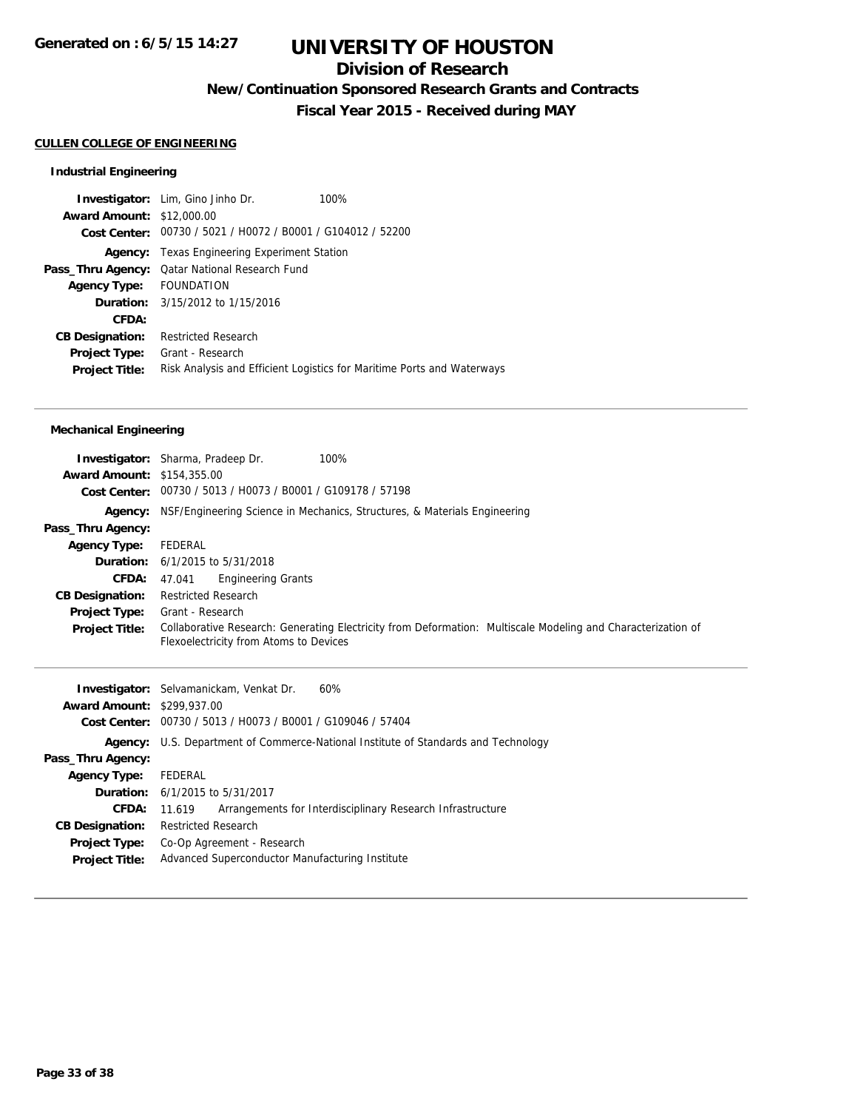## **Division of Research**

**New/Continuation Sponsored Research Grants and Contracts**

**Fiscal Year 2015 - Received during MAY**

### **CULLEN COLLEGE OF ENGINEERING**

### **Industrial Engineering**

|                                  | <b>Investigator:</b> Lim, Gino Jinho Dr.<br>100%                       |
|----------------------------------|------------------------------------------------------------------------|
| <b>Award Amount: \$12,000.00</b> |                                                                        |
|                                  | Cost Center: 00730 / 5021 / H0072 / B0001 / G104012 / 52200            |
| Agency:                          | Texas Engineering Experiment Station                                   |
|                                  | Pass_Thru Agency: Qatar National Research Fund                         |
| Agency Type: FOUNDATION          |                                                                        |
|                                  | <b>Duration:</b> 3/15/2012 to 1/15/2016                                |
| CFDA:                            |                                                                        |
| <b>CB Designation:</b>           | <b>Restricted Research</b>                                             |
| <b>Project Type:</b>             | Grant - Research                                                       |
| <b>Project Title:</b>            | Risk Analysis and Efficient Logistics for Maritime Ports and Waterways |

### **Mechanical Engineering**

| <b>Award Amount: \$154,355.00</b> | <b>Investigator:</b> Sharma, Pradeep Dr.<br>100%<br>Cost Center: 00730 / 5013 / H0073 / B0001 / G109178 / 57198                                        |
|-----------------------------------|--------------------------------------------------------------------------------------------------------------------------------------------------------|
| Agency:                           | NSF/Engineering Science in Mechanics, Structures, & Materials Engineering                                                                              |
| Pass_Thru Agency:                 |                                                                                                                                                        |
| <b>Agency Type:</b>               | FEDERAL                                                                                                                                                |
|                                   | <b>Duration:</b> $6/1/2015$ to $5/31/2018$                                                                                                             |
| CFDA:                             | <b>Engineering Grants</b><br>47.041                                                                                                                    |
| <b>CB Designation:</b>            | <b>Restricted Research</b>                                                                                                                             |
| <b>Project Type:</b>              | Grant - Research                                                                                                                                       |
| <b>Project Title:</b>             | Collaborative Research: Generating Electricity from Deformation: Multiscale Modeling and Characterization of<br>Flexoelectricity from Atoms to Devices |

|                                   | 60%<br><b>Investigator:</b> Selvamanickam, Venkat Dr.                                     |
|-----------------------------------|-------------------------------------------------------------------------------------------|
| <b>Award Amount: \$299,937.00</b> |                                                                                           |
|                                   | Cost Center: 00730 / 5013 / H0073 / B0001 / G109046 / 57404                               |
|                                   | <b>Agency:</b> U.S. Department of Commerce-National Institute of Standards and Technology |
| Pass_Thru Agency:                 |                                                                                           |
| <b>Agency Type:</b>               | FEDERAL                                                                                   |
|                                   | <b>Duration:</b> 6/1/2015 to 5/31/2017                                                    |
| <b>CFDA:</b>                      | Arrangements for Interdisciplinary Research Infrastructure<br>11.619                      |
| <b>CB Designation:</b>            | <b>Restricted Research</b>                                                                |
| <b>Project Type:</b>              | Co-Op Agreement - Research                                                                |
| <b>Project Title:</b>             | Advanced Superconductor Manufacturing Institute                                           |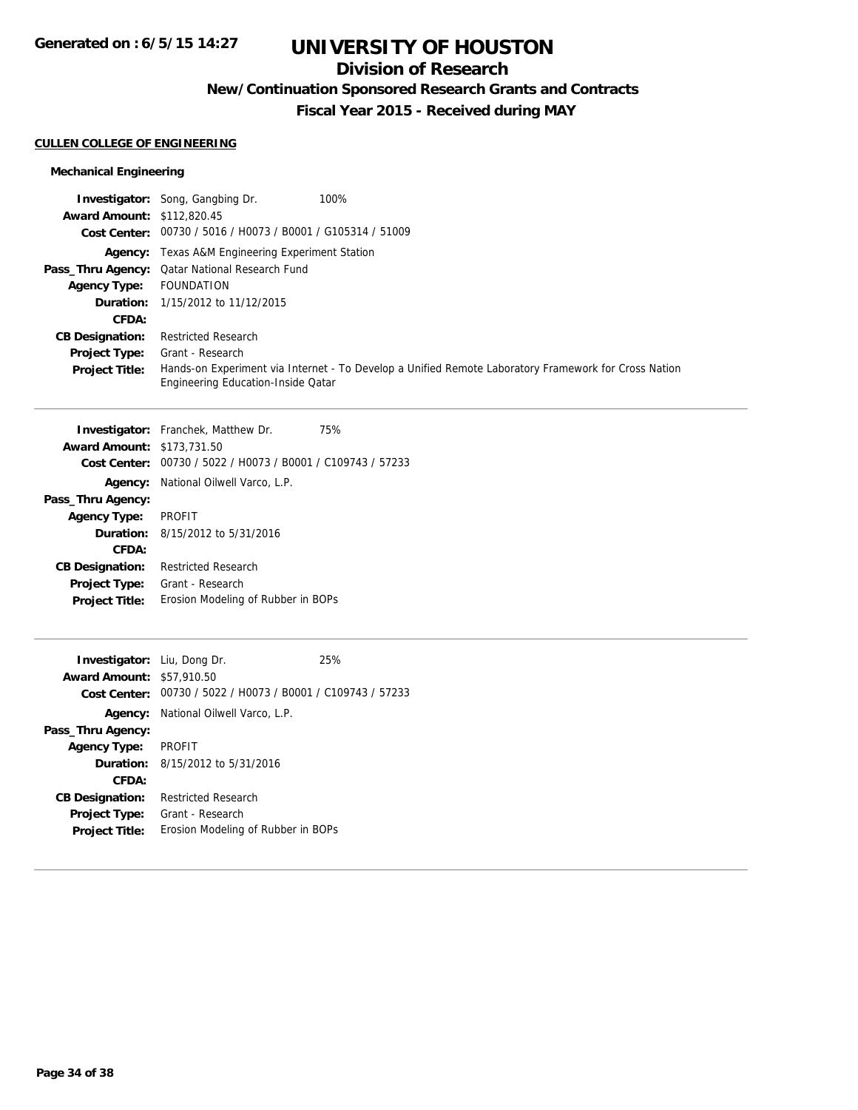## **Division of Research**

**New/Continuation Sponsored Research Grants and Contracts**

**Fiscal Year 2015 - Received during MAY**

### **CULLEN COLLEGE OF ENGINEERING**

### **Mechanical Engineering**

|                                   | <b>Investigator:</b> Song, Gangbing Dr.<br>100%                                                                                            |
|-----------------------------------|--------------------------------------------------------------------------------------------------------------------------------------------|
| <b>Award Amount: \$112,820.45</b> |                                                                                                                                            |
|                                   | Cost Center: 00730 / 5016 / H0073 / B0001 / G105314 / 51009                                                                                |
|                                   | <b>Agency:</b> Texas A&M Engineering Experiment Station                                                                                    |
|                                   | Pass_Thru Agency: Qatar National Research Fund                                                                                             |
| <b>Agency Type:</b>               | FOUNDATION                                                                                                                                 |
|                                   | <b>Duration:</b> 1/15/2012 to 11/12/2015                                                                                                   |
| CFDA:                             |                                                                                                                                            |
| <b>CB Designation:</b>            | <b>Restricted Research</b>                                                                                                                 |
| <b>Project Type:</b>              | Grant - Research                                                                                                                           |
| <b>Project Title:</b>             | Hands-on Experiment via Internet - To Develop a Unified Remote Laboratory Framework for Cross Nation<br>Engineering Education-Inside Qatar |

|                                   | <b>Investigator:</b> Franchek, Matthew Dr.                  | 75% |
|-----------------------------------|-------------------------------------------------------------|-----|
| <b>Award Amount: \$173,731.50</b> |                                                             |     |
|                                   | Cost Center: 00730 / 5022 / H0073 / B0001 / C109743 / 57233 |     |
|                                   | <b>Agency:</b> National Oilwell Varco, L.P.                 |     |
| Pass_Thru Agency:                 |                                                             |     |
| <b>Agency Type:</b>               | <b>PROFIT</b>                                               |     |
|                                   | <b>Duration:</b> 8/15/2012 to 5/31/2016                     |     |
| CFDA:                             |                                                             |     |
| <b>CB Designation:</b>            | <b>Restricted Research</b>                                  |     |
| <b>Project Type:</b>              | Grant - Research                                            |     |
| <b>Project Title:</b>             | Erosion Modeling of Rubber in BOPs                          |     |
|                                   |                                                             |     |

| <b>Investigator:</b> Liu, Dong Dr. |                                                             | 25% |
|------------------------------------|-------------------------------------------------------------|-----|
| <b>Award Amount: \$57,910.50</b>   |                                                             |     |
|                                    | Cost Center: 00730 / 5022 / H0073 / B0001 / C109743 / 57233 |     |
|                                    | <b>Agency:</b> National Oilwell Varco, L.P.                 |     |
| Pass_Thru Agency:                  |                                                             |     |
| <b>Agency Type:</b>                | <b>PROFIT</b>                                               |     |
|                                    | <b>Duration:</b> $8/15/2012$ to $5/31/2016$                 |     |
| CFDA:                              |                                                             |     |
| <b>CB Designation:</b>             | Restricted Research                                         |     |
| <b>Project Type:</b>               | Grant - Research                                            |     |
| <b>Project Title:</b>              | Erosion Modeling of Rubber in BOPs                          |     |
|                                    |                                                             |     |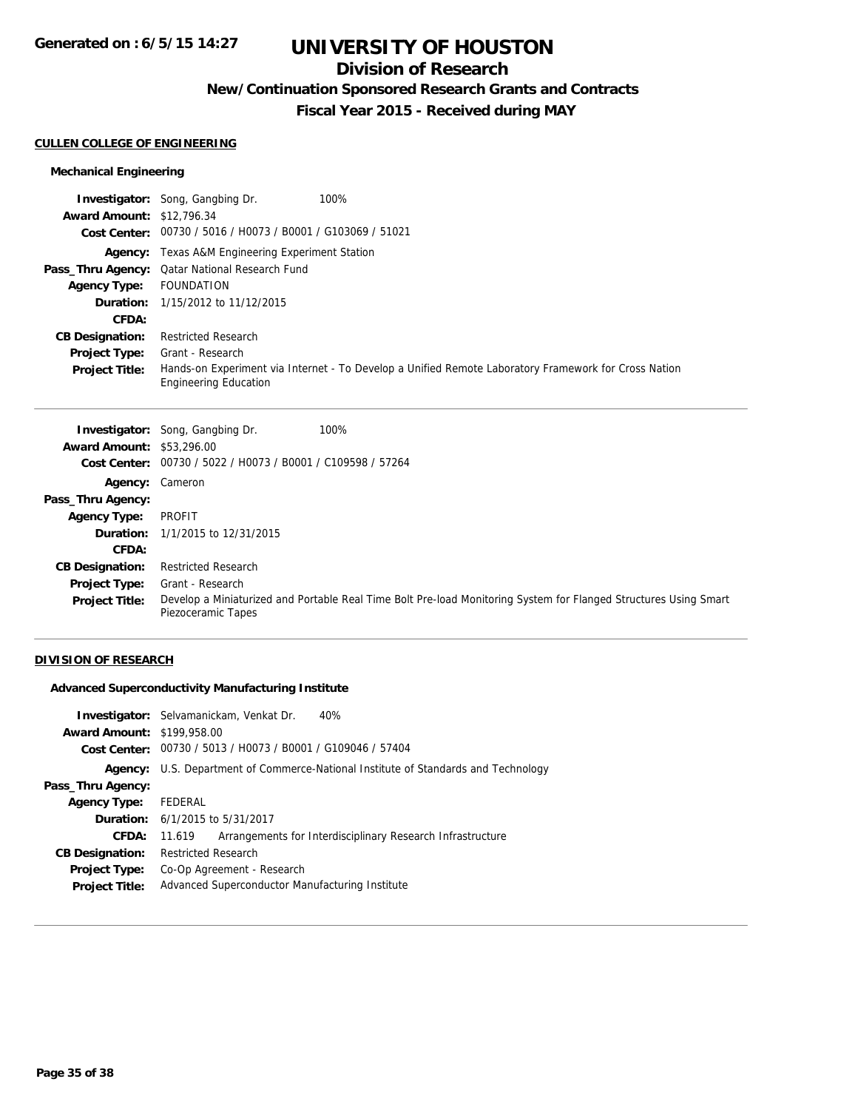## **Division of Research**

**New/Continuation Sponsored Research Grants and Contracts**

**Fiscal Year 2015 - Received during MAY**

#### **CULLEN COLLEGE OF ENGINEERING**

### **Mechanical Engineering**

|                                  | 100%<br><b>Investigator:</b> Song, Gangbing Dr.                                                                                      |
|----------------------------------|--------------------------------------------------------------------------------------------------------------------------------------|
| <b>Award Amount: \$12,796.34</b> |                                                                                                                                      |
|                                  | Cost Center: 00730 / 5016 / H0073 / B0001 / G103069 / 51021                                                                          |
|                                  | <b>Agency:</b> Texas A&M Engineering Experiment Station                                                                              |
|                                  | <b>Pass_Thru Agency:</b> Qatar National Research Fund                                                                                |
| <b>Agency Type:</b>              | FOUNDATION                                                                                                                           |
|                                  | <b>Duration:</b> 1/15/2012 to 11/12/2015                                                                                             |
| CFDA:                            |                                                                                                                                      |
| <b>CB Designation:</b>           | <b>Restricted Research</b>                                                                                                           |
| <b>Project Type:</b>             | Grant - Research                                                                                                                     |
| <b>Project Title:</b>            | Hands-on Experiment via Internet - To Develop a Unified Remote Laboratory Framework for Cross Nation<br><b>Engineering Education</b> |

|                                  | <b>Investigator:</b> Song, Gangbing Dr.        | 100%                                                                                                             |
|----------------------------------|------------------------------------------------|------------------------------------------------------------------------------------------------------------------|
| <b>Award Amount: \$53,296.00</b> |                                                |                                                                                                                  |
| Cost Center:                     | 00730 / 5022 / H0073 / B0001 / C109598 / 57264 |                                                                                                                  |
| Agency: Cameron                  |                                                |                                                                                                                  |
| Pass_Thru Agency:                |                                                |                                                                                                                  |
| <b>Agency Type:</b>              | PROFIT                                         |                                                                                                                  |
|                                  | <b>Duration:</b> 1/1/2015 to 12/31/2015        |                                                                                                                  |
| CFDA:                            |                                                |                                                                                                                  |
| <b>CB Designation:</b>           | <b>Restricted Research</b>                     |                                                                                                                  |
| <b>Project Type:</b>             | Grant - Research                               |                                                                                                                  |
| <b>Project Title:</b>            | Piezoceramic Tapes                             | Develop a Miniaturized and Portable Real Time Bolt Pre-load Monitoring System for Flanged Structures Using Smart |

### **DIVISION OF RESEARCH**

### **Advanced Superconductivity Manufacturing Institute**

| <b>Award Amount: \$199,958.00</b> | 40%<br><b>Investigator:</b> Selvamanickam, Venkat Dr.<br>Cost Center: 00730 / 5013 / H0073 / B0001 / G109046 / 57404 |
|-----------------------------------|----------------------------------------------------------------------------------------------------------------------|
|                                   | <b>Agency:</b> U.S. Department of Commerce-National Institute of Standards and Technology                            |
| Pass_Thru Agency:                 |                                                                                                                      |
| <b>Agency Type:</b>               | FEDERAL                                                                                                              |
|                                   | <b>Duration:</b> 6/1/2015 to 5/31/2017                                                                               |
| <b>CFDA:</b>                      | Arrangements for Interdisciplinary Research Infrastructure<br>11.619                                                 |
| <b>CB Designation:</b>            | <b>Restricted Research</b>                                                                                           |
| <b>Project Type:</b>              | Co-Op Agreement - Research                                                                                           |
| <b>Project Title:</b>             | Advanced Superconductor Manufacturing Institute                                                                      |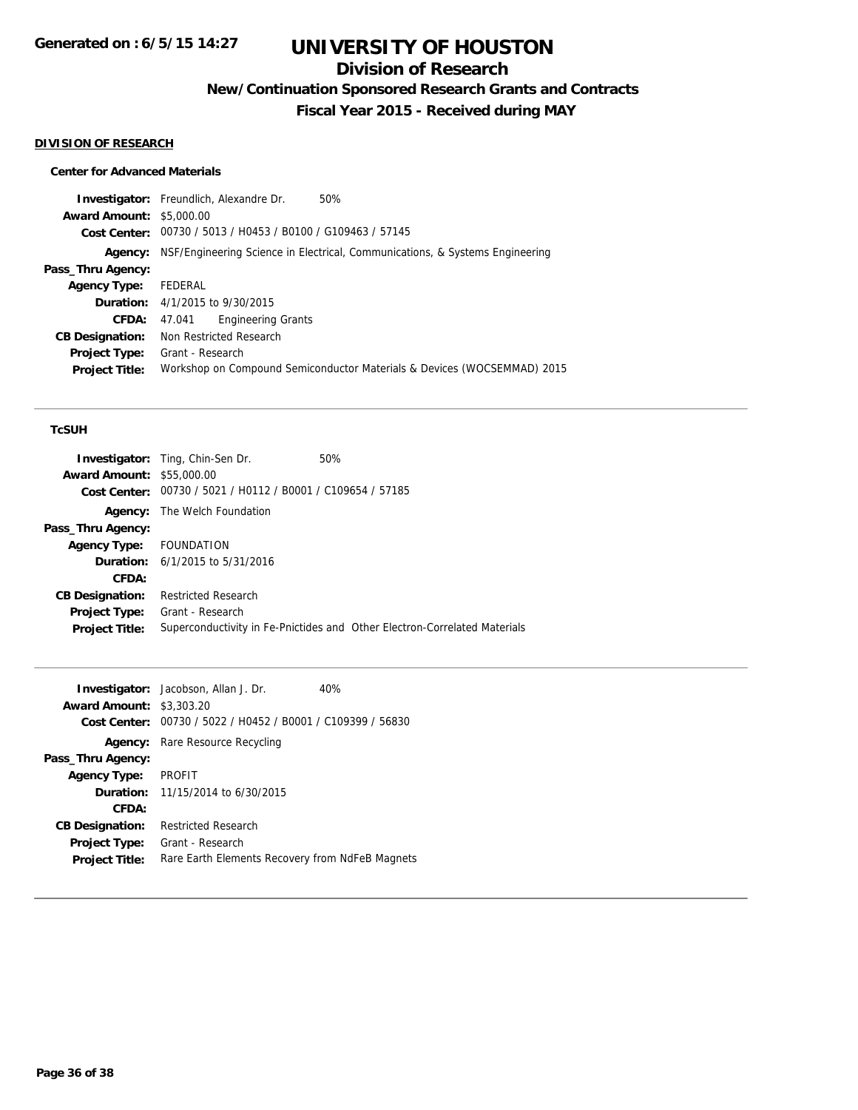### **Division of Research**

**New/Continuation Sponsored Research Grants and Contracts**

**Fiscal Year 2015 - Received during MAY**

#### **DIVISION OF RESEARCH**

### **Center for Advanced Materials**

**Investigator:** Freundlich, Alexandre Dr. 50% **Award Amount:** \$5,000.00 **Cost Center:** 00730 / 5013 / H0453 / B0100 / G109463 / 57145 **Agency:** NSF/Engineering Science in Electrical, Communications, & Systems Engineering **Pass\_Thru Agency: Agency Type:** FEDERAL **Duration:** 4/1/2015 to 9/30/2015 **CFDA:** 47.041 Engineering Grants **CB Designation:** Non Restricted Research **Project Type:** Grant - Research **Project Title:** Workshop on Compound Semiconductor Materials & Devices (WOCSEMMAD) 2015

### **TcSUH**

|                                  | <b>Investigator:</b> Ting, Chin-Sen Dr.                     | 50%                                                                       |
|----------------------------------|-------------------------------------------------------------|---------------------------------------------------------------------------|
| <b>Award Amount: \$55,000.00</b> |                                                             |                                                                           |
|                                  | Cost Center: 00730 / 5021 / H0112 / B0001 / C109654 / 57185 |                                                                           |
|                                  | <b>Agency:</b> The Welch Foundation                         |                                                                           |
| Pass_Thru Agency:                |                                                             |                                                                           |
| Agency Type: FOUNDATION          |                                                             |                                                                           |
|                                  | <b>Duration:</b> $6/1/2015$ to $5/31/2016$                  |                                                                           |
| CFDA:                            |                                                             |                                                                           |
| <b>CB Designation:</b>           | <b>Restricted Research</b>                                  |                                                                           |
| <b>Project Type:</b>             | Grant - Research                                            |                                                                           |
| <b>Project Title:</b>            |                                                             | Superconductivity in Fe-Pnictides and Other Electron-Correlated Materials |
|                                  |                                                             |                                                                           |

|                                 | <b>Investigator:</b> Jacobson, Allan J. Dr.     | 40% |
|---------------------------------|-------------------------------------------------|-----|
| <b>Award Amount: \$3,303.20</b> |                                                 |     |
| Cost Center:                    | 00730 / 5022 / H0452 / B0001 / C109399 / 56830  |     |
| Agency:                         | Rare Resource Recycling                         |     |
| Pass_Thru Agency:               |                                                 |     |
| <b>Agency Type:</b>             | <b>PROFIT</b>                                   |     |
|                                 | <b>Duration:</b> 11/15/2014 to 6/30/2015        |     |
| CFDA:                           |                                                 |     |
| <b>CB Designation:</b>          | <b>Restricted Research</b>                      |     |
| <b>Project Type:</b>            | Grant - Research                                |     |
| <b>Project Title:</b>           | Rare Earth Elements Recovery from NdFeB Magnets |     |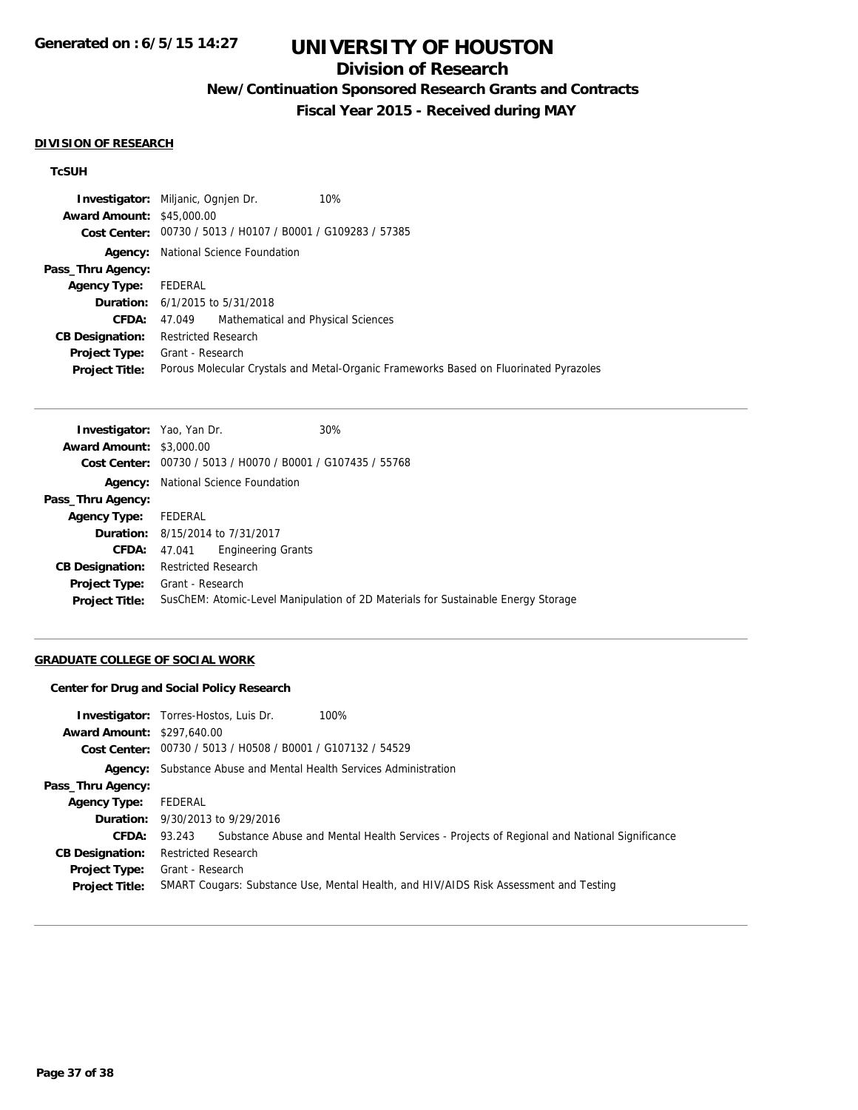## **Division of Research**

## **New/Continuation Sponsored Research Grants and Contracts**

**Fiscal Year 2015 - Received during MAY**

#### **DIVISION OF RESEARCH**

### **TcSUH**

|                                  | 10%<br><b>Investigator:</b> Miljanic, Ognien Dr.            |                                                                                       |
|----------------------------------|-------------------------------------------------------------|---------------------------------------------------------------------------------------|
| <b>Award Amount: \$45,000.00</b> |                                                             |                                                                                       |
|                                  | Cost Center: 00730 / 5013 / H0107 / B0001 / G109283 / 57385 |                                                                                       |
| Agency:                          | National Science Foundation                                 |                                                                                       |
| Pass_Thru Agency:                |                                                             |                                                                                       |
| Agency Type:                     | FEDERAL                                                     |                                                                                       |
|                                  | <b>Duration:</b> 6/1/2015 to 5/31/2018                      |                                                                                       |
| <b>CFDA:</b>                     | 47.049 Mathematical and Physical Sciences                   |                                                                                       |
| <b>CB Designation:</b>           | <b>Restricted Research</b>                                  |                                                                                       |
| <b>Project Type:</b>             | Grant - Research                                            |                                                                                       |
| <b>Project Title:</b>            |                                                             | Porous Molecular Crystals and Metal-Organic Frameworks Based on Fluorinated Pyrazoles |

| <b>Investigator:</b> Yao, Yan Dr. |                             |                                                             | 30% |                                                                                   |
|-----------------------------------|-----------------------------|-------------------------------------------------------------|-----|-----------------------------------------------------------------------------------|
| <b>Award Amount: \$3,000.00</b>   |                             |                                                             |     |                                                                                   |
|                                   |                             | Cost Center: 00730 / 5013 / H0070 / B0001 / G107435 / 55768 |     |                                                                                   |
| Agency:                           | National Science Foundation |                                                             |     |                                                                                   |
| Pass_Thru Agency:                 |                             |                                                             |     |                                                                                   |
| <b>Agency Type:</b>               | FEDERAL                     |                                                             |     |                                                                                   |
|                                   |                             | <b>Duration:</b> 8/15/2014 to 7/31/2017                     |     |                                                                                   |
| CFDA:                             | 47.041                      | <b>Engineering Grants</b>                                   |     |                                                                                   |
| <b>CB Designation:</b>            | <b>Restricted Research</b>  |                                                             |     |                                                                                   |
| <b>Project Type:</b>              | Grant - Research            |                                                             |     |                                                                                   |
| <b>Project Title:</b>             |                             |                                                             |     | SusChEM: Atomic-Level Manipulation of 2D Materials for Sustainable Energy Storage |
|                                   |                             |                                                             |     |                                                                                   |

### **GRADUATE COLLEGE OF SOCIAL WORK**

### **Center for Drug and Social Policy Research**

| <b>Award Amount: \$297,640.00</b>             | 100%<br><b>Investigator:</b> Torres-Hostos, Luis Dr.<br>Cost Center: 00730 / 5013 / H0508 / B0001 / G107132 / 54529 |
|-----------------------------------------------|---------------------------------------------------------------------------------------------------------------------|
| Agency:                                       | Substance Abuse and Mental Health Services Administration                                                           |
| Pass_Thru Agency:                             |                                                                                                                     |
| <b>Agency Type:</b>                           | FEDERAL                                                                                                             |
|                                               | <b>Duration:</b> 9/30/2013 to 9/29/2016                                                                             |
|                                               | <b>CFDA:</b> 93.243 Substance Abuse and Mental Health Services - Projects of Regional and National Significance     |
| <b>CB Designation:</b>                        | <b>Restricted Research</b>                                                                                          |
| <b>Project Type:</b><br><b>Project Title:</b> | Grant - Research<br>SMART Cougars: Substance Use, Mental Health, and HIV/AIDS Risk Assessment and Testing           |